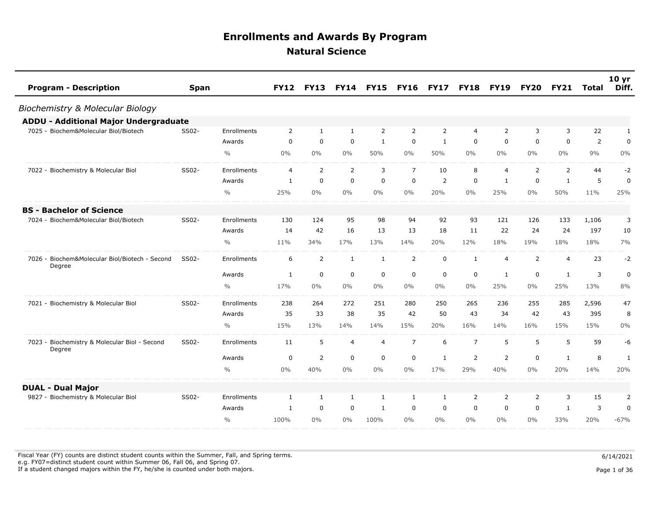| <b>Program - Description</b>                             | <b>Span</b> |               | <b>FY12</b>    | <b>FY13</b>    | <b>FY14</b>    | <b>FY15</b>    | <b>FY16</b>    | <b>FY17</b>  | <b>FY18</b>    | <b>FY19</b>    | <b>FY20</b>    | <b>FY21</b>    | <b>Total</b> | 10 <sub>yr</sub><br>Diff. |
|----------------------------------------------------------|-------------|---------------|----------------|----------------|----------------|----------------|----------------|--------------|----------------|----------------|----------------|----------------|--------------|---------------------------|
| Biochemistry & Molecular Biology                         |             |               |                |                |                |                |                |              |                |                |                |                |              |                           |
| <b>ADDU - Additional Major Undergraduate</b>             |             |               |                |                |                |                |                |              |                |                |                |                |              |                           |
| 7025 - Biochem&Molecular Biol/Biotech                    | SS02-       | Enrollments   | $\overline{2}$ | 1              | 1              | $\overline{2}$ | 2              | 2            | 4              | $\overline{2}$ | 3              | 3              | 22           | 1                         |
|                                                          |             | Awards        | 0              | $\mathbf 0$    | $\mathbf 0$    | $\mathbf{1}$   | 0              | 1            | 0              | $\mathbf 0$    | 0              | $\mathbf 0$    | 2            | $\mathbf 0$               |
|                                                          |             | $\frac{0}{0}$ | $0\%$          | $0\%$          | 0%             | 50%            | $0\%$          | 50%          | $0\%$          | $0\%$          | $0\%$          | $0\%$          | 9%           | 0%                        |
| 7022 - Biochemistry & Molecular Biol                     | SS02-       | Enrollments   | 4              | 2              | 2              | 3              | $\overline{7}$ | 10           | 8              | $\overline{4}$ | 2              | 2              | 44           | $-2$                      |
|                                                          |             | Awards        | 1              | $\mathbf 0$    | $\mathbf 0$    | $\mathbf 0$    | $\mathbf 0$    | 2            | $\mathbf 0$    | $\mathbf{1}$   | $\mathbf 0$    | $\mathbf{1}$   | 5            | $\pmb{0}$                 |
|                                                          |             | $\frac{0}{0}$ | 25%            | $0\%$          | 0%             | $0\%$          | $0\%$          | 20%          | $0\%$          | 25%            | $0\%$          | 50%            | 11%          | 25%                       |
| <b>BS - Bachelor of Science</b>                          |             |               |                |                |                |                |                |              |                |                |                |                |              |                           |
| 7024 - Biochem&Molecular Biol/Biotech                    | SS02-       | Enrollments   | 130            | 124            | 95             | 98             | 94             | 92           | 93             | 121            | 126            | 133            | 1,106        | 3                         |
|                                                          |             | Awards        | 14             | 42             | 16             | 13             | 13             | 18           | 11             | 22             | 24             | 24             | 197          | 10                        |
|                                                          |             | $\frac{0}{0}$ | 11%            | 34%            | 17%            | 13%            | 14%            | 20%          | 12%            | 18%            | 19%            | 18%            | 18%          | 7%                        |
| 7026 - Biochem&Molecular Biol/Biotech - Second<br>Degree | SS02-       | Enrollments   | 6              | 2              | $\mathbf{1}$   | $\mathbf{1}$   | $\overline{2}$ | $\mathbf 0$  | $\mathbf{1}$   | $\overline{4}$ | $\overline{2}$ | $\overline{4}$ | 23           | $-2$                      |
|                                                          |             | Awards        | $\mathbf{1}$   | 0              | $\mathbf 0$    | $\mathbf 0$    | 0              | $\mathbf 0$  | 0              | $\mathbf{1}$   | 0              | $\mathbf{1}$   | 3            | $\pmb{0}$                 |
|                                                          |             | $\frac{0}{0}$ | 17%            | $0\%$          | $0\%$          | $0\%$          | $0\%$          | $0\%$        | $0\%$          | 25%            | $0\%$          | 25%            | 13%          | 8%                        |
| 7021 - Biochemistry & Molecular Biol                     | SS02-       | Enrollments   | 238            | 264            | 272            | 251            | 280            | 250          | 265            | 236            | 255            | 285            | 2,596        | 47                        |
|                                                          |             | Awards        | 35             | 33             | 38             | 35             | 42             | 50           | 43             | 34             | 42             | 43             | 395          | 8                         |
|                                                          |             | $\frac{0}{0}$ | 15%            | 13%            | 14%            | 14%            | 15%            | 20%          | 16%            | 14%            | 16%            | 15%            | 15%          | 0%                        |
| 7023 - Biochemistry & Molecular Biol - Second<br>Degree  | SS02-       | Enrollments   | 11             | 5              | $\overline{4}$ | $\overline{4}$ | $\overline{7}$ | 6            | $\overline{7}$ | 5              | 5              | 5              | 59           | -6                        |
|                                                          |             | Awards        | 0              | $\overline{2}$ | 0              | 0              | 0              | 1            | $\overline{2}$ | $\overline{2}$ | 0              | 1              | 8            | $\mathbf{1}$              |
|                                                          |             | $\frac{0}{0}$ | $0\%$          | 40%            | $0\%$          | $0\%$          | $0\%$          | 17%          | 29%            | 40%            | 0%             | 20%            | 14%          | 20%                       |
| <b>DUAL - Dual Major</b>                                 |             |               |                |                |                |                |                |              |                |                |                |                |              |                           |
| 9827 - Biochemistry & Molecular Biol                     | SS02-       | Enrollments   | 1              | 1              | 1              | $\mathbf{1}$   | $\mathbf{1}$   | $\mathbf{1}$ | 2              | $\overline{2}$ | $\overline{2}$ | 3              | 15           | 2                         |
|                                                          |             | Awards        | 1              | $\mathbf 0$    | 0              | 1              | $\mathbf 0$    | 0            | 0              | $\mathbf 0$    | $\mathbf 0$    | 1              | 3            | $\pmb{0}$                 |
|                                                          |             | $\frac{0}{0}$ | 100%           | $0\%$          | $0\%$          | 100%           | $0\%$          | $0\%$        | $0\%$          | $0\%$          | $0\%$          | 33%            | 20%          | $-67%$                    |

Fiscal Year (FY) counts are distinct student counts within the Summer, Fall, and Spring terms.  $6/14/2021$  e.g. FY07=distinct student count within Summer 06, Fall 06, and Spring 07. If a student changed majors within the FY, he/she is counted under both majors. Page 1 of 36

Page 1 of 36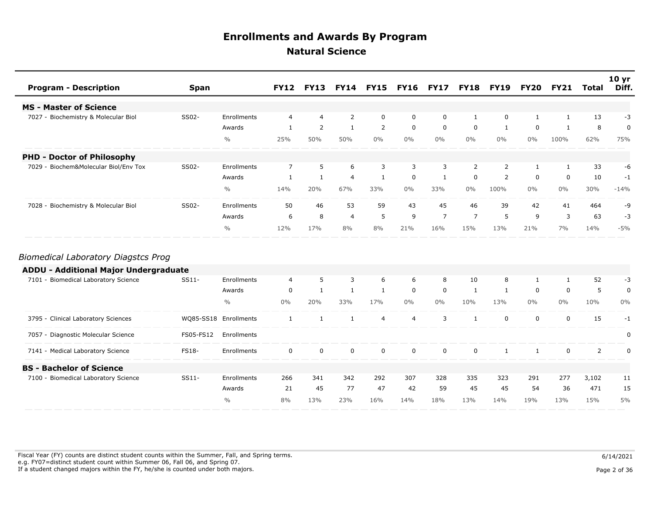| <b>Program - Description</b>             | <b>Span</b> |               |                |                |                |                |          | FY12 FY13 FY14 FY15 FY16 FY17 FY18 FY19 FY20 FY21 |                |                |       |          | Total | 10 <sub>yr</sub><br>Diff. |
|------------------------------------------|-------------|---------------|----------------|----------------|----------------|----------------|----------|---------------------------------------------------|----------------|----------------|-------|----------|-------|---------------------------|
| <b>MS - Master of Science</b>            |             |               |                |                |                |                |          |                                                   |                |                |       |          |       |                           |
| 7027 - Biochemistry & Molecular Biol     | SS02-       | Enrollments   | $\overline{4}$ | $\overline{4}$ | 2              | 0              | 0        | $\mathbf 0$                                       |                | 0              |       |          | 13    | -3                        |
|                                          |             | Awards        |                | 2              |                | $\overline{2}$ | 0        | $\mathbf 0$                                       | 0              |                | 0     |          | 8     | 0                         |
|                                          |             | $\frac{0}{0}$ | 25%            | 50%            | 50%            | $0\%$          | $0\%$    | $0\%$                                             | $0\%$          | $0\%$          | $0\%$ | 100%     | 62%   | 75%                       |
| <b>PHD - Doctor of Philosophy</b>        |             |               |                |                |                |                |          |                                                   |                |                |       |          |       |                           |
| Biochem&Molecular Biol/Env Tox<br>7029 - | SS02-       | Enrollments   | $7^{\circ}$    | 5              | 6              | 3              | 3        | 3                                                 | $\overline{2}$ | $\overline{2}$ |       | 1        | 33    | -6                        |
|                                          |             | Awards        |                |                | $\overline{4}$ |                | $\Omega$ |                                                   | $\Omega$       | $\overline{2}$ | 0     | $\Omega$ | 10    | $-1$                      |
|                                          |             | $\frac{0}{0}$ | 14%            | 20%            | 67%            | 33%            | $0\%$    | 33%                                               | $0\%$          | 100%           | $0\%$ | $0\%$    | 30%   | $-14%$                    |
| 7028 - Biochemistry & Molecular Biol     | SS02-       | Enrollments   | 50             | 46             | 53             | 59             | 43       | 45                                                | 46             | 39             | 42    | 41       | 464   | -9                        |
|                                          |             | Awards        | 6              | 8              | $\overline{4}$ | 5              | 9        | $\overline{7}$                                    | $\overline{z}$ | 5              | 9     | 3        | 63    | $-3$                      |
|                                          |             | $\frac{0}{0}$ | 12%            | 17%            | 8%             | 8%             | 21%      | 16%                                               | 15%            | 13%            | 21%   | $7\%$    | 14%   | $-5%$                     |

#### *Biomedical Laboratory Diagstcs Prog*

| <b>ADDU - Additional Major Undergraduate</b> |              |                       |          |          |          |          |       |          |          |          |       |       |       |       |
|----------------------------------------------|--------------|-----------------------|----------|----------|----------|----------|-------|----------|----------|----------|-------|-------|-------|-------|
| 7101 - Biomedical Laboratory Science         | SS11-        | Enrollments           | 4        | 5.       | 3        | 6        | 6     | 8        | 10       | 8        |       |       | 52    | -3    |
|                                              |              | Awards                | 0        |          |          |          |       | $\Omega$ |          |          |       |       |       |       |
|                                              |              | $\%$                  | $0\%$    | 20%      | 33%      | 17%      | $0\%$ | $0\%$    | 10%      | 13%      | $0\%$ | $0\%$ | 10%   | $0\%$ |
| 3795 - Clinical Laboratory Sciences          |              | WQ85-SS18 Enrollments |          |          |          | 4        |       | 3        |          | $\Omega$ |       |       | 15    |       |
| 7057 - Diagnostic Molecular Science          | FS05-FS12    | Enrollments           |          |          |          |          |       |          |          |          |       |       |       |       |
| 7141 - Medical Laboratory Science            | <b>FS18-</b> | Enrollments           | $\Omega$ | $\Omega$ | $\Omega$ | $\Omega$ |       | $\Omega$ | $\Omega$ |          |       |       |       |       |
| <b>BS</b> - Bachelor of Science              |              |                       |          |          |          |          |       |          |          |          |       |       |       |       |
| 7100 - Biomedical Laboratory Science         | $SS11-$      | Enrollments           | 266      | 341      | 342      | 292      | 307   | 328      | 335      | 323      | 291   | 277   | 3,102 | 11    |
|                                              |              | Awards                | 21       | 45       | 77       | 47       | 42    | 59       | 45       | 45       | 54    | 36    | 471   | 15    |
|                                              |              | $\frac{0}{0}$         | 8%       | 3%       | 23%      | 16%      | 14%   | 18%      | 13%      | 14%      | 19%   | 13%   | 15%   | 5%    |
|                                              |              |                       |          |          |          |          |       |          |          |          |       |       |       |       |

Fiscal Year (FY) counts are distinct student counts within the Summer, Fall, and Spring terms.  $6/14/2021$  e.g. FY07=distinct student count within Summer 06, Fall 06, and Spring 07. If a student changed majors within the FY, he/she is counted under both majors. Page 2 of 36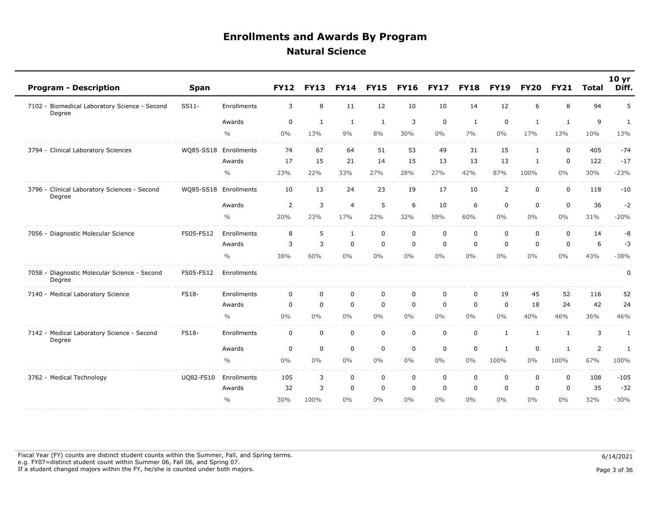| 5<br>Enrollments<br>3<br>8<br>12<br>10<br>10<br>12<br>8<br>94<br>7102 - Biomedical Laboratory Science - Second<br>SS11-<br>11<br>14<br>6<br>Degree<br>$\overline{9}$<br>3<br>$\mathbf 0$<br>$\mathbf 0$<br>$\mathbf 0$<br>$\mathbf{1}$<br>$\mathbf{1}$<br>Awards<br>$\mathbf{1}$<br>1<br>1<br>1<br>1<br>$\frac{0}{0}$<br>0%<br>13%<br>9%<br>8%<br>10%<br>13%<br>30%<br>$0\%$<br>7%<br>$0\%$<br>17%<br>13%<br>15<br>$-74$<br>WQ85-SS18 Enrollments<br>74<br>67<br>64<br>51<br>53<br>49<br>31<br>0<br>405<br>3794 - Clinical Laboratory Sciences<br>$\mathbf{1}$<br>15<br>21<br>15<br>13<br>17<br>14<br>13<br>13<br>$\mathbf 0$<br>122<br>$-17$<br>Awards<br>$\mathbf{1}$<br>$\frac{0}{0}$<br>23%<br>22%<br>33%<br>27%<br>28%<br>27%<br>42%<br>87%<br>100%<br>$0\%$<br>30%<br>$-23%$<br>13<br>24<br>23<br>19<br>17<br>10<br>$\overline{2}$<br>3796 - Clinical Laboratory Sciences - Second<br>WQ85-SS18 Enrollments<br>10<br>$\mathbf 0$<br>$\mathbf 0$<br>118<br>$-10$<br>Degree<br>5<br>$\overline{2}$<br>3<br>$\overline{4}$<br>6<br>10<br>6<br>$\mathbf 0$<br>$\mathbf 0$<br>$\mathbf 0$<br>36<br>$-2$<br>Awards<br>$\frac{0}{0}$<br>23%<br>31%<br>$-20%$<br>20%<br>17%<br>22%<br>32%<br>59%<br>60%<br>$0\%$<br>$0\%$<br>$0\%$<br>8<br>5<br>$\mathbf{1}$<br>$\mathbf 0$<br>$\mathbf 0$<br>$\mathbf 0$<br>$\mathbf 0$<br>$\mathbf 0$<br>$\mathbf 0$<br>$\mathbf 0$<br>FS05-FS12<br>Enrollments<br>14<br>-8<br>7056 - Diagnostic Molecular Science<br>$\mathbf 0$<br>3<br>0<br>6<br>$-3$<br>3<br>$\mathbf 0$<br>$\mathbf 0$<br>$\mathbf 0$<br>$\mathbf 0$<br>$\mathbf 0$<br>$\mathbf 0$<br>Awards<br>$\frac{0}{0}$<br>43%<br>38%<br>60%<br>0%<br>$0\%$<br>$0\%$<br>$0\%$<br>$0\%$<br>$0\%$<br>$0\%$<br>$0\%$<br>$-38%$<br>7058 - Diagnostic Molecular Science - Second<br>FS05-FS12<br>Enrollments<br>0<br>Degree<br>7140 - Medical Laboratory Science<br>FS18-<br>Enrollments<br>$\mathbf 0$<br>$\mathbf 0$<br>$\mathbf 0$<br>0<br>$\mathbf 0$<br>$\mathbf 0$<br>$\mathbf 0$<br>19<br>45<br>52<br>116<br>52<br>$\mathbf 0$<br>$\mathbf 0$<br>$\mathbf 0$<br>$\mathbf 0$<br>$\mathbf 0$<br>$\boldsymbol{0}$<br>$\mathbf 0$<br>24<br>42<br>24<br>$\mathbf 0$<br>18<br>Awards<br>46%<br>$\frac{0}{0}$<br>0%<br>0%<br>$0\%$<br>$0\%$<br>$0\%$<br>$0\%$<br>$0\%$<br>$0\%$<br>40%<br>46%<br>36%<br>$\pmb{0}$<br>$\mathsf 0$<br>$\mathbf 0$<br>$\mathbf 0$<br>$\mathbf 0$<br>$\mathbf 0$<br>FS18-<br>Enrollments<br>$\mathbf 0$<br>3<br>7142 - Medical Laboratory Science - Second<br>$\mathbf{1}$<br>$\mathbf{1}$<br>$\mathbf{1}$<br>1<br>Degree<br>$\pmb{0}$<br>$\mathbf 0$<br>$\mathbf 0$<br>$\mathbf 0$<br>$\mathbf 0$<br>0<br>$\mathsf{2}\,$<br>$\mathbf 0$<br>0<br>Awards<br>$\mathbf{1}$<br>$\mathbf{1}$<br>$\mathbf{1}$<br>$\frac{0}{0}$<br>0%<br>0%<br>$0\%$<br>$0\%$<br>$0\%$<br>$0\%$<br>$0\%$<br>100%<br>$0\%$<br>100%<br>67%<br>100%<br>3<br>$\mathbf 0$<br>$\mathbf 0$<br>UQ82-FS10<br>105<br>$\mathbf 0$<br>$\mathbf 0$<br>$\mathbf 0$<br>$\mathbf 0$<br>$\mathbf 0$<br>$\mathbf 0$<br>108<br>3762 - Medical Technology<br>Enrollments<br>$-105$<br>3<br>$\mathbf 0$<br>$\mathbf 0$<br>$-32$<br>32<br>$\mathbf 0$<br>$\mathbf 0$<br>$\mathbf 0$<br>$\mathbf 0$<br>$\mathbf 0$<br>$\mathbf 0$<br>35<br>Awards<br>$\frac{0}{0}$<br>30%<br>100%<br>$0\%$<br>$0\%$<br>$0\%$<br>$0\%$<br>$0\%$<br>$0\%$<br>$0\%$<br>$0\%$<br>32%<br>$-30%$ | <b>Program - Description</b> | <b>Span</b> | <b>FY12</b> | <b>FY13</b> | <b>FY14</b> | <b>FY15</b> | <b>FY16</b> | <b>FY17</b> | <b>FY18</b> | <b>FY19</b> | <b>FY20</b> | <b>FY21</b> | Total | 10 <sub>yr</sub><br>Diff. |
|------------------------------------------------------------------------------------------------------------------------------------------------------------------------------------------------------------------------------------------------------------------------------------------------------------------------------------------------------------------------------------------------------------------------------------------------------------------------------------------------------------------------------------------------------------------------------------------------------------------------------------------------------------------------------------------------------------------------------------------------------------------------------------------------------------------------------------------------------------------------------------------------------------------------------------------------------------------------------------------------------------------------------------------------------------------------------------------------------------------------------------------------------------------------------------------------------------------------------------------------------------------------------------------------------------------------------------------------------------------------------------------------------------------------------------------------------------------------------------------------------------------------------------------------------------------------------------------------------------------------------------------------------------------------------------------------------------------------------------------------------------------------------------------------------------------------------------------------------------------------------------------------------------------------------------------------------------------------------------------------------------------------------------------------------------------------------------------------------------------------------------------------------------------------------------------------------------------------------------------------------------------------------------------------------------------------------------------------------------------------------------------------------------------------------------------------------------------------------------------------------------------------------------------------------------------------------------------------------------------------------------------------------------------------------------------------------------------------------------------------------------------------------------------------------------------------------------------------------------------------------------------------------------------------------------------------------------------------------------------------------------------------------------------------------------------------------------------------------------------------------------------------------------------------------------------------------------------------------------------------------------------------------------------------------------------------------------------------|------------------------------|-------------|-------------|-------------|-------------|-------------|-------------|-------------|-------------|-------------|-------------|-------------|-------|---------------------------|
|                                                                                                                                                                                                                                                                                                                                                                                                                                                                                                                                                                                                                                                                                                                                                                                                                                                                                                                                                                                                                                                                                                                                                                                                                                                                                                                                                                                                                                                                                                                                                                                                                                                                                                                                                                                                                                                                                                                                                                                                                                                                                                                                                                                                                                                                                                                                                                                                                                                                                                                                                                                                                                                                                                                                                                                                                                                                                                                                                                                                                                                                                                                                                                                                                                                                                                                                                |                              |             |             |             |             |             |             |             |             |             |             |             |       |                           |
|                                                                                                                                                                                                                                                                                                                                                                                                                                                                                                                                                                                                                                                                                                                                                                                                                                                                                                                                                                                                                                                                                                                                                                                                                                                                                                                                                                                                                                                                                                                                                                                                                                                                                                                                                                                                                                                                                                                                                                                                                                                                                                                                                                                                                                                                                                                                                                                                                                                                                                                                                                                                                                                                                                                                                                                                                                                                                                                                                                                                                                                                                                                                                                                                                                                                                                                                                |                              |             |             |             |             |             |             |             |             |             |             |             |       |                           |
|                                                                                                                                                                                                                                                                                                                                                                                                                                                                                                                                                                                                                                                                                                                                                                                                                                                                                                                                                                                                                                                                                                                                                                                                                                                                                                                                                                                                                                                                                                                                                                                                                                                                                                                                                                                                                                                                                                                                                                                                                                                                                                                                                                                                                                                                                                                                                                                                                                                                                                                                                                                                                                                                                                                                                                                                                                                                                                                                                                                                                                                                                                                                                                                                                                                                                                                                                |                              |             |             |             |             |             |             |             |             |             |             |             |       |                           |
|                                                                                                                                                                                                                                                                                                                                                                                                                                                                                                                                                                                                                                                                                                                                                                                                                                                                                                                                                                                                                                                                                                                                                                                                                                                                                                                                                                                                                                                                                                                                                                                                                                                                                                                                                                                                                                                                                                                                                                                                                                                                                                                                                                                                                                                                                                                                                                                                                                                                                                                                                                                                                                                                                                                                                                                                                                                                                                                                                                                                                                                                                                                                                                                                                                                                                                                                                |                              |             |             |             |             |             |             |             |             |             |             |             |       |                           |
|                                                                                                                                                                                                                                                                                                                                                                                                                                                                                                                                                                                                                                                                                                                                                                                                                                                                                                                                                                                                                                                                                                                                                                                                                                                                                                                                                                                                                                                                                                                                                                                                                                                                                                                                                                                                                                                                                                                                                                                                                                                                                                                                                                                                                                                                                                                                                                                                                                                                                                                                                                                                                                                                                                                                                                                                                                                                                                                                                                                                                                                                                                                                                                                                                                                                                                                                                |                              |             |             |             |             |             |             |             |             |             |             |             |       |                           |
|                                                                                                                                                                                                                                                                                                                                                                                                                                                                                                                                                                                                                                                                                                                                                                                                                                                                                                                                                                                                                                                                                                                                                                                                                                                                                                                                                                                                                                                                                                                                                                                                                                                                                                                                                                                                                                                                                                                                                                                                                                                                                                                                                                                                                                                                                                                                                                                                                                                                                                                                                                                                                                                                                                                                                                                                                                                                                                                                                                                                                                                                                                                                                                                                                                                                                                                                                |                              |             |             |             |             |             |             |             |             |             |             |             |       |                           |
|                                                                                                                                                                                                                                                                                                                                                                                                                                                                                                                                                                                                                                                                                                                                                                                                                                                                                                                                                                                                                                                                                                                                                                                                                                                                                                                                                                                                                                                                                                                                                                                                                                                                                                                                                                                                                                                                                                                                                                                                                                                                                                                                                                                                                                                                                                                                                                                                                                                                                                                                                                                                                                                                                                                                                                                                                                                                                                                                                                                                                                                                                                                                                                                                                                                                                                                                                |                              |             |             |             |             |             |             |             |             |             |             |             |       |                           |
|                                                                                                                                                                                                                                                                                                                                                                                                                                                                                                                                                                                                                                                                                                                                                                                                                                                                                                                                                                                                                                                                                                                                                                                                                                                                                                                                                                                                                                                                                                                                                                                                                                                                                                                                                                                                                                                                                                                                                                                                                                                                                                                                                                                                                                                                                                                                                                                                                                                                                                                                                                                                                                                                                                                                                                                                                                                                                                                                                                                                                                                                                                                                                                                                                                                                                                                                                |                              |             |             |             |             |             |             |             |             |             |             |             |       |                           |
|                                                                                                                                                                                                                                                                                                                                                                                                                                                                                                                                                                                                                                                                                                                                                                                                                                                                                                                                                                                                                                                                                                                                                                                                                                                                                                                                                                                                                                                                                                                                                                                                                                                                                                                                                                                                                                                                                                                                                                                                                                                                                                                                                                                                                                                                                                                                                                                                                                                                                                                                                                                                                                                                                                                                                                                                                                                                                                                                                                                                                                                                                                                                                                                                                                                                                                                                                |                              |             |             |             |             |             |             |             |             |             |             |             |       |                           |
|                                                                                                                                                                                                                                                                                                                                                                                                                                                                                                                                                                                                                                                                                                                                                                                                                                                                                                                                                                                                                                                                                                                                                                                                                                                                                                                                                                                                                                                                                                                                                                                                                                                                                                                                                                                                                                                                                                                                                                                                                                                                                                                                                                                                                                                                                                                                                                                                                                                                                                                                                                                                                                                                                                                                                                                                                                                                                                                                                                                                                                                                                                                                                                                                                                                                                                                                                |                              |             |             |             |             |             |             |             |             |             |             |             |       |                           |
|                                                                                                                                                                                                                                                                                                                                                                                                                                                                                                                                                                                                                                                                                                                                                                                                                                                                                                                                                                                                                                                                                                                                                                                                                                                                                                                                                                                                                                                                                                                                                                                                                                                                                                                                                                                                                                                                                                                                                                                                                                                                                                                                                                                                                                                                                                                                                                                                                                                                                                                                                                                                                                                                                                                                                                                                                                                                                                                                                                                                                                                                                                                                                                                                                                                                                                                                                |                              |             |             |             |             |             |             |             |             |             |             |             |       |                           |
|                                                                                                                                                                                                                                                                                                                                                                                                                                                                                                                                                                                                                                                                                                                                                                                                                                                                                                                                                                                                                                                                                                                                                                                                                                                                                                                                                                                                                                                                                                                                                                                                                                                                                                                                                                                                                                                                                                                                                                                                                                                                                                                                                                                                                                                                                                                                                                                                                                                                                                                                                                                                                                                                                                                                                                                                                                                                                                                                                                                                                                                                                                                                                                                                                                                                                                                                                |                              |             |             |             |             |             |             |             |             |             |             |             |       |                           |
|                                                                                                                                                                                                                                                                                                                                                                                                                                                                                                                                                                                                                                                                                                                                                                                                                                                                                                                                                                                                                                                                                                                                                                                                                                                                                                                                                                                                                                                                                                                                                                                                                                                                                                                                                                                                                                                                                                                                                                                                                                                                                                                                                                                                                                                                                                                                                                                                                                                                                                                                                                                                                                                                                                                                                                                                                                                                                                                                                                                                                                                                                                                                                                                                                                                                                                                                                |                              |             |             |             |             |             |             |             |             |             |             |             |       |                           |
|                                                                                                                                                                                                                                                                                                                                                                                                                                                                                                                                                                                                                                                                                                                                                                                                                                                                                                                                                                                                                                                                                                                                                                                                                                                                                                                                                                                                                                                                                                                                                                                                                                                                                                                                                                                                                                                                                                                                                                                                                                                                                                                                                                                                                                                                                                                                                                                                                                                                                                                                                                                                                                                                                                                                                                                                                                                                                                                                                                                                                                                                                                                                                                                                                                                                                                                                                |                              |             |             |             |             |             |             |             |             |             |             |             |       |                           |
|                                                                                                                                                                                                                                                                                                                                                                                                                                                                                                                                                                                                                                                                                                                                                                                                                                                                                                                                                                                                                                                                                                                                                                                                                                                                                                                                                                                                                                                                                                                                                                                                                                                                                                                                                                                                                                                                                                                                                                                                                                                                                                                                                                                                                                                                                                                                                                                                                                                                                                                                                                                                                                                                                                                                                                                                                                                                                                                                                                                                                                                                                                                                                                                                                                                                                                                                                |                              |             |             |             |             |             |             |             |             |             |             |             |       |                           |
|                                                                                                                                                                                                                                                                                                                                                                                                                                                                                                                                                                                                                                                                                                                                                                                                                                                                                                                                                                                                                                                                                                                                                                                                                                                                                                                                                                                                                                                                                                                                                                                                                                                                                                                                                                                                                                                                                                                                                                                                                                                                                                                                                                                                                                                                                                                                                                                                                                                                                                                                                                                                                                                                                                                                                                                                                                                                                                                                                                                                                                                                                                                                                                                                                                                                                                                                                |                              |             |             |             |             |             |             |             |             |             |             |             |       |                           |
|                                                                                                                                                                                                                                                                                                                                                                                                                                                                                                                                                                                                                                                                                                                                                                                                                                                                                                                                                                                                                                                                                                                                                                                                                                                                                                                                                                                                                                                                                                                                                                                                                                                                                                                                                                                                                                                                                                                                                                                                                                                                                                                                                                                                                                                                                                                                                                                                                                                                                                                                                                                                                                                                                                                                                                                                                                                                                                                                                                                                                                                                                                                                                                                                                                                                                                                                                |                              |             |             |             |             |             |             |             |             |             |             |             |       |                           |
|                                                                                                                                                                                                                                                                                                                                                                                                                                                                                                                                                                                                                                                                                                                                                                                                                                                                                                                                                                                                                                                                                                                                                                                                                                                                                                                                                                                                                                                                                                                                                                                                                                                                                                                                                                                                                                                                                                                                                                                                                                                                                                                                                                                                                                                                                                                                                                                                                                                                                                                                                                                                                                                                                                                                                                                                                                                                                                                                                                                                                                                                                                                                                                                                                                                                                                                                                |                              |             |             |             |             |             |             |             |             |             |             |             |       |                           |
|                                                                                                                                                                                                                                                                                                                                                                                                                                                                                                                                                                                                                                                                                                                                                                                                                                                                                                                                                                                                                                                                                                                                                                                                                                                                                                                                                                                                                                                                                                                                                                                                                                                                                                                                                                                                                                                                                                                                                                                                                                                                                                                                                                                                                                                                                                                                                                                                                                                                                                                                                                                                                                                                                                                                                                                                                                                                                                                                                                                                                                                                                                                                                                                                                                                                                                                                                |                              |             |             |             |             |             |             |             |             |             |             |             |       |                           |
|                                                                                                                                                                                                                                                                                                                                                                                                                                                                                                                                                                                                                                                                                                                                                                                                                                                                                                                                                                                                                                                                                                                                                                                                                                                                                                                                                                                                                                                                                                                                                                                                                                                                                                                                                                                                                                                                                                                                                                                                                                                                                                                                                                                                                                                                                                                                                                                                                                                                                                                                                                                                                                                                                                                                                                                                                                                                                                                                                                                                                                                                                                                                                                                                                                                                                                                                                |                              |             |             |             |             |             |             |             |             |             |             |             |       |                           |
|                                                                                                                                                                                                                                                                                                                                                                                                                                                                                                                                                                                                                                                                                                                                                                                                                                                                                                                                                                                                                                                                                                                                                                                                                                                                                                                                                                                                                                                                                                                                                                                                                                                                                                                                                                                                                                                                                                                                                                                                                                                                                                                                                                                                                                                                                                                                                                                                                                                                                                                                                                                                                                                                                                                                                                                                                                                                                                                                                                                                                                                                                                                                                                                                                                                                                                                                                |                              |             |             |             |             |             |             |             |             |             |             |             |       |                           |
|                                                                                                                                                                                                                                                                                                                                                                                                                                                                                                                                                                                                                                                                                                                                                                                                                                                                                                                                                                                                                                                                                                                                                                                                                                                                                                                                                                                                                                                                                                                                                                                                                                                                                                                                                                                                                                                                                                                                                                                                                                                                                                                                                                                                                                                                                                                                                                                                                                                                                                                                                                                                                                                                                                                                                                                                                                                                                                                                                                                                                                                                                                                                                                                                                                                                                                                                                |                              |             |             |             |             |             |             |             |             |             |             |             |       |                           |

Fiscal Year (FY) counts are distinct student counts within the Summer, Fall, and Spring terms.  $6/14/2021$  e.g. FY07=distinct student count within Summer 06, Fall 06, and Spring 07. If a student changed majors within the FY, he/she is counted under both majors. Page 3 of 36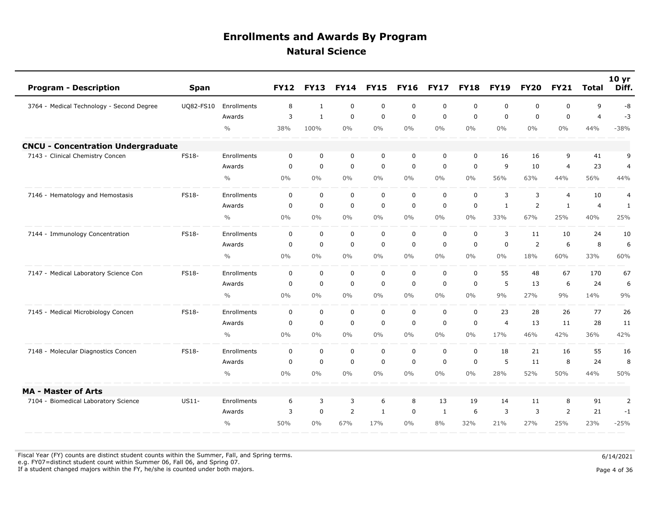| <b>Program - Description</b>              | <b>Span</b>  |               | <b>FY12</b> | <b>FY13</b>    | <b>FY14</b>    | <b>FY15</b>  | <b>FY16</b> | <b>FY17</b> | <b>FY18</b> | <b>FY19</b>    | <b>FY20</b> | <b>FY21</b>    | <b>Total</b>   | 10 <sub>yr</sub><br>Diff. |
|-------------------------------------------|--------------|---------------|-------------|----------------|----------------|--------------|-------------|-------------|-------------|----------------|-------------|----------------|----------------|---------------------------|
| 3764 - Medical Technology - Second Degree | UQ82-FS10    | Enrollments   | 8           | 1              | $\mathbf 0$    | $\mathsf 0$  | 0           | $\mathbf 0$ | $\mathbf 0$ | $\mathbf 0$    | 0           | $\mathbf 0$    | 9              | -8                        |
|                                           |              | Awards        | 3           | $\mathbf{1}$   | $\mathbf 0$    | $\mathbf 0$  | $\mathbf 0$ | $\mathbf 0$ | $\mathbf 0$ | $\mathbf 0$    | $\mathbf 0$ | $\mathbf 0$    | $\overline{4}$ | $-3$                      |
|                                           |              | $\frac{0}{0}$ | 38%         | 100%           | $0\%$          | $0\%$        | $0\%$       | $0\%$       | $0\%$       | $0\%$          | $0\%$       | $0\%$          | 44%            | $-38%$                    |
| <b>CNCU - Concentration Undergraduate</b> |              |               |             |                |                |              |             |             |             |                |             |                |                |                           |
| 7143 - Clinical Chemistry Concen          | <b>FS18-</b> | Enrollments   | $\mathbf 0$ | $\mathbf 0$    | $\mathbf 0$    | $\mathbf 0$  | 0           | 0           | $\mathbf 0$ | 16             | 16          | 9              | 41             | 9                         |
|                                           |              | Awards        | $\mathbf 0$ | $\mathbf 0$    | $\mathbf 0$    | $\mathbf 0$  | $\mathbf 0$ | $\mathbf 0$ | $\mathbf 0$ | 9              | 10          | $\overline{4}$ | 23             | $\overline{4}$            |
|                                           |              | $\frac{0}{0}$ | $0\%$       | $0\%$          | $0\%$          | $0\%$        | $0\%$       | $0\%$       | $0\%$       | 56%            | 63%         | 44%            | 56%            | 44%                       |
| 7146 - Hematology and Hemostasis          | FS18-        | Enrollments   | $\mathbf 0$ | $\mathbf 0$    | $\mathbf 0$    | $\mathbf 0$  | $\mathbf 0$ | $\mathbf 0$ | $\mathbf 0$ | 3              | 3           | 4              | 10             | $\overline{4}$            |
|                                           |              | Awards        | $\mathbf 0$ | $\mathbf 0$    | $\mathbf 0$    | $\mathbf 0$  | $\mathbf 0$ | $\mathbf 0$ | $\mathbf 0$ | $\mathbf{1}$   | 2           | $\mathbf{1}$   | $\overline{4}$ | $\mathbf{1}$              |
|                                           |              | $\frac{0}{0}$ | $0\%$       | $0\%$          | $0\%$          | $0\%$        | $0\%$       | $0\%$       | $0\%$       | 33%            | 67%         | 25%            | 40%            | 25%                       |
| 7144 - Immunology Concentration           | <b>FS18-</b> | Enrollments   | 0           | $\mathbf 0$    | $\mathbf 0$    | $\mathsf 0$  | $\mathbf 0$ | $\mathbf 0$ | $\mathbf 0$ | 3              | 11          | 10             | 24             | 10                        |
|                                           |              | Awards        | 0           | $\mathbf 0$    | $\mathbf 0$    | $\mathsf 0$  | $\mathbf 0$ | $\mathbf 0$ | $\mathbf 0$ | $\mathbf 0$    | 2           | 6              | 8              | 6                         |
|                                           |              | $\frac{0}{0}$ | $0\%$       | $0\%$          | $0\%$          | $0\%$        | $0\%$       | $0\%$       | $0\%$       | $0\%$          | 18%         | 60%            | 33%            | 60%                       |
| 7147 - Medical Laboratory Science Con     | <b>FS18-</b> | Enrollments   | $\mathbf 0$ | $\mathbf 0$    | $\mathbf 0$    | $\mathbf 0$  | $\mathbf 0$ | $\mathbf 0$ | $\mathbf 0$ | 55             | 48          | 67             | 170            | 67                        |
|                                           |              | Awards        | $\mathbf 0$ | $\mathbf 0$    | $\mathbf 0$    | $\mathbf 0$  | $\mathbf 0$ | $\mathbf 0$ | $\mathbf 0$ | 5              | 13          | 6              | 24             | 6                         |
|                                           |              | $\frac{0}{0}$ | $0\%$       | $0\%$          | $0\%$          | $0\%$        | $0\%$       | $0\%$       | $0\%$       | 9%             | 27%         | 9%             | 14%            | 9%                        |
| 7145 - Medical Microbiology Concen        | FS18-        | Enrollments   | $\mathbf 0$ | $\mathbf 0$    | $\mathbf 0$    | $\mathbf 0$  | $\mathbf 0$ | $\mathbf 0$ | $\mathbf 0$ | 23             | 28          | 26             | 77             | 26                        |
|                                           |              | Awards        | $\mathbf 0$ | $\mathbf 0$    | $\mathbf 0$    | $\mathbf 0$  | $\mathbf 0$ | $\mathbf 0$ | $\Omega$    | $\overline{4}$ | 13          | 11             | 28             | 11                        |
|                                           |              | $\frac{0}{0}$ | $0\%$       | $0\%$          | $0\%$          | $0\%$        | $0\%$       | $0\%$       | $0\%$       | 17%            | 46%         | 42%            | 36%            | 42%                       |
| 7148 - Molecular Diagnostics Concen       | <b>FS18-</b> | Enrollments   | $\mathbf 0$ | $\mathbf 0$    | $\mathbf 0$    | $\mathbf 0$  | $\mathbf 0$ | $\mathbf 0$ | $\mathbf 0$ | 18             | 21          | 16             | 55             | 16                        |
|                                           |              | Awards        | $\mathbf 0$ | $\overline{0}$ | $\mathbf 0$    | $\mathbf 0$  | $\mathbf 0$ | $\mathbf 0$ | $\mathbf 0$ | 5              | 11          | 8              | 24             | 8                         |
|                                           |              | $\frac{0}{0}$ | $0\%$       | $0\%$          | $0\%$          | $0\%$        | $0\%$       | $0\%$       | $0\%$       | 28%            | 52%         | 50%            | 44%            | 50%                       |
| <b>MA - Master of Arts</b>                |              |               |             |                |                |              |             |             |             |                |             |                |                |                           |
| 7104 - Biomedical Laboratory Science      | $US11-$      | Enrollments   | 6           | 3              | 3              | 6            | 8           | 13          | 19          | 14             | 11          | 8              | 91             | $\overline{2}$            |
|                                           |              | Awards        | 3           | $\mathbf 0$    | $\overline{2}$ | $\mathbf{1}$ | $\mathbf 0$ | 1           | 6           | 3              | 3           | $\overline{2}$ | 21             | $-1$                      |
|                                           |              | $\frac{0}{0}$ | 50%         | $0\%$          | 67%            | 17%          | $0\%$       | 8%          | 32%         | 21%            | 27%         | 25%            | 23%            | $-25%$                    |

Fiscal Year (FY) counts are distinct student counts within the Summer, Fall, and Spring terms.  $6/14/2021$ e.g. FY07=distinct student count within Summer 06, Fall 06, and Spring 07.

If a student changed majors within the FY, he/she is counted under both majors. Page 4 of 36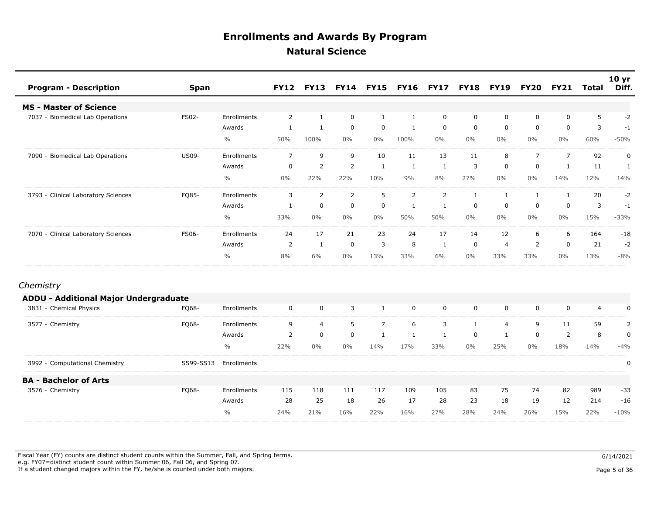| <b>Program - Description</b>                 | <b>Span</b>  |               | <b>FY12</b>    | <b>FY13</b>    |                | <b>FY14 FY15</b> | <b>FY16</b>    | <b>FY17</b> | <b>FY18</b>  | <b>FY19</b>    | <b>FY20</b>    | <b>FY21</b>    | Total          | 10 yr<br>Diff. |
|----------------------------------------------|--------------|---------------|----------------|----------------|----------------|------------------|----------------|-------------|--------------|----------------|----------------|----------------|----------------|----------------|
| <b>MS - Master of Science</b>                |              |               |                |                |                |                  |                |             |              |                |                |                |                |                |
| 7037 - Biomedical Lab Operations             | <b>FS02-</b> | Enrollments   | 2              | 1              | $\mathbf 0$    | 1                | 1              | 0           | 0            | 0              | 0              | 0              | 5              | $-2$           |
|                                              |              | Awards        | 1              | 1              | $\mathbf 0$    | 0                | 1              | 0           | $\mathbf 0$  | $\mathbf 0$    | 0              | $\mathbf 0$    | 3              | $-1$           |
|                                              |              | $\frac{0}{0}$ | 50%            | 100%           | $0\%$          | $0\%$            | 100%           | $0\%$       | $0\%$        | $0\%$          | $0\%$          | $0\%$          | 60%            | $-50%$         |
| 7090 - Biomedical Lab Operations             | US09-        | Enrollments   | $\overline{7}$ | 9              | 9              | 10               | 11             | 13          | 11           | 8              | $\overline{7}$ | $\overline{7}$ | 92             | $\pmb{0}$      |
|                                              |              | Awards        | 0              | $\overline{2}$ | $\overline{2}$ | 1                | 1              | 1           | 3            | $\mathbf 0$    | 0              | $\mathbf{1}$   | 11             | 1              |
|                                              |              | $\frac{0}{0}$ | $0\%$          | 22%            | 22%            | 10%              | 9%             | 8%          | 27%          | $0\%$          | $0\%$          | 14%            | 12%            | 14%            |
| 3793 - Clinical Laboratory Sciences          | FQ85-        | Enrollments   | 3              | $\overline{2}$ | 2              | 5                | $\overline{2}$ | 2           | $\mathbf{1}$ | $\mathbf{1}$   | 1              | $\mathbf{1}$   | 20             | $-2$           |
|                                              |              | Awards        | 1              | $\mathbf 0$    | $\mathbf 0$    | $\mathbf 0$      | 1              | 1           | 0            | $\mathbf 0$    | 0              | $\mathbf 0$    | 3              | $-1$           |
|                                              |              | $\frac{0}{0}$ | 33%            | $0\%$          | $0\%$          | $0\%$            | 50%            | 50%         | $0\%$        | $0\%$          | $0\%$          | $0\%$          | 15%            | $-33%$         |
| 7070 - Clinical Laboratory Sciences          | FS06-        | Enrollments   | 24             | 17             | 21             | 23               | 24             | 17          | 14           | 12             | 6              | 6              | 164            | $-18$          |
|                                              |              | Awards        | $\overline{2}$ | $\mathbf{1}$   | $\mathbf 0$    | 3                | 8              | 1           | 0            | $\overline{4}$ | $\overline{2}$ | $\mathbf 0$    | 21             | $-2$           |
|                                              |              | $\frac{0}{0}$ | 8%             | 6%             | $0\%$          | 13%              | 33%            | 6%          | $0\%$        | 33%            | 33%            | $0\%$          | 13%            | $-8%$          |
| Chemistry                                    |              |               |                |                |                |                  |                |             |              |                |                |                |                |                |
| <b>ADDU - Additional Major Undergraduate</b> |              |               |                |                |                |                  |                |             |              |                |                |                |                |                |
| 3831 - Chemical Physics                      | FQ68-        | Enrollments   | $\mathbf 0$    | $\mathbf 0$    | 3              | 1                | $\mathbf 0$    | $\mathbf 0$ | 0            | $\mathbf 0$    | 0              | $\mathbf 0$    | $\overline{4}$ | 0              |
| 3577 - Chemistry                             | FQ68-        | Enrollments   | 9              | $\overline{a}$ | 5              | $\overline{7}$   | 6              | 3           | $\mathbf{1}$ | $\overline{4}$ | 9              | 11             | 59             | $\overline{2}$ |
|                                              |              | Awards        | 2              | $\mathbf 0$    | $\mathbf 0$    | $\mathbf{1}$     | 1              | 1           | $\mathbf 0$  | 1              | 0              | 2              | 8              | $\pmb{0}$      |
|                                              |              | $\frac{0}{0}$ | 22%            | $0\%$          | $0\%$          | 14%              | 17%            | 33%         | $0\%$        | 25%            | $0\%$          | 18%            | 14%            | $-4%$          |
| 3992 - Computational Chemistry               | SS99-SS13    | Enrollments   |                |                |                |                  |                |             |              |                |                |                |                | 0              |
| <b>BA - Bachelor of Arts</b>                 |              |               |                |                |                |                  |                |             |              |                |                |                |                |                |
| 3576 - Chemistry                             | FQ68-        | Enrollments   | 115            | 118            | 111            | 117              | 109            | 105         | 83           | 75             | 74             | 82             | 989            | $-33$          |
|                                              |              | Awards        | 28             | 25             | 18             | 26               | 17             | 28          | 23           | 18             | 19             | 12             | 214            | $-16$          |
|                                              |              | $\frac{0}{0}$ | 24%            | 21%            | 16%            | 22%              | 16%            | 27%         | 28%          | 24%            | 26%            | 15%            | 22%            | $-10%$         |

Fiscal Year (FY) counts are distinct student counts within the Summer, Fall, and Spring terms.  $6/14/2021$  e.g. FY07=distinct student count within Summer 06, Fall 06, and Spring 07. If a student changed majors within the FY, he/she is counted under both majors. Page 5 of 36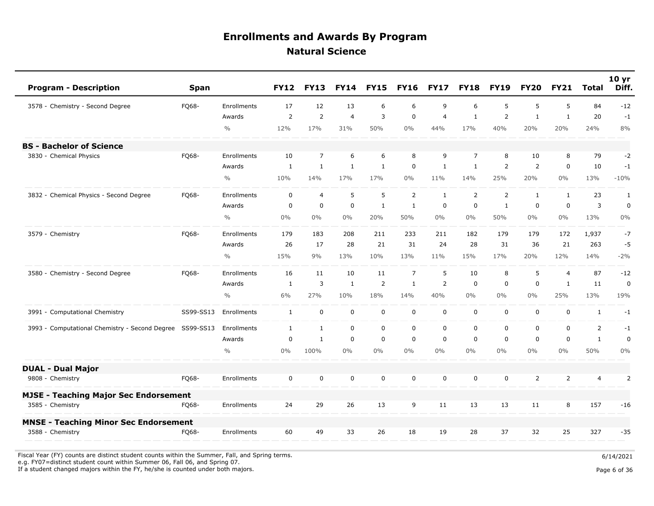| <b>Program - Description</b>                             | <b>Span</b> |               | <b>FY12</b>  | <b>FY13</b>    | <b>FY14</b>    | <b>FY15</b>    | <b>FY16</b>    | <b>FY17</b>    | <b>FY18</b>    | <b>FY19</b>    | <b>FY20</b>    | <b>FY21</b>    | <b>Total</b>   | 10 <sub>yr</sub><br>Diff. |
|----------------------------------------------------------|-------------|---------------|--------------|----------------|----------------|----------------|----------------|----------------|----------------|----------------|----------------|----------------|----------------|---------------------------|
| 3578 - Chemistry - Second Degree                         | FQ68-       | Enrollments   | 17           | 12             | 13             | 6              | 6              | 9              | 6              | 5              | 5              | 5              | 84             | $-12$                     |
|                                                          |             | Awards        | 2            | 2              | $\overline{4}$ | 3              | $\mathbf 0$    | $\overline{4}$ | $\mathbf{1}$   | 2              | $\mathbf{1}$   | $\mathbf{1}$   | 20             | $-1$                      |
|                                                          |             | $\frac{0}{0}$ | 12%          | 17%            | 31%            | 50%            | $0\%$          | 44%            | 17%            | 40%            | 20%            | 20%            | 24%            | 8%                        |
| <b>BS - Bachelor of Science</b>                          |             |               |              |                |                |                |                |                |                |                |                |                |                |                           |
| 3830 - Chemical Physics                                  | FQ68-       | Enrollments   | 10           | $\overline{7}$ | 6              | 6              | 8              | 9              | $\overline{7}$ | 8              | 10             | 8              | 79             | $-2$                      |
|                                                          |             | Awards        | 1            | $\mathbf{1}$   | $\mathbf{1}$   | $\mathbf{1}$   | 0              | $\mathbf{1}$   | 1              | 2              | $\overline{2}$ | $\mathbf 0$    | 10             | $-1$                      |
|                                                          |             | $\frac{0}{0}$ | 10%          | 14%            | 17%            | 17%            | $0\%$          | 11%            | 14%            | 25%            | 20%            | $0\%$          | 13%            | $-10%$                    |
| 3832 - Chemical Physics - Second Degree                  | FQ68-       | Enrollments   | $\mathbf 0$  | $\overline{4}$ | 5              | 5              | $\overline{2}$ | $\mathbf{1}$   | $\overline{2}$ | $\overline{2}$ | $\mathbf{1}$   | $\mathbf{1}$   | 23             | $\mathbf{1}$              |
|                                                          |             | Awards        | $\mathbf 0$  | $\mathbf 0$    | $\mathbf 0$    | $\mathbf{1}$   | $\mathbf{1}$   | $\mathbf 0$    | $\mathbf 0$    | 1              | $\mathbf 0$    | $\mathbf 0$    | 3              | $\pmb{0}$                 |
|                                                          |             | $\frac{0}{0}$ | $0\%$        | $0\%$          | $0\%$          | 20%            | 50%            | $0\%$          | $0\%$          | 50%            | $0\%$          | $0\%$          | 13%            | $0\%$                     |
| 3579 - Chemistry                                         | FO68-       | Enrollments   | 179          | 183            | 208            | 211            | 233            | 211            | 182            | 179            | 179            | 172            | 1,937          | $-7$                      |
|                                                          |             | Awards        | 26           | 17             | 28             | 21             | 31             | 24             | 28             | 31             | 36             | 21             | 263            | $-5$                      |
|                                                          |             | $\frac{0}{0}$ | 15%          | 9%             | 13%            | 10%            | 13%            | 11%            | 15%            | 17%            | 20%            | 12%            | 14%            | $-2%$                     |
| 3580 - Chemistry - Second Degree                         | FQ68-       | Enrollments   | 16           | 11             | 10             | 11             | $\overline{7}$ | 5              | 10             | 8              | 5              | 4              | 87             | $-12$                     |
|                                                          |             | Awards        | 1            | 3              | $\mathbf{1}$   | $\overline{2}$ | $\mathbf{1}$   | 2              | $\mathbf 0$    | $\mathbf 0$    | $\mathbf 0$    | $\mathbf{1}$   | 11             | 0                         |
|                                                          |             | $\frac{0}{0}$ | 6%           | 27%            | 10%            | 18%            | 14%            | 40%            | $0\%$          | $0\%$          | $0\%$          | 25%            | 13%            | 19%                       |
| 3991 - Computational Chemistry                           | SS99-SS13   | Enrollments   | $\mathbf{1}$ | $\mathbf 0$    | $\mathbf 0$    | $\mathsf 0$    | $\mathbf 0$    | $\mathbf 0$    | $\mathbf 0$    | $\mathbf 0$    | $\mathbf 0$    | $\mathbf 0$    | $\mathbf{1}$   | $-1$                      |
| 3993 - Computational Chemistry - Second Degree SS99-SS13 |             | Enrollments   | $\mathbf{1}$ | $\mathbf{1}$   | $\mathbf 0$    | $\mathbf 0$    | 0              | $\mathbf 0$    | $\mathbf 0$    | $\mathbf 0$    | 0              | $\mathbf 0$    | $\overline{2}$ | $-1$                      |
|                                                          |             | Awards        | $\mathbf 0$  | $\mathbf{1}$   | $\mathbf 0$    | $\mathsf 0$    | 0              | $\mathbf 0$    | $\mathbf 0$    | $\mathbf 0$    | $\mathbf 0$    | 0              | $\mathbf{1}$   | $\mathbf 0$               |
|                                                          |             | $\frac{0}{0}$ | 0%           | 100%           | $0\%$          | $0\%$          | $0\%$          | $0\%$          | $0\%$          | $0\%$          | $0\%$          | $0\%$          | 50%            | 0%                        |
| <b>DUAL - Dual Major</b>                                 |             |               |              |                |                |                |                |                |                |                |                |                |                |                           |
| 9808 - Chemistry                                         | FQ68-       | Enrollments   | $\mathbf 0$  | $\mathbf 0$    | $\mathbf 0$    | $\mathbf 0$    | 0              | $\mathbf 0$    | $\mathbf 0$    | $\mathbf 0$    | $\overline{2}$ | $\overline{2}$ | $\overline{4}$ | $\overline{2}$            |
| <b>MJSE - Teaching Major Sec Endorsement</b>             |             |               |              |                |                |                |                |                |                |                |                |                |                |                           |
| 3585 - Chemistry                                         | FQ68-       | Enrollments   | 24           | 29             | 26             | 13             | 9              | 11             | 13             | 13             | 11             | 8              | 157            | $-16$                     |
| <b>MNSE - Teaching Minor Sec Endorsement</b>             |             |               |              |                |                |                |                |                |                |                |                |                |                |                           |
| 3588 - Chemistry                                         | FO68-       | Enrollments   | 60           | 49             | 33             | 26             | 18             | 19             | 28             | 37             | 32             | 25             | 327            | $-35$                     |

Fiscal Year (FY) counts are distinct student counts within the Summer, Fall, and Spring terms.  $6/14/2021$ e.g. FY07=distinct student count within Summer 06, Fall 06, and Spring 07.

If a student changed majors within the FY, he/she is counted under both majors. Page 6 of 36

Page 6 of 36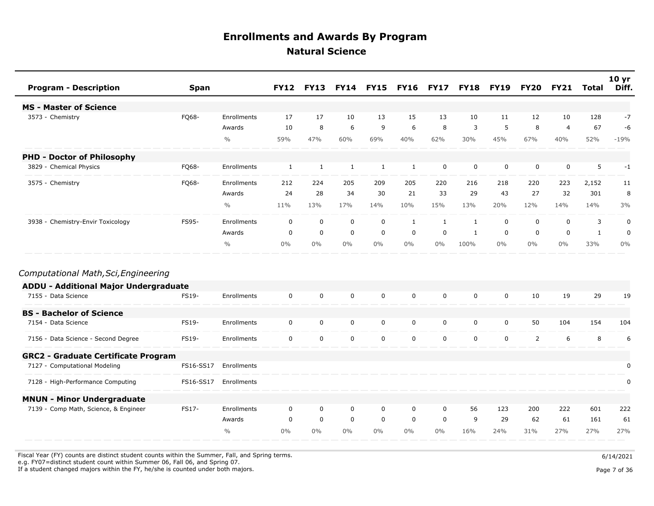| <b>Program - Description</b>               | <b>Span</b> |               | <b>FY12</b>  | <b>FY13</b> | <b>FY14</b>  | <b>FY15</b> | <b>FY16</b>  | <b>FY17</b> | <b>FY18</b>  | <b>FY19</b> | <b>FY20</b>    | <b>FY21</b>    | <b>Total</b> | 10 <sub>yr</sub><br>Diff. |
|--------------------------------------------|-------------|---------------|--------------|-------------|--------------|-------------|--------------|-------------|--------------|-------------|----------------|----------------|--------------|---------------------------|
| <b>MS - Master of Science</b>              |             |               |              |             |              |             |              |             |              |             |                |                |              |                           |
| 3573 - Chemistry                           | FQ68-       | Enrollments   | 17           | 17          | 10           | 13          | 15           | 13          | 10           | 11          | 12             | 10             | 128          | $-7$                      |
|                                            |             | Awards        | 10           | 8           | 6            | 9           | 6            | 8           | 3            | 5           | 8              | $\overline{4}$ | 67           | -6                        |
|                                            |             | $\frac{0}{0}$ | 59%          | 47%         | 60%          | 69%         | 40%          | 62%         | 30%          | 45%         | 67%            | 40%            | 52%          | $-19%$                    |
| <b>PHD - Doctor of Philosophy</b>          |             |               |              |             |              |             |              |             |              |             |                |                |              |                           |
| 3829 - Chemical Physics                    | FQ68-       | Enrollments   | $\mathbf{1}$ | 1           | $\mathbf{1}$ | 1           | $\mathbf{1}$ | $\mathbf 0$ | $\mathbf 0$  | $\mathbf 0$ | $\mathbf 0$    | $\mathbf 0$    | 5            | $-1$                      |
| 3575 - Chemistry                           | FQ68-       | Enrollments   | 212          | 224         | 205          | 209         | 205          | 220         | 216          | 218         | 220            | 223            | 2,152        | 11                        |
|                                            |             | Awards        | 24           | 28          | 34           | 30          | 21           | 33          | 29           | 43          | 27             | 32             | 301          | 8                         |
|                                            |             | $\frac{0}{0}$ | 11%          | 13%         | 17%          | 14%         | 10%          | 15%         | 13%          | 20%         | 12%            | 14%            | 14%          | 3%                        |
| 3938 - Chemistry-Envir Toxicology          | FS95-       | Enrollments   | $\mathbf 0$  | $\mathbf 0$ | $\mathbf 0$  | $\mathbf 0$ | 1            | 1           | $\mathbf{1}$ | $\mathbf 0$ | $\mathbf 0$    | $\mathbf 0$    | 3            | $\mathbf 0$               |
|                                            |             | Awards        | $\mathbf 0$  | $\mathbf 0$ | $\mathbf 0$  | $\mathbf 0$ | $\mathbf 0$  | $\mathbf 0$ | 1            | $\mathbf 0$ | $\mathbf 0$    | $\mathbf 0$    | $\mathbf{1}$ | $\mathbf 0$               |
|                                            |             | $\frac{0}{0}$ | $0\%$        | $0\%$       | $0\%$        | $0\%$       | $0\%$        | $0\%$       | 100%         | $0\%$       | $0\%$          | $0\%$          | 33%          | $0\%$                     |
| Computational Math, Sci, Engineering       |             |               |              |             |              |             |              |             |              |             |                |                |              |                           |
| ADDU - Additional Major Undergraduate      |             |               |              |             |              |             |              |             |              |             |                |                |              |                           |
| 7155 - Data Science                        | FS19-       | Enrollments   | $\mathbf 0$  | $\mathbf 0$ | $\mathbf 0$  | $\mathbf 0$ | $\mathbf 0$  | $\mathbf 0$ | $\mathbf 0$  | $\mathbf 0$ | 10             | 19             | 29           | 19                        |
| <b>BS - Bachelor of Science</b>            |             |               |              |             |              |             |              |             |              |             |                |                |              |                           |
| 7154 - Data Science                        | FS19-       | Enrollments   | $\mathbf 0$  | $\mathbf 0$ | $\mathbf 0$  | $\mathsf 0$ | 0            | $\mathbf 0$ | $\mathbf 0$  | $\mathbf 0$ | 50             | 104            | 154          | 104                       |
| 7156 - Data Science - Second Degree        | FS19-       | Enrollments   | $\mathbf 0$  | $\mathbf 0$ | $\mathbf 0$  | $\mathbf 0$ | 0            | $\mathbf 0$ | $\mathbf 0$  | $\mathbf 0$ | $\overline{2}$ | 6              | 8            | 6                         |
| <b>GRC2 - Graduate Certificate Program</b> |             |               |              |             |              |             |              |             |              |             |                |                |              |                           |
| 7127 - Computational Modeling              | FS16-SS17   | Enrollments   |              |             |              |             |              |             |              |             |                |                |              | $\mathbf 0$               |
| 7128 - High-Performance Computing          | FS16-SS17   | Enrollments   |              |             |              |             |              |             |              |             |                |                |              | 0                         |
| <b>MNUN - Minor Undergraduate</b>          |             |               |              |             |              |             |              |             |              |             |                |                |              |                           |
| 7139 - Comp Math, Science, & Engineer      | FS17-       | Enrollments   | $\mathbf 0$  | $\mathbf 0$ | $\mathbf 0$  | 0           | 0            | $\mathbf 0$ | 56           | 123         | 200            | 222            | 601          | 222                       |
|                                            |             | Awards        | 0            | $\mathbf 0$ | $\mathbf 0$  | $\mathbf 0$ | 0            | 0           | 9            | 29          | 62             | 61             | 161          | 61                        |
|                                            |             | $\frac{0}{0}$ | $0\%$        | $0\%$       | $0\%$        | $0\%$       | $0\%$        | $0\%$       | 16%          | 24%         | 31%            | 27%            | 27%          | 27%                       |

Fiscal Year (FY) counts are distinct student counts within the Summer, Fall, and Spring terms.  $6/14/2021$ 

 e.g. FY07=distinct student count within Summer 06, Fall 06, and Spring 07. If a student changed majors within the FY, he/she is counted under both majors. Page 7 of 36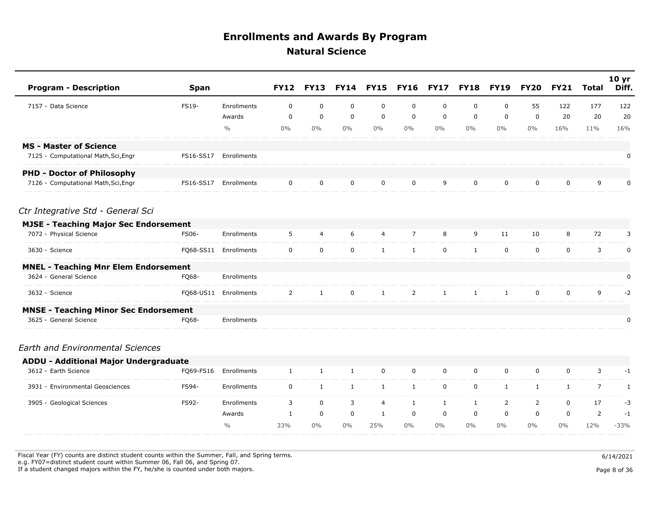| <b>Program - Description</b>                 | <b>Span</b>  |               | <b>FY12</b>    | <b>FY13</b>    | <b>FY14</b>  | <b>FY15</b>    | <b>FY16</b>    | <b>FY17</b>  | <b>FY18</b>  | <b>FY19</b>  | <b>FY20</b>    | <b>FY21</b>  | <b>Total</b>   | 10 <sub>yr</sub><br>Diff. |
|----------------------------------------------|--------------|---------------|----------------|----------------|--------------|----------------|----------------|--------------|--------------|--------------|----------------|--------------|----------------|---------------------------|
| 7157 - Data Science                          | FS19-        | Enrollments   | $\mathbf 0$    | $\mathbf 0$    | $\mathbf 0$  | $\mathbf 0$    | $\mathbf 0$    | $\mathbf 0$  | 0            | $\mathbf 0$  | 55             | 122          | 177            | 122                       |
|                                              |              | Awards        | $\mathbf 0$    | $\mathbf 0$    | $\mathbf 0$  | $\mathbf 0$    | $\mathbf 0$    | $\mathbf 0$  | 0            | 0            | $\mathbf 0$    | 20           | 20             | 20                        |
|                                              |              | $\frac{0}{0}$ | $0\%$          | $0\%$          | $0\%$        | $0\%$          | $0\%$          | $0\%$        | $0\%$        | $0\%$        | $0\%$          | 16%          | 11%            | 16%                       |
| <b>MS - Master of Science</b>                |              |               |                |                |              |                |                |              |              |              |                |              |                |                           |
| 7125 - Computational Math, Sci, Engr         | FS16-SS17    | Enrollments   |                |                |              |                |                |              |              |              |                |              |                | 0                         |
| <b>PHD - Doctor of Philosophy</b>            |              |               |                |                |              |                |                |              |              |              |                |              |                |                           |
| 7126 - Computational Math, Sci, Engr         | FS16-SS17    | Enrollments   | $\mathbf 0$    | $\mathbf 0$    | $\mathbf 0$  | $\mathbf 0$    | $\mathbf 0$    | 9            | $\mathbf 0$  | $\mathbf 0$  | 0              | $\mathbf 0$  | 9              | 0                         |
| Ctr Integrative Std - General Sci            |              |               |                |                |              |                |                |              |              |              |                |              |                |                           |
| <b>MJSE - Teaching Major Sec Endorsement</b> |              |               |                |                |              |                |                |              |              |              |                |              |                |                           |
| 7072 - Physical Science                      | <b>FS06-</b> | Enrollments   | 5              | $\overline{4}$ | 6            | $\overline{4}$ | $\overline{7}$ | 8            | 9            | 11           | 10             | 8            | 72             | 3                         |
| 3630 - Science                               | FQ68-SS11    | Enrollments   | $\mathsf{O}$   | $\mathbf 0$    | $\mathbf 0$  | $\mathbf{1}$   | $\mathbf{1}$   | $\mathbf 0$  | $\mathbf{1}$ | $\mathbf 0$  | 0              | $\mathbf 0$  | 3              | $\pmb{0}$                 |
| <b>MNEL - Teaching Mnr Elem Endorsement</b>  |              |               |                |                |              |                |                |              |              |              |                |              |                |                           |
| 3624 - General Science                       | FQ68-        | Enrollments   |                |                |              |                |                |              |              |              |                |              |                | 0                         |
| 3632 - Science                               | FQ68-US11    | Enrollments   | $\overline{2}$ | $\mathbf{1}$   | $\mathbf 0$  | $\mathbf{1}$   | $\overline{2}$ | $\mathbf{1}$ | $\mathbf{1}$ | $\mathbf{1}$ | $\mathbf 0$    | $\mathbf 0$  | 9              | $-2$                      |
| <b>MNSE - Teaching Minor Sec Endorsement</b> |              |               |                |                |              |                |                |              |              |              |                |              |                |                           |
| 3625 - General Science                       | FQ68-        | Enrollments   |                |                |              |                |                |              |              |              |                |              |                | 0                         |
| <b>Earth and Environmental Sciences</b>      |              |               |                |                |              |                |                |              |              |              |                |              |                |                           |
| <b>ADDU - Additional Major Undergraduate</b> |              |               |                |                |              |                |                |              |              |              |                |              |                |                           |
| 3612 - Earth Science                         | FQ69-FS16    | Enrollments   | $\mathbf{1}$   | $\mathbf{1}$   | $\mathbf{1}$ | $\mathbf 0$    | $\mathbf 0$    | $\mathbf 0$  | 0            | 0            | 0              | $\mathbf 0$  | 3              | $-1$                      |
| 3931 - Environmental Geosciences             | FS94-        | Enrollments   | $\mathbf 0$    | $\mathbf{1}$   | 1            | $\mathbf{1}$   | $\mathbf{1}$   | $\mathbf 0$  | $\mathbf 0$  | $\mathbf{1}$ | $\mathbf{1}$   | $\mathbf{1}$ | $\overline{7}$ | 1                         |
| 3905 - Geological Sciences                   | FS92-        | Enrollments   | 3              | $\mathbf 0$    | 3            | 4              | $\mathbf{1}$   | $\mathbf{1}$ | 1            | 2            | $\overline{2}$ | $\mathbf 0$  | 17             | $-3$                      |
|                                              |              | Awards        | 1              | $\mathbf 0$    | $\mathbf 0$  | $\mathbf{1}$   | $\mathbf 0$    | $\mathbf 0$  | $\mathbf 0$  | $\mathbf 0$  | $\mathbf 0$    | $\mathbf 0$  | $\overline{2}$ | $-1$                      |
|                                              |              | $\frac{0}{0}$ | 33%            | $0\%$          | $0\%$        | 25%            | $0\%$          | $0\%$        | $0\%$        | $0\%$        | $0\%$          | $0\%$        | 12%            | $-33%$                    |

Fiscal Year (FY) counts are distinct student counts within the Summer, Fall, and Spring terms.  $6/14/2021$ e.g. FY07=distinct student count within Summer 06, Fall 06, and Spring 07.

If a student changed majors within the FY, he/she is counted under both majors. Page 8 of 36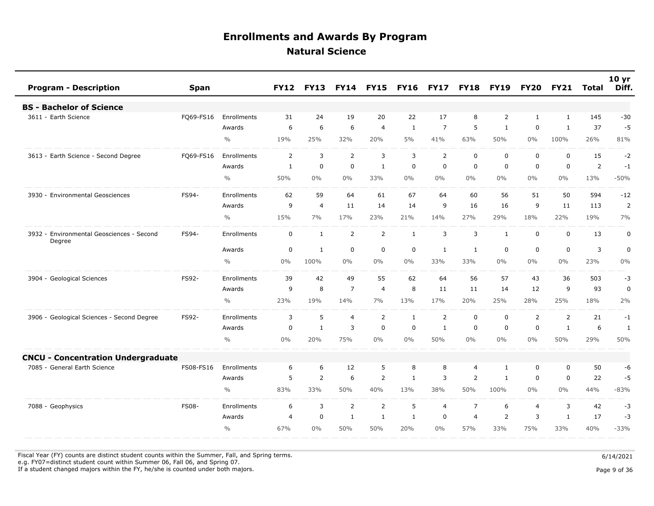| <b>Program - Description</b>                        | <b>Span</b>  |                    | <b>FY12</b>    | <b>FY13</b>    | <b>FY14</b>    | <b>FY15</b>    | <b>FY16</b>  | <b>FY17</b>    | <b>FY18</b>    | <b>FY19</b>    | <b>FY20</b>    | <b>FY21</b>    | Total | 10 <sub>yr</sub><br>Diff. |
|-----------------------------------------------------|--------------|--------------------|----------------|----------------|----------------|----------------|--------------|----------------|----------------|----------------|----------------|----------------|-------|---------------------------|
| <b>BS - Bachelor of Science</b>                     |              |                    |                |                |                |                |              |                |                |                |                |                |       |                           |
| 3611 - Earth Science                                | FQ69-FS16    | Enrollments        | 31             | 24             | 19             | 20             | 22           | 17             | 8              | 2              | $\mathbf{1}$   | $\mathbf{1}$   | 145   | $-30$                     |
|                                                     |              | Awards             | 6              | 6              | 6              | $\overline{4}$ | 1            | $\overline{7}$ | 5              | 1              | 0              | 1              | 37    | $-5$                      |
|                                                     |              | $\frac{0}{0}$      | 19%            | 25%            | 32%            | 20%            | 5%           | 41%            | 63%            | 50%            | $0\%$          | 100%           | 26%   | 81%                       |
| 3613 - Earth Science - Second Degree                | FQ69-FS16    | Enrollments        | 2              | 3              | $\overline{2}$ | $\overline{3}$ | 3            | $\overline{2}$ | $\mathbf 0$    | $\mathbf 0$    | $\mathbf 0$    | 0              | 15    | $-2$                      |
|                                                     |              | Awards             | $\mathbf{1}$   | $\mathbf 0$    | $\mathbf 0$    | $\mathbf{1}$   | $\mathbf 0$  | $\Omega$       | $\mathbf 0$    | $\mathbf 0$    | $\Omega$       | $\mathbf{0}$   | 2     | $-1$                      |
|                                                     |              | $\frac{0}{0}$      | 50%            | $0\%$          | 0%             | 33%            | $0\%$        | $0\%$          | $0\%$          | $0\%$          | $0\%$          | $0\%$          | 13%   | $-50%$                    |
| 3930 - Environmental Geosciences                    | FS94-        | <b>Enrollments</b> | 62             | 59             | 64             | 61             | 67           | 64             | 60             | 56             | 51             | 50             | 594   | $-12$                     |
|                                                     |              | Awards             | 9              | $\overline{4}$ | 11             | 14             | 14           | 9              | 16             | 16             | 9              | 11             | 113   | $\overline{2}$            |
|                                                     |              | $\frac{0}{0}$      | 15%            | 7%             | 17%            | 23%            | 21%          | 14%            | 27%            | 29%            | 18%            | 22%            | 19%   | 7%                        |
| 3932 - Environmental Geosciences - Second<br>Degree | FS94-        | Enrollments        | $\mathbf 0$    | $\mathbf{1}$   | $\overline{2}$ | $\overline{2}$ | $\mathbf{1}$ | 3              | 3              | $\mathbf{1}$   | $\mathbf 0$    | $\mathbf 0$    | 13    | $\boldsymbol{0}$          |
|                                                     |              | Awards             | 0              | 1              | $\mathbf 0$    | $\mathbf 0$    | 0            | 1              | $\mathbf{1}$   | $\mathbf 0$    | $\mathbf 0$    | 0              | 3     | $\pmb{0}$                 |
|                                                     |              | $\frac{0}{0}$      | 0%             | 100%           | $0\%$          | $0\%$          | $0\%$        | 33%            | 33%            | $0\%$          | $0\%$          | $0\%$          | 23%   | 0%                        |
| 3904 - Geological Sciences                          | FS92-        | Enrollments        | 39             | 42             | 49             | 55             | 62           | 64             | 56             | 57             | 43             | 36             | 503   | -3                        |
|                                                     |              | Awards             | 9              | 8              | $\overline{7}$ | $\overline{4}$ | 8            | 11             | 11             | 14             | 12             | 9              | 93    | 0                         |
|                                                     |              | $\frac{0}{0}$      | 23%            | 19%            | 14%            | 7%             | 13%          | 17%            | 20%            | 25%            | 28%            | 25%            | 18%   | 2%                        |
| 3906 - Geological Sciences - Second Degree          | FS92-        | <b>Enrollments</b> | 3              | 5              | $\overline{4}$ | $\overline{2}$ | 1            | $\overline{2}$ | $\mathbf 0$    | $\mathbf 0$    | $\overline{2}$ | $\overline{2}$ | 21    | $-1$                      |
|                                                     |              | Awards             | $\mathbf 0$    | $\mathbf{1}$   | 3              | $\mathbf 0$    | $\mathbf 0$  | $\mathbf{1}$   | $\mathbf 0$    | $\mathbf 0$    | $\mathbf 0$    | $\mathbf{1}$   | 6     | $\mathbf{1}$              |
|                                                     |              | $\frac{0}{0}$      | 0%             | 20%            | 75%            | $0\%$          | 0%           | 50%            | $0\%$          | $0\%$          | $0\%$          | 50%            | 29%   | 50%                       |
| <b>CNCU - Concentration Undergraduate</b>           |              |                    |                |                |                |                |              |                |                |                |                |                |       |                           |
| - General Earth Science<br>7085                     | FS08-FS16    | Enrollments        | 6              | 6              | 12             | 5              | 8            | 8              | $\overline{4}$ | $\mathbf{1}$   | $\mathbf 0$    | $\mathbf 0$    | 50    | -6                        |
|                                                     |              | Awards             | 5              | $\overline{2}$ | 6              | 2              | 1            | 3              | 2              | $\mathbf{1}$   | $\Omega$       | 0              | 22    | $-5$                      |
|                                                     |              | $\frac{0}{0}$      | 83%            | 33%            | 50%            | 40%            | 13%          | 38%            | 50%            | 100%           | $0\%$          | $0\%$          | 44%   | $-83%$                    |
| 7088 - Geophysics                                   | <b>FS08-</b> | Enrollments        | 6              | 3              | $\overline{2}$ | $\overline{2}$ | 5            | $\overline{4}$ | $\overline{7}$ | 6              | $\overline{4}$ | 3              | 42    | $-3$                      |
|                                                     |              | Awards             | $\overline{4}$ | $\mathbf 0$    | $\mathbf{1}$   | $\mathbf{1}$   | 1            | 0              | $\overline{4}$ | $\overline{2}$ | 3              | $\mathbf{1}$   | 17    | $-3$                      |
|                                                     |              | $\frac{0}{0}$      | 67%            | 0%             | 50%            | 50%            | 20%          | $0\%$          | 57%            | 33%            | 75%            | 33%            | 40%   | $-33%$                    |

Fiscal Year (FY) counts are distinct student counts within the Summer, Fall, and Spring terms.  $6/14/2021$ 

e.g. FY07=distinct student count within Summer 06, Fall 06, and Spring 07.

If a student changed majors within the FY, he/she is counted under both majors. Page 9 of 36

Page 9 of 36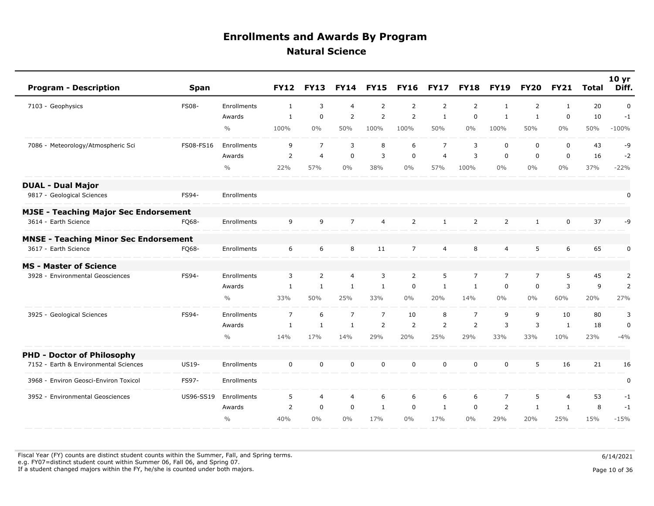| <b>Program - Description</b>                 | <b>Span</b>  |               | <b>FY12</b>    | <b>FY13</b>    | <b>FY14</b>    | <b>FY15</b>    | <b>FY16</b>    | <b>FY17</b>    | <b>FY18</b>    | <b>FY19</b>    | <b>FY20</b>    | <b>FY21</b>    | <b>Total</b> | 10 <sub>yr</sub><br>Diff. |
|----------------------------------------------|--------------|---------------|----------------|----------------|----------------|----------------|----------------|----------------|----------------|----------------|----------------|----------------|--------------|---------------------------|
| 7103 - Geophysics                            | <b>FS08-</b> | Enrollments   | 1              | 3              | $\overline{4}$ | 2              | $\overline{2}$ | $\overline{2}$ | $\overline{2}$ | $\mathbf{1}$   | $\overline{2}$ | $\mathbf{1}$   | 20           | $\pmb{0}$                 |
|                                              |              | Awards        | $\mathbf{1}$   | $\overline{0}$ | $\overline{2}$ | $\overline{2}$ | $\overline{2}$ | $\mathbf{1}$   | $\mathbf 0$    | $\mathbf{1}$   | $\mathbf{1}$   | $\mathbf 0$    | 10           | $-1$                      |
|                                              |              | $\frac{0}{0}$ | 100%           | $0\%$          | 50%            | 100%           | 100%           | 50%            | $0\%$          | 100%           | 50%            | $0\%$          | 50%          | $-100%$                   |
| 7086 - Meteorology/Atmospheric Sci           | FS08-FS16    | Enrollments   | 9              | $\overline{7}$ | 3              | 8              | 6              | $\overline{7}$ | 3              | $\mathbf 0$    | $\mathbf 0$    | $\mathbf 0$    | 43           | -9                        |
|                                              |              | Awards        | $\overline{2}$ | $\overline{4}$ | $\mathbf 0$    | 3              | $\mathbf 0$    | $\overline{4}$ | 3              | $\mathbf 0$    | $\mathbf 0$    | $\mathbf 0$    | 16           | $-2$                      |
|                                              |              | $\frac{0}{0}$ | 22%            | 57%            | $0\%$          | 38%            | $0\%$          | 57%            | 100%           | $0\%$          | $0\%$          | $0\%$          | 37%          | $-22%$                    |
| <b>DUAL - Dual Major</b>                     |              |               |                |                |                |                |                |                |                |                |                |                |              |                           |
| 9817 - Geological Sciences                   | FS94-        | Enrollments   |                |                |                |                |                |                |                |                |                |                |              | 0                         |
| <b>MJSE - Teaching Major Sec Endorsement</b> |              |               |                |                |                |                |                |                |                |                |                |                |              |                           |
| 3614 - Earth Science                         | FQ68-        | Enrollments   | 9              | 9              | $\overline{7}$ | $\overline{4}$ | $\overline{2}$ | $\mathbf{1}$   | $\overline{2}$ | $\overline{2}$ | $\mathbf{1}$   | $\mathbf 0$    | 37           | -9                        |
| <b>MNSE - Teaching Minor Sec Endorsement</b> |              |               |                |                |                |                |                |                |                |                |                |                |              |                           |
| 3617 - Earth Science                         | FO68-        | Enrollments   | 6              | 6              | 8              | 11             | $\overline{7}$ | $\overline{4}$ | 8              | $\overline{4}$ | 5              | 6              | 65           | 0                         |
| <b>MS - Master of Science</b>                |              |               |                |                |                |                |                |                |                |                |                |                |              |                           |
| 3928 - Environmental Geosciences             | FS94-        | Enrollments   | 3              | 2              | $\overline{4}$ | 3              | $\overline{2}$ | 5              | $\overline{7}$ | $\overline{7}$ | $\overline{7}$ | 5              | 45           | $\overline{2}$            |
|                                              |              | Awards        | $\mathbf{1}$   | $\mathbf{1}$   | $\mathbf{1}$   | $\mathbf{1}$   | $\mathbf 0$    | $\mathbf{1}$   | $\mathbf{1}$   | $\mathbf 0$    | $\mathbf 0$    | 3              | 9            | $\overline{2}$            |
|                                              |              | $\frac{0}{0}$ | 33%            | 50%            | 25%            | 33%            | $0\%$          | 20%            | 14%            | $0\%$          | $0\%$          | 60%            | 20%          | 27%                       |
| 3925 - Geological Sciences                   | FS94-        | Enrollments   | $\overline{7}$ | 6              | $\overline{7}$ | $\overline{7}$ | 10             | 8              | $\overline{7}$ | 9              | 9              | 10             | 80           | 3                         |
|                                              |              | Awards        | $\mathbf{1}$   | $\mathbf{1}$   | $\mathbf{1}$   | 2              | $\overline{2}$ | $\overline{2}$ | $\overline{2}$ | $\overline{3}$ | 3              | $\mathbf{1}$   | 18           | $\mathbf 0$               |
|                                              |              | $\frac{0}{0}$ | 14%            | 17%            | 14%            | 29%            | 20%            | 25%            | 29%            | 33%            | 33%            | 10%            | 23%          | $-4%$                     |
| <b>PHD - Doctor of Philosophy</b>            |              |               |                |                |                |                |                |                |                |                |                |                |              |                           |
| 7152 - Earth & Environmental Sciences        | US19-        | Enrollments   | $\mathbf 0$    | $\mathbf 0$    | $\mathbf 0$    | $\mathbf 0$    | $\mathbf 0$    | $\mathbf 0$    | $\mathbf 0$    | $\mathbf 0$    | 5              | 16             | 21           | 16                        |
| 3968 - Environ Geosci-Environ Toxicol        | FS97-        | Enrollments   |                |                |                |                |                |                |                |                |                |                |              | 0                         |
| 3952 - Environmental Geosciences             | US96-SS19    | Enrollments   | 5              | $\overline{4}$ | 4              | 6              | 6              | 6              | 6              | $\overline{7}$ | 5              | $\overline{4}$ | 53           | $-1$                      |
|                                              |              | Awards        | 2              | $\mathbf 0$    | $\mathbf 0$    | $\mathbf{1}$   | 0              | 1              | $\mathbf 0$    | 2              | $\mathbf{1}$   | 1              | 8            | $-1$                      |
|                                              |              | $\frac{0}{0}$ | 40%            | $0\%$          | $0\%$          | 17%            | $0\%$          | 17%            | $0\%$          | 29%            | 20%            | 25%            | 15%          | $-15%$                    |

Fiscal Year (FY) counts are distinct student counts within the Summer, Fall, and Spring terms.  $6/14/2021$  e.g. FY07=distinct student count within Summer 06, Fall 06, and Spring 07. If a student changed majors within the FY, he/she is counted under both majors. Page 10 of 36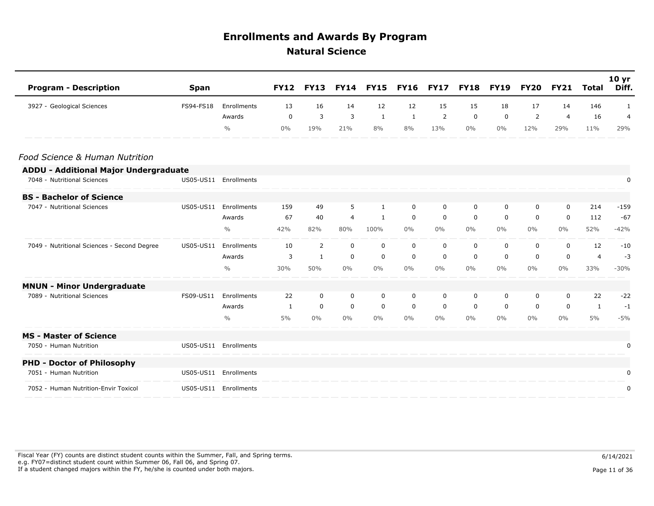| <b>Program - Description</b>                 | <b>Span</b> |                       | <b>FY12</b> | <b>FY13</b> | <b>FY14</b>    | <b>FY15</b>  | <b>FY16</b> | <b>FY17</b> | <b>FY18</b> | <b>FY19</b> | FY20        | <b>FY21</b>    | Total          | 10 <sub>yr</sub><br>Diff. |
|----------------------------------------------|-------------|-----------------------|-------------|-------------|----------------|--------------|-------------|-------------|-------------|-------------|-------------|----------------|----------------|---------------------------|
| 3927 - Geological Sciences                   | FS94-FS18   | Enrollments           | 13          | 16          | 14             | 12           | 12          | 15          | 15          | 18          | 17          | 14             | 146            | 1                         |
|                                              |             | Awards                | 0           | 3           | 3              | 1            | 1           | 2           | 0           | 0           | 2           | $\overline{4}$ | 16             | $\overline{4}$            |
|                                              |             | $\frac{0}{0}$         | $0\%$       | 19%         | 21%            | 8%           | 8%          | 13%         | $0\%$       | $0\%$       | 12%         | 29%            | 11%            | 29%                       |
| Food Science & Human Nutrition               |             |                       |             |             |                |              |             |             |             |             |             |                |                |                           |
| <b>ADDU - Additional Major Undergraduate</b> |             |                       |             |             |                |              |             |             |             |             |             |                |                |                           |
| 7048 - Nutritional Sciences                  |             | US05-US11 Enrollments |             |             |                |              |             |             |             |             |             |                |                | 0                         |
| <b>BS - Bachelor of Science</b>              |             |                       |             |             |                |              |             |             |             |             |             |                |                |                           |
| 7047 - Nutritional Sciences                  | US05-US11   | Enrollments           | 159         | 49          | 5              | 1            | $\mathbf 0$ | 0           | 0           | $\mathbf 0$ | $\mathbf 0$ | $\mathbf 0$    | 214            | $-159$                    |
|                                              |             | Awards                | 67          | 40          | $\overline{4}$ | $\mathbf{1}$ | 0           | $\mathbf 0$ | $\mathbf 0$ | $\mathbf 0$ | $\mathbf 0$ | $\mathbf 0$    | 112            | $-67$                     |
|                                              |             | $\frac{0}{0}$         | 42%         | 82%         | 80%            | 100%         | $0\%$       | $0\%$       | $0\%$       | $0\%$       | $0\%$       | $0\%$          | 52%            | $-42%$                    |
| 7049 - Nutritional Sciences - Second Degree  | US05-US11   | Enrollments           | 10          | 2           | 0              | $\mathbf 0$  | 0           | 0           | 0           | 0           | 0           | 0              | 12             | $-10$                     |
|                                              |             | Awards                | 3           | 1           | $\mathbf 0$    | $\mathbf 0$  | 0           | 0           | 0           | 0           | 0           | $\mathbf 0$    | $\overline{4}$ | $-3$                      |
|                                              |             | $\frac{0}{0}$         | 30%         | 50%         | $0\%$          | $0\%$        | $0\%$       | $0\%$       | $0\%$       | $0\%$       | $0\%$       | $0\%$          | 33%            | $-30%$                    |
| <b>MNUN - Minor Undergraduate</b>            |             |                       |             |             |                |              |             |             |             |             |             |                |                |                           |
| 7089 - Nutritional Sciences                  | FS09-US11   | Enrollments           | 22          | 0           | 0              | 0            | 0           | 0           | 0           | 0           | 0           | 0              | 22             | $-22$                     |
|                                              |             | Awards                | 1           | $\mathbf 0$ | $\mathbf 0$    | $\mathbf 0$  | 0           | 0           | 0           | 0           | 0           | $\Omega$       | $\mathbf{1}$   | $-1$                      |
|                                              |             | $\frac{0}{0}$         | 5%          | $0\%$       | $0\%$          | $0\%$        | $0\%$       | $0\%$       | $0\%$       | $0\%$       | $0\%$       | $0\%$          | 5%             | $-5%$                     |
| <b>MS - Master of Science</b>                |             |                       |             |             |                |              |             |             |             |             |             |                |                |                           |
| 7050 - Human Nutrition                       |             | US05-US11 Enrollments |             |             |                |              |             |             |             |             |             |                |                | 0                         |
| <b>PHD - Doctor of Philosophy</b>            |             |                       |             |             |                |              |             |             |             |             |             |                |                |                           |
| 7051 - Human Nutrition                       |             | US05-US11 Enrollments |             |             |                |              |             |             |             |             |             |                |                | 0                         |
| 7052 - Human Nutrition-Envir Toxicol         |             | US05-US11 Enrollments |             |             |                |              |             |             |             |             |             |                |                | 0                         |

Fiscal Year (FY) counts are distinct student counts within the Summer, Fall, and Spring terms.  $6/14/2021$  e.g. FY07=distinct student count within Summer 06, Fall 06, and Spring 07. If a student changed majors within the FY, he/she is counted under both majors. Page 11 of 36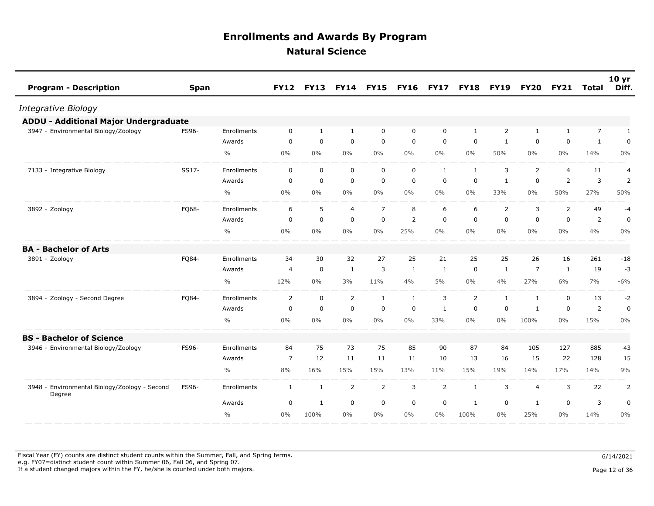| <b>Program - Description</b>                            | <b>Span</b> |               | <b>FY12</b>    | <b>FY13</b>  | <b>FY14</b>    | <b>FY15</b>    | <b>FY16</b>  | <b>FY17</b>    | <b>FY18</b>  | <b>FY19</b>    | <b>FY20</b>    | <b>FY21</b>    | <b>Total</b>   | 10 <sub>yr</sub><br>Diff. |
|---------------------------------------------------------|-------------|---------------|----------------|--------------|----------------|----------------|--------------|----------------|--------------|----------------|----------------|----------------|----------------|---------------------------|
| Integrative Biology                                     |             |               |                |              |                |                |              |                |              |                |                |                |                |                           |
| <b>ADDU - Additional Major Undergraduate</b>            |             |               |                |              |                |                |              |                |              |                |                |                |                |                           |
| 3947 - Environmental Biology/Zoology                    | FS96-       | Enrollments   | $\mathbf 0$    | $\mathbf{1}$ | $\mathbf{1}$   | $\mathbf 0$    | 0            | $\mathbf 0$    | 1            | $\overline{2}$ | $\mathbf{1}$   | $\mathbf{1}$   | $\overline{7}$ | $\mathbf{1}$              |
|                                                         |             | Awards        | $\mathbf 0$    | $\mathbf 0$  | $\mathbf 0$    | $\mathbf 0$    | $\mathbf 0$  | $\mathbf 0$    | $\mathbf 0$  | $\mathbf{1}$   | 0              | $\mathbf 0$    | $\mathbf 1$    | $\mathbf 0$               |
|                                                         |             | $\frac{0}{0}$ | $0\%$          | $0\%$        | $0\%$          | $0\%$          | $0\%$        | $0\%$          | $0\%$        | 50%            | 0%             | $0\%$          | 14%            | 0%                        |
| 7133 - Integrative Biology                              | SS17-       | Enrollments   | 0              | $\mathbf 0$  | $\mathbf 0$    | $\mathbf 0$    | 0            | $\mathbf{1}$   | $\mathbf{1}$ | 3              | 2              | $\overline{4}$ | 11             | $\overline{4}$            |
|                                                         |             | Awards        | $\Omega$       | $\mathbf 0$  | $\mathbf 0$    | $\mathbf 0$    | $\mathbf 0$  | $\mathbf 0$    | 0            | $\mathbf{1}$   | $\mathbf 0$    | 2              | 3              | $\overline{2}$            |
|                                                         |             | $\frac{0}{0}$ | $0\%$          | $0\%$        | 0%             | $0\%$          | $0\%$        | $0\%$          | $0\%$        | 33%            | 0%             | 50%            | 27%            | 50%                       |
| 3892 - Zoology                                          | FQ68-       | Enrollments   | 6              | 5            | $\overline{4}$ | $\overline{7}$ | 8            | 6              | 6            | 2              | 3              | 2              | 49             | $-4$                      |
|                                                         |             | Awards        | 0              | $\mathbf 0$  | $\mathbf 0$    | $\mathbf 0$    | 2            | $\mathbf 0$    | $\mathbf 0$  | $\mathbf 0$    | $\mathbf 0$    | $\Omega$       | $\overline{2}$ | $\mathbf 0$               |
|                                                         |             | $\frac{0}{0}$ | $0\%$          | $0\%$        | $0\%$          | $0\%$          | 25%          | $0\%$          | $0\%$        | $0\%$          | $0\%$          | $0\%$          | 4%             | $0\%$                     |
| <b>BA - Bachelor of Arts</b>                            |             |               |                |              |                |                |              |                |              |                |                |                |                |                           |
| 3891 - Zoology                                          | FQ84-       | Enrollments   | 34             | 30           | 32             | 27             | 25           | 21             | 25           | 25             | 26             | 16             | 261            | $-18$                     |
|                                                         |             | Awards        | $\overline{4}$ | $\mathbf 0$  | $\mathbf{1}$   | 3              | $\mathbf{1}$ | $\mathbf{1}$   | $\mathbf 0$  | $\mathbf{1}$   | $\overline{7}$ | $\mathbf{1}$   | 19             | $-3$                      |
|                                                         |             | $\frac{0}{0}$ | 12%            | $0\%$        | 3%             | 11%            | 4%           | $5\%$          | $0\%$        | 4%             | 27%            | 6%             | 7%             | $-6%$                     |
| 3894 - Zoology - Second Degree                          | FQ84-       | Enrollments   | $\overline{2}$ | $\mathbf 0$  | 2              | $\mathbf{1}$   | $\mathbf{1}$ | 3              | 2            | $\mathbf{1}$   | $\mathbf{1}$   | $\mathbf 0$    | 13             | $-2$                      |
|                                                         |             | Awards        | $\mathbf 0$    | $\mathbf 0$  | $\mathbf 0$    | $\mathbf 0$    | $\mathbf 0$  | $\mathbf{1}$   | $\mathbf 0$  | $\mathbf 0$    | 1              | $\mathbf 0$    | $\overline{2}$ | $\mathbf 0$               |
|                                                         |             | $\frac{0}{0}$ | $0\%$          | $0\%$        | $0\%$          | $0\%$          | $0\%$        | 33%            | $0\%$        | $0\%$          | 100%           | $0\%$          | 15%            | $0\%$                     |
| <b>BS - Bachelor of Science</b>                         |             |               |                |              |                |                |              |                |              |                |                |                |                |                           |
| 3946 - Environmental Biology/Zoology                    | FS96-       | Enrollments   | 84             | 75           | 73             | 75             | 85           | 90             | 87           | 84             | 105            | 127            | 885            | 43                        |
|                                                         |             | Awards        | $\overline{7}$ | 12           | 11             | 11             | 11           | 10             | 13           | 16             | 15             | 22             | 128            | 15                        |
|                                                         |             | $\frac{0}{0}$ | 8%             | 16%          | 15%            | 15%            | 13%          | 11%            | 15%          | 19%            | 14%            | 17%            | 14%            | 9%                        |
| 3948 - Environmental Biology/Zoology - Second<br>Degree | FS96-       | Enrollments   | $\mathbf{1}$   | $\mathbf{1}$ | $\overline{2}$ | $\overline{2}$ | 3            | $\overline{2}$ | $\mathbf{1}$ | 3              | $\overline{4}$ | 3              | 22             | 2                         |
|                                                         |             | Awards        | 0              | $\mathbf{1}$ | $\mathbf 0$    | $\mathbf 0$    | $\mathbf 0$  | $\mathbf 0$    | $\mathbf{1}$ | 0              | 1              | $\mathbf 0$    | 3              | $\pmb{0}$                 |
|                                                         |             | $\frac{0}{0}$ | $0\%$          | 100%         | $0\%$          | $0\%$          | $0\%$        | $0\%$          | 100%         | $0\%$          | 25%            | $0\%$          | 14%            | 0%                        |

Fiscal Year (FY) counts are distinct student counts within the Summer, Fall, and Spring terms.  $6/14/2021$  e.g. FY07=distinct student count within Summer 06, Fall 06, and Spring 07. If a student changed majors within the FY, he/she is counted under both majors. Page 12 of 36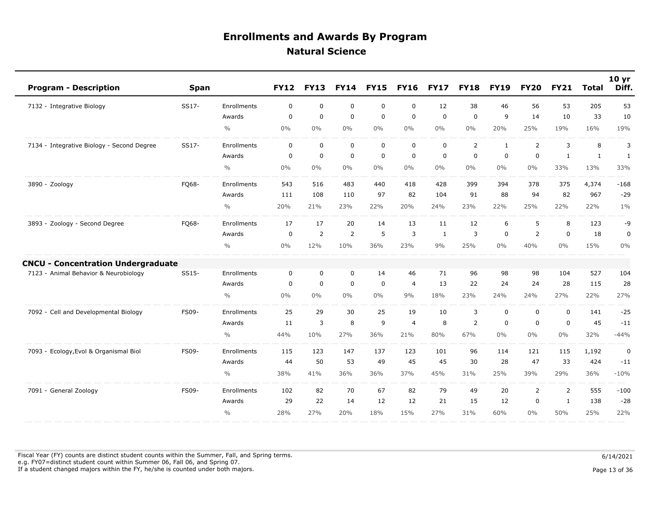| <b>Program - Description</b>               | <b>Span</b> |               | <b>FY12</b> | <b>FY13</b> | <b>FY14</b>    | <b>FY15</b> | <b>FY16</b>    | <b>FY17</b> | <b>FY18</b>    | <b>FY19</b>    | <b>FY20</b>    | <b>FY21</b>    | <b>Total</b> | 10 <sub>yr</sub><br>Diff. |
|--------------------------------------------|-------------|---------------|-------------|-------------|----------------|-------------|----------------|-------------|----------------|----------------|----------------|----------------|--------------|---------------------------|
| 7132 - Integrative Biology                 | SS17-       | Enrollments   | 0           | $\mathbf 0$ | $\mathbf 0$    | 0           | $\mathbf 0$    | 12          | 38             | 46             | 56             | 53             | 205          | 53                        |
|                                            |             | Awards        | $\mathbf 0$ | $\mathbf 0$ | $\mathbf 0$    | $\mathbf 0$ | $\mathbf 0$    | $\mathbf 0$ | $\mathbf 0$    | 9              | 14             | 10             | 33           | 10                        |
|                                            |             | $\frac{0}{0}$ | 0%          | $0\%$       | $0\%$          | $0\%$       | $0\%$          | $0\%$       | $0\%$          | 20%            | 25%            | 19%            | 16%          | 19%                       |
| 7134 - Integrative Biology - Second Degree | SS17-       | Enrollments   | $\mathbf 0$ | $\mathbf 0$ | $\mathbf 0$    | 0           | $\mathbf 0$    | $\mathbf 0$ | 2              | $\mathbf{1}$   | 2              | 3              | 8            | 3                         |
|                                            |             | Awards        | $\mathbf 0$ | $\mathbf 0$ | $\mathbf 0$    | $\mathsf 0$ | $\mathbf 0$    | $\mathbf 0$ | $\mathsf 0$    | $\overline{0}$ | $\mathbf 0$    | $\mathbf{1}$   | $\mathbf{1}$ | $\mathbf{1}$              |
|                                            |             | $\frac{0}{0}$ | $0\%$       | $0\%$       | $0\%$          | $0\%$       | $0\%$          | $0\%$       | $0\%$          | $0\%$          | $0\%$          | 33%            | 13%          | 33%                       |
| 3890 - Zoology                             | FQ68-       | Enrollments   | 543         | 516         | 483            | 440         | 418            | 428         | 399            | 394            | 378            | 375            | 4,374        | $-168$                    |
|                                            |             | Awards        | 111         | 108         | 110            | 97          | 82             | 104         | 91             | 88             | 94             | 82             | 967          | $-29$                     |
|                                            |             | $\frac{0}{0}$ | 20%         | 21%         | 23%            | 22%         | 20%            | 24%         | 23%            | 22%            | 25%            | 22%            | 22%          | $1\%$                     |
| 3893 - Zoology - Second Degree             | FQ68-       | Enrollments   | 17          | 17          | 20             | 14          | 13             | 11          | 12             | 6              | 5              | 8              | 123          | -9                        |
|                                            |             | Awards        | $\mathbf 0$ | 2           | $\overline{2}$ | 5           | 3              | 1           | 3              | $\mathbf 0$    | $\overline{2}$ | $\mathbf 0$    | 18           | $\pmb{0}$                 |
|                                            |             | $\frac{0}{0}$ | 0%          | 12%         | 10%            | 36%         | 23%            | 9%          | 25%            | $0\%$          | 40%            | 0%             | 15%          | $0\%$                     |
| <b>CNCU - Concentration Undergraduate</b>  |             |               |             |             |                |             |                |             |                |                |                |                |              |                           |
| 7123 - Animal Behavior & Neurobiology      | SS15-       | Enrollments   | 0           | 0           | $\mathbf 0$    | 14          | 46             | 71          | 96             | 98             | 98             | 104            | 527          | 104                       |
|                                            |             | Awards        | $\mathbf 0$ | $\mathbf 0$ | $\mathbf 0$    | $\mathbf 0$ | $\overline{4}$ | 13          | 22             | 24             | 24             | 28             | 115          | 28                        |
|                                            |             | $\frac{0}{0}$ | $0\%$       | $0\%$       | $0\%$          | $0\%$       | 9%             | 18%         | 23%            | 24%            | 24%            | 27%            | 22%          | 27%                       |
| 7092 - Cell and Developmental Biology      | FS09-       | Enrollments   | 25          | 29          | 30             | 25          | 19             | 10          | 3              | $\mathbf 0$    | 0              | $\mathbf 0$    | 141          | $-25$                     |
|                                            |             | Awards        | 11          | 3           | 8              | 9           | $\overline{4}$ | 8           | $\overline{2}$ | $\overline{0}$ | 0              | $\mathbf 0$    | 45           | $-11$                     |
|                                            |             | $\frac{0}{0}$ | 44%         | 10%         | 27%            | 36%         | 21%            | 80%         | 67%            | $0\%$          | $0\%$          | $0\%$          | 32%          | $-44%$                    |
| 7093 - Ecology, Evol & Organismal Biol     | FS09-       | Enrollments   | 115         | 123         | 147            | 137         | 123            | 101         | 96             | 114            | 121            | 115            | 1,192        | $\pmb{0}$                 |
|                                            |             | Awards        | 44          | 50          | 53             | 49          | 45             | 45          | 30             | 28             | 47             | 33             | 424          | $-11$                     |
|                                            |             | $\frac{0}{0}$ | 38%         | 41%         | 36%            | 36%         | 37%            | 45%         | 31%            | 25%            | 39%            | 29%            | 36%          | $-10%$                    |
| 7091 - General Zoology                     | FS09-       | Enrollments   | 102         | 82          | 70             | 67          | 82             | 79          | 49             | 20             | $\overline{2}$ | $\overline{2}$ | 555          | $-100$                    |
|                                            |             | Awards        | 29          | 22          | 14             | 12          | 12             | 21          | 15             | 12             | $\mathbf 0$    | $\mathbf{1}$   | 138          | $-28$                     |
|                                            |             | $\frac{0}{0}$ | 28%         | 27%         | 20%            | 18%         | 15%            | 27%         | 31%            | 60%            | $0\%$          | 50%            | 25%          | 22%                       |

Fiscal Year (FY) counts are distinct student counts within the Summer, Fall, and Spring terms.  $6/14/2021$  e.g. FY07=distinct student count within Summer 06, Fall 06, and Spring 07. If a student changed majors within the FY, he/she is counted under both majors. Page 13 of 36  $\,$  Page 13 of 36  $\,$  Page 13 of 36  $\,$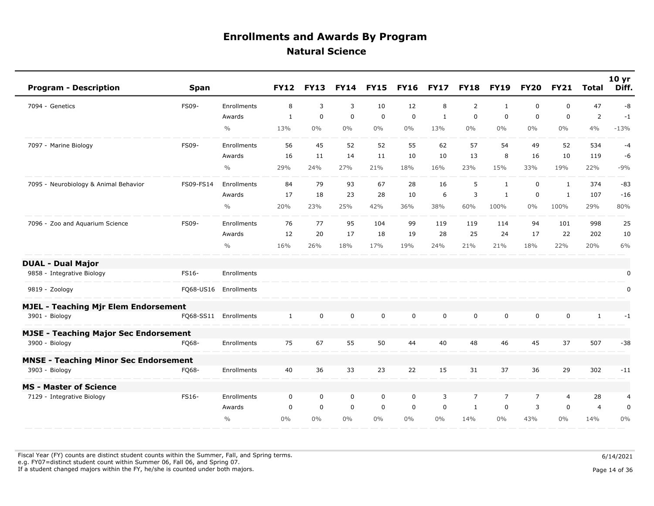| <b>Program - Description</b>                 | <b>Span</b>  |                       | <b>FY12</b>  | <b>FY13</b> | <b>FY14</b> | <b>FY15</b> | <b>FY16</b>  | <b>FY17</b>  | <b>FY18</b>    | <b>FY19</b>    | <b>FY20</b>    | <b>FY21</b>    | <b>Total</b>   | 10 <sub>yr</sub><br>Diff. |
|----------------------------------------------|--------------|-----------------------|--------------|-------------|-------------|-------------|--------------|--------------|----------------|----------------|----------------|----------------|----------------|---------------------------|
| 7094 - Genetics                              | <b>FS09-</b> | Enrollments           | 8            | 3           | 3           | 10          | 12           | 8            | $\overline{2}$ | 1              | 0              | $\mathbf 0$    | 47             | -8                        |
|                                              |              | Awards                | $\mathbf{1}$ | $\mathbf 0$ | $\mathbf 0$ | $\mathbf 0$ | $\mathbf 0$  | $\mathbf{1}$ | $\mathbf 0$    | $\mathbf 0$    | $\mathbf 0$    | 0              | $\mathbf 2$    | $-1$                      |
|                                              |              | $\frac{0}{0}$         | 13%          | $0\%$       | $0\%$       | $0\%$       | $0\%$        | 13%          | $0\%$          | $0\%$          | $0\%$          | $0\%$          | 4%             | $-13%$                    |
| 7097 - Marine Biology                        | FS09-        | Enrollments           | 56           | 45          | 52          | 52          | 55           | 62           | 57             | 54             | 49             | 52             | 534            | $-4$                      |
|                                              |              | Awards                | 16           | 11          | 14          | 11          | 10           | 10           | 13             | 8              | 16             | 10             | 119            | -6                        |
|                                              |              | $\%$                  | 29%          | 24%         | 27%         | 21%         | 18%          | 16%          | 23%            | 15%            | 33%            | 19%            | 22%            | $-9%$                     |
| 7095 - Neurobiology & Animal Behavior        | FS09-FS14    | Enrollments           | 84           | 79          | 93          | 67          | 28           | 16           | 5              | $\mathbf{1}$   | 0              | $\mathbf{1}$   | 374            | $-83$                     |
|                                              |              | Awards                | 17           | 18          | 23          | 28          | 10           | 6            | 3              | $\mathbf{1}$   | $\mathbf 0$    | $\mathbf{1}$   | 107            | $-16$                     |
|                                              |              | $\frac{0}{0}$         | 20%          | 23%         | 25%         | 42%         | 36%          | 38%          | 60%            | 100%           | $0\%$          | 100%           | 29%            | 80%                       |
| 7096 - Zoo and Aquarium Science              | <b>FS09-</b> | Enrollments           | 76           | 77          | 95          | 104         | 99           | 119          | 119            | 114            | 94             | 101            | 998            | 25                        |
|                                              |              | Awards                | 12           | 20          | 17          | 18          | 19           | 28           | 25             | 24             | 17             | 22             | 202            | 10                        |
|                                              |              | $\frac{0}{0}$         | 16%          | 26%         | 18%         | 17%         | 19%          | 24%          | 21%            | 21%            | 18%            | 22%            | 20%            | 6%                        |
| <b>DUAL - Dual Major</b>                     |              |                       |              |             |             |             |              |              |                |                |                |                |                |                           |
| 9858 - Integrative Biology                   | FS16-        | Enrollments           |              |             |             |             |              |              |                |                |                |                |                | 0                         |
| 9819 - Zoology                               |              | FQ68-US16 Enrollments |              |             |             |             |              |              |                |                |                |                |                | 0                         |
| <b>MJEL - Teaching Mjr Elem Endorsement</b>  |              |                       |              |             |             |             |              |              |                |                |                |                |                |                           |
| 3901 - Biology                               | FQ68-SS11    | Enrollments           | $\mathbf{1}$ | $\mathbf 0$ | $\mathbf 0$ | $\mathbf 0$ | $\mathsf{O}$ | $\mathbf 0$  | $\mathbf 0$    | $\mathbf 0$    | $\mathbf 0$    | $\mathbf 0$    | $\mathbf{1}$   | $-1$                      |
| <b>MJSE - Teaching Major Sec Endorsement</b> |              |                       |              |             |             |             |              |              |                |                |                |                |                |                           |
| 3900 - Biology                               | FO68-        | Enrollments           | 75           | 67          | 55          | 50          | 44           | 40           | 48             | 46             | 45             | 37             | 507            | $-38$                     |
| <b>MNSE - Teaching Minor Sec Endorsement</b> |              |                       |              |             |             |             |              |              |                |                |                |                |                |                           |
| 3903 - Biology                               | FQ68-        | Enrollments           | 40           | 36          | 33          | 23          | 22           | 15           | 31             | 37             | 36             | 29             | 302            | $-11$                     |
| <b>MS - Master of Science</b>                |              |                       |              |             |             |             |              |              |                |                |                |                |                |                           |
| 7129 - Integrative Biology                   | FS16-        | Enrollments           | $\mathbf 0$  | $\mathbf 0$ | $\mathbf 0$ | $\mathbf 0$ | $\mathbf 0$  | 3            | $\overline{7}$ | $\overline{7}$ | $\overline{7}$ | $\overline{4}$ | 28             | 4                         |
|                                              |              | Awards                | $\mathbf 0$  | $\mathbf 0$ | $\mathbf 0$ | $\mathbf 0$ | $\mathbf 0$  | $\mathbf 0$  | $\mathbf{1}$   | $\mathbf 0$    | 3              | $\mathbf 0$    | $\overline{4}$ | $\pmb{0}$                 |
|                                              |              | $\frac{0}{0}$         | $0\%$        | $0\%$       | $0\%$       | $0\%$       | $0\%$        | $0\%$        | 14%            | $0\%$          | 43%            | $0\%$          | 14%            | 0%                        |

Fiscal Year (FY) counts are distinct student counts within the Summer, Fall, and Spring terms.  $6/14/2021$  e.g. FY07=distinct student count within Summer 06, Fall 06, and Spring 07. If a student changed majors within the FY, he/she is counted under both majors. Page 14 of 36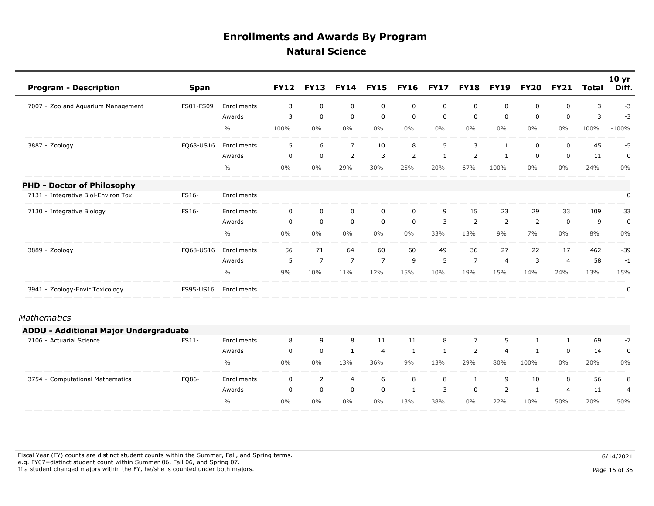| <b>Program - Description</b>          | Span      |               | <b>FY12</b> | <b>FY13</b>    | <b>FY14</b>    | <b>FY15</b>    | <b>FY16</b>    | <b>FY17</b>  | <b>FY18</b>    | <b>FY19</b>    | <b>FY20</b>  | <b>FY21</b>    | <b>Total</b> | 10 <sub>yr</sub><br>Diff. |
|---------------------------------------|-----------|---------------|-------------|----------------|----------------|----------------|----------------|--------------|----------------|----------------|--------------|----------------|--------------|---------------------------|
| 7007 - Zoo and Aquarium Management    | FS01-FS09 | Enrollments   | 3           | $\mathbf 0$    | $\mathbf 0$    | $\mathbf 0$    | $\mathbf 0$    | $\mathbf 0$  | 0              | 0              | 0            | 0              | 3            | $-3$                      |
|                                       |           | Awards        | 3           | $\mathbf 0$    | $\mathbf 0$    | $\mathbf 0$    | $\mathbf 0$    | $\mathbf 0$  | $\mathbf 0$    | $\mathbf 0$    | 0            | $\mathbf 0$    | 3            | $-3$                      |
|                                       |           | $\frac{0}{0}$ | 100%        | $0\%$          | $0\%$          | $0\%$          | $0\%$          | $0\%$        | $0\%$          | $0\%$          | $0\%$        | $0\%$          | 100%         | $-100%$                   |
| 3887 - Zoology                        | FQ68-US16 | Enrollments   | 5           | 6              | $\overline{7}$ | 10             | 8              | 5            | 3              | $\mathbf{1}$   | 0            | $\mathbf 0$    | 45           | $-5$                      |
|                                       |           | Awards        | $\mathbf 0$ | $\mathbf 0$    | $\overline{2}$ | 3              | $\overline{2}$ | $\mathbf{1}$ | 2              | $\mathbf{1}$   | 0            | $\mathbf 0$    | 11           | $\pmb{0}$                 |
|                                       |           | $\frac{0}{0}$ | $0\%$       | $0\%$          | 29%            | 30%            | 25%            | 20%          | 67%            | 100%           | $0\%$        | 0%             | 24%          | $0\%$                     |
| <b>PHD - Doctor of Philosophy</b>     |           |               |             |                |                |                |                |              |                |                |              |                |              |                           |
| 7131 - Integrative Biol-Environ Tox   | FS16-     | Enrollments   |             |                |                |                |                |              |                |                |              |                |              | 0                         |
| 7130 - Integrative Biology            | FS16-     | Enrollments   | $\mathbf 0$ | $\mathbf 0$    | $\mathbf 0$    | $\mathbf 0$    | $\mathbf 0$    | 9            | 15             | 23             | 29           | 33             | 109          | 33                        |
|                                       |           | Awards        | $\mathbf 0$ | $\mathbf 0$    | $\mathbf 0$    | $\mathbf 0$    | $\mathbf 0$    | 3            | 2              | 2              | 2            | $\mathbf 0$    | 9            | 0                         |
|                                       |           | $\frac{0}{0}$ | $0\%$       | $0\%$          | $0\%$          | $0\%$          | $0\%$          | 33%          | 13%            | 9%             | 7%           | $0\%$          | 8%           | 0%                        |
| 3889 - Zoology                        | FQ68-US16 | Enrollments   | 56          | 71             | 64             | 60             | 60             | 49           | 36             | 27             | 22           | 17             | 462          | $-39$                     |
|                                       |           | Awards        | 5           | $\overline{7}$ | $\overline{7}$ | $\overline{7}$ | 9              | 5            | $\overline{7}$ | $\overline{4}$ | 3            | $\overline{4}$ | 58           | $-1$                      |
|                                       |           | $\frac{0}{0}$ | 9%          | 10%            | 11%            | 12%            | 15%            | 10%          | 19%            | 15%            | 14%          | 24%            | 13%          | 15%                       |
| 3941 - Zoology-Envir Toxicology       | FS95-US16 | Enrollments   |             |                |                |                |                |              |                |                |              |                |              | 0                         |
| <b>Mathematics</b>                    |           |               |             |                |                |                |                |              |                |                |              |                |              |                           |
| ADDU - Additional Major Undergraduate |           |               |             |                |                |                |                |              |                |                |              |                |              |                           |
| 7106 - Actuarial Science              | FS11-     | Enrollments   | 8           | 9              | 8              | 11             | 11             | 8            | $\overline{7}$ | 5              | $\mathbf{1}$ | 1              | 69           | $-7$                      |
|                                       |           | Awards        | $\mathbf 0$ | $\mathbf 0$    | $\mathbf{1}$   | $\overline{4}$ | 1              | $\mathbf{1}$ | $\overline{2}$ | $\overline{4}$ | 1            | 0              | 14           | $\pmb{0}$                 |
|                                       |           | $\frac{0}{0}$ | $0\%$       | $0\%$          | 13%            | 36%            | 9%             | 13%          | 29%            | 80%            | 100%         | $0\%$          | 20%          | $0\%$                     |
| 3754 - Computational Mathematics      | FQ86-     | Enrollments   | $\mathbf 0$ | $\overline{2}$ | $\overline{4}$ | 6              | 8              | 8            | $\mathbf{1}$   | 9              | 10           | 8              | 56           | 8                         |
|                                       |           | Awards        | $\mathbf 0$ | $\mathbf 0$    | $\mathbf 0$    | $\mathbf 0$    | 1              | 3            | $\mathbf 0$    | 2              | 1            | 4              | 11           | $\overline{4}$            |
|                                       |           | $\frac{0}{0}$ | $0\%$       | $0\%$          | $0\%$          | $0\%$          | 13%            | 38%          | $0\%$          | 22%            | 10%          | 50%            | 20%          | 50%                       |

Fiscal Year (FY) counts are distinct student counts within the Summer, Fall, and Spring terms.  $6/14/2021$  e.g. FY07=distinct student count within Summer 06, Fall 06, and Spring 07. If a student changed majors within the FY, he/she is counted under both majors. Page 15 of 36 of 36 of 36 of 36  $P$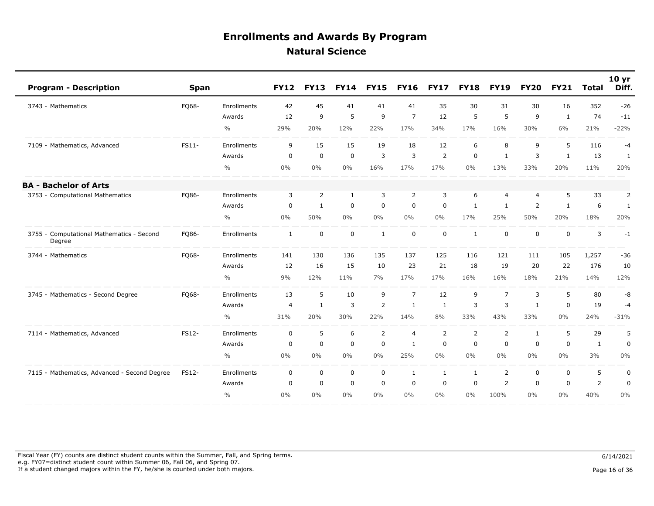| <b>Program - Description</b>                        | <b>Span</b>  |                    | <b>FY12</b>    | <b>FY13</b>  | <b>FY14</b>  | <b>FY15</b>    | <b>FY16</b>    | <b>FY17</b>    | <b>FY18</b>    | <b>FY19</b>    | <b>FY20</b>  | <b>FY21</b>  | <b>Total</b>   | 10 <sub>yr</sub><br>Diff. |
|-----------------------------------------------------|--------------|--------------------|----------------|--------------|--------------|----------------|----------------|----------------|----------------|----------------|--------------|--------------|----------------|---------------------------|
| 3743 - Mathematics                                  | FQ68-        | <b>Enrollments</b> | 42             | 45           | 41           | 41             | 41             | 35             | 30             | 31             | 30           | 16           | 352            | $-26$                     |
|                                                     |              | Awards             | 12             | 9            | 5            | 9              | $\overline{7}$ | 12             | 5              | 5              | 9            | $\mathbf{1}$ | 74             | $-11$                     |
|                                                     |              | $\frac{0}{0}$      | 29%            | 20%          | 12%          | 22%            | 17%            | 34%            | 17%            | 16%            | 30%          | 6%           | 21%            | $-22%$                    |
| 7109 - Mathematics, Advanced                        | FS11-        | Enrollments        | 9              | 15           | 15           | 19             | 18             | 12             | 6              | 8              | 9            | 5            | 116            | $-4$                      |
|                                                     |              | Awards             | $\mathbf 0$    | $\mathbf 0$  | $\mathbf 0$  | 3              | 3              | $\overline{2}$ | $\mathbf 0$    | $\mathbf{1}$   | 3            | $\mathbf{1}$ | 13             | 1                         |
|                                                     |              | $\frac{0}{0}$      | $0\%$          | $0\%$        | $0\%$        | 16%            | 17%            | 17%            | $0\%$          | 13%            | 33%          | 20%          | 11%            | 20%                       |
| <b>BA - Bachelor of Arts</b>                        |              |                    |                |              |              |                |                |                |                |                |              |              |                |                           |
| 3753 - Computational Mathematics                    | FQ86-        | Enrollments        | 3              | 2            | $\mathbf{1}$ | 3              | $\overline{2}$ | 3              | 6              | $\overline{4}$ | 4            | 5            | 33             | $\overline{2}$            |
|                                                     |              | Awards             | 0              | $\mathbf{1}$ | $\mathbf 0$  | $\mathsf 0$    | $\mathbf 0$    | $\mathbf 0$    | $\mathbf{1}$   | $\mathbf{1}$   | 2            | $\mathbf{1}$ | 6              | $\mathbf{1}$              |
|                                                     |              | $\frac{0}{0}$      | $0\%$          | 50%          | $0\%$        | $0\%$          | $0\%$          | $0\%$          | 17%            | 25%            | 50%          | 20%          | 18%            | 20%                       |
| 3755 - Computational Mathematics - Second<br>Degree | FQ86-        | Enrollments        | $\mathbf{1}$   | $\mathbf 0$  | $\mathbf 0$  | $\mathbf{1}$   | $\mathbf 0$    | $\mathbf 0$    | $\mathbf{1}$   | $\mathbf 0$    | 0            | $\mathbf 0$  | 3              | $-1$                      |
| 3744 - Mathematics                                  | FQ68-        | Enrollments        | 141            | 130          | 136          | 135            | 137            | 125            | 116            | 121            | 111          | 105          | 1,257          | $-36$                     |
|                                                     |              | Awards             | 12             | 16           | 15           | 10             | 23             | 21             | 18             | 19             | 20           | 22           | 176            | 10                        |
|                                                     |              | $\frac{0}{0}$      | 9%             | 12%          | 11%          | 7%             | 17%            | 17%            | 16%            | 16%            | 18%          | 21%          | 14%            | 12%                       |
| 3745 - Mathematics - Second Degree                  | FQ68-        | Enrollments        | 13             | 5            | 10           | 9              | $\overline{7}$ | 12             | 9              | $\overline{7}$ | 3            | 5            | 80             | -8                        |
|                                                     |              | Awards             | $\overline{4}$ | $\mathbf{1}$ | 3            | $\overline{2}$ | $\mathbf{1}$   | $\mathbf{1}$   | 3              | $\overline{3}$ | $\mathbf{1}$ | $\Omega$     | 19             | $-4$                      |
|                                                     |              | $\frac{0}{0}$      | 31%            | 20%          | 30%          | 22%            | 14%            | 8%             | 33%            | 43%            | 33%          | 0%           | 24%            | $-31%$                    |
| 7114 - Mathematics, Advanced                        | FS12-        | Enrollments        | $\mathbf 0$    | 5            | 6            | $\overline{2}$ | $\overline{4}$ | 2              | $\overline{2}$ | 2              | $\mathbf{1}$ | 5            | 29             | 5                         |
|                                                     |              | Awards             | 0              | $\mathbf 0$  | $\mathbf 0$  | $\mathsf 0$    | $\mathbf{1}$   | $\mathbf 0$    | $\mathbf 0$    | $\mathbf 0$    | 0            | $\mathbf 0$  | $\mathbf{1}$   | $\mathbf 0$               |
|                                                     |              | $\frac{0}{0}$      | $0\%$          | $0\%$        | $0\%$        | $0\%$          | 25%            | $0\%$          | $0\%$          | $0\%$          | $0\%$        | $0\%$        | 3%             | 0%                        |
| 7115 - Mathematics, Advanced - Second Degree        | <b>FS12-</b> | Enrollments        | $\mathbf 0$    | $\mathbf 0$  | $\mathbf 0$  | $\mathbf 0$    | $\mathbf{1}$   | $\mathbf{1}$   | $\mathbf{1}$   | $\overline{2}$ | $\mathbf 0$  | $\mathbf 0$  | 5              | $\pmb{0}$                 |
|                                                     |              | Awards             | $\mathbf 0$    | $\mathbf 0$  | $\mathbf 0$  | $\mathbf 0$    | $\mathbf 0$    | $\mathbf 0$    | $\mathbf 0$    | 2              | $\mathbf 0$  | $\mathbf 0$  | $\overline{2}$ | $\mathbf 0$               |
|                                                     |              | $\frac{0}{0}$      | 0%             | 0%           | 0%           | $0\%$          | $0\%$          | $0\%$          | $0\%$          | 100%           | $0\%$        | 0%           | 40%            | 0%                        |

Fiscal Year (FY) counts are distinct student counts within the Summer, Fall, and Spring terms.  $6/14/2021$  e.g. FY07=distinct student count within Summer 06, Fall 06, and Spring 07. If a student changed majors within the FY, he/she is counted under both majors. Page 16 of 36 and the student student changed majors within the FY, he/she is counted under both majors.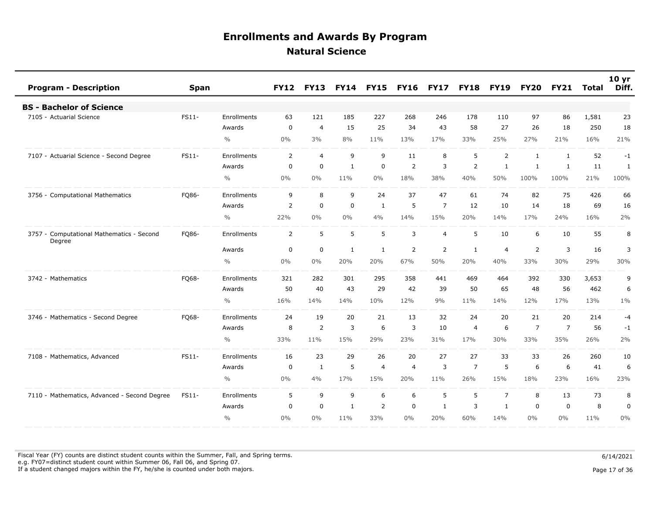| <b>Program - Description</b>                        | <b>Span</b> |               | <b>FY12</b>    | <b>FY13</b>    | <b>FY14</b>  | <b>FY15</b>    | <b>FY16</b>    | <b>FY17</b>    | <b>FY18</b>    | <b>FY19</b>    | <b>FY20</b> | <b>FY21</b>    | Total | 10 <sub>yr</sub><br>Diff. |
|-----------------------------------------------------|-------------|---------------|----------------|----------------|--------------|----------------|----------------|----------------|----------------|----------------|-------------|----------------|-------|---------------------------|
| <b>BS - Bachelor of Science</b>                     |             |               |                |                |              |                |                |                |                |                |             |                |       |                           |
| 7105 - Actuarial Science                            | FS11-       | Enrollments   | 63             | 121            | 185          | 227            | 268            | 246            | 178            | 110            | 97          | 86             | 1,581 | 23                        |
|                                                     |             | Awards        | $\mathbf 0$    | $\overline{4}$ | 15           | 25             | 34             | 43             | 58             | 27             | 26          | 18             | 250   | 18                        |
|                                                     |             | $\frac{0}{0}$ | $0\%$          | 3%             | 8%           | 11%            | 13%            | 17%            | 33%            | 25%            | 27%         | 21%            | 16%   | 21%                       |
| 7107 - Actuarial Science - Second Degree            | FS11-       | Enrollments   | $\overline{2}$ | $\overline{4}$ | 9            | 9              | 11             | 8              | 5              | $\overline{2}$ | 1           | 1              | 52    | $-1$                      |
|                                                     |             | Awards        | $\mathbf 0$    | $\mathbf 0$    | 1            | $\mathbf 0$    | 2              | 3              | 2              | $\mathbf{1}$   | 1           | 1              | 11    | 1                         |
|                                                     |             | $\frac{0}{0}$ | $0\%$          | $0\%$          | 11%          | $0\%$          | 18%            | 38%            | 40%            | 50%            | 100%        | 100%           | 21%   | 100%                      |
| 3756 - Computational Mathematics                    | FQ86-       | Enrollments   | 9              | 8              | 9            | 24             | 37             | 47             | 61             | 74             | 82          | 75             | 426   | 66                        |
|                                                     |             | Awards        | $\overline{2}$ | 0              | $\mathbf 0$  | 1              | 5              | $\overline{7}$ | 12             | 10             | 14          | 18             | 69    | 16                        |
|                                                     |             | $\frac{0}{0}$ | 22%            | 0%             | 0%           | 4%             | 14%            | 15%            | 20%            | 14%            | 17%         | 24%            | 16%   | 2%                        |
| 3757 - Computational Mathematics - Second<br>Degree | FQ86-       | Enrollments   | $\overline{2}$ | 5              | 5            | 5              | 3              | $\overline{4}$ | 5              | 10             | 6           | 10             | 55    | 8                         |
|                                                     |             | Awards        | $\mathbf 0$    | $\mathbf 0$    | $\mathbf{1}$ | $\mathbf{1}$   | $\overline{2}$ | $\overline{2}$ | $\mathbf{1}$   | $\overline{4}$ | 2           | 3              | 16    | 3                         |
|                                                     |             | $\frac{0}{0}$ | $0\%$          | 0%             | 20%          | 20%            | 67%            | 50%            | 20%            | 40%            | 33%         | 30%            | 29%   | 30%                       |
| 3742 - Mathematics                                  | FQ68-       | Enrollments   | 321            | 282            | 301          | 295            | 358            | 441            | 469            | 464            | 392         | 330            | 3,653 | 9                         |
|                                                     |             | Awards        | 50             | 40             | 43           | 29             | 42             | 39             | 50             | 65             | 48          | 56             | 462   | 6                         |
|                                                     |             | $\frac{0}{0}$ | 16%            | 14%            | 14%          | 10%            | 12%            | 9%             | 11%            | 14%            | 12%         | 17%            | 13%   | $1\%$                     |
| 3746 - Mathematics - Second Degree                  | FQ68-       | Enrollments   | 24             | 19             | 20           | 21             | 13             | 32             | 24             | 20             | 21          | 20             | 214   | $-4$                      |
|                                                     |             | Awards        | 8              | $\overline{2}$ | 3            | 6              | 3              | 10             | $\overline{4}$ | 6              | 7           | $\overline{7}$ | 56    | $-1$                      |
|                                                     |             | $\frac{0}{0}$ | 33%            | 11%            | 15%          | 29%            | 23%            | 31%            | 17%            | 30%            | 33%         | 35%            | 26%   | 2%                        |
| 7108 - Mathematics, Advanced                        | FS11-       | Enrollments   | 16             | 23             | 29           | 26             | 20             | 27             | 27             | 33             | 33          | 26             | 260   | 10                        |
|                                                     |             | Awards        | 0              | 1              | 5            | $\overline{4}$ | $\overline{4}$ | 3              | $\overline{7}$ | 5              | 6           | 6              | 41    | 6                         |
|                                                     |             | $\frac{0}{0}$ | $0\%$          | 4%             | 17%          | 15%            | 20%            | 11%            | 26%            | 15%            | 18%         | 23%            | 16%   | 23%                       |
| 7110 - Mathematics, Advanced - Second Degree        | FS11-       | Enrollments   | 5              | 9              | 9            | 6              | 6              | 5              | 5              | $\overline{7}$ | 8           | 13             | 73    | 8                         |
|                                                     |             | Awards        | $\Omega$       | $\Omega$       | $\mathbf{1}$ | 2              | $\mathbf 0$    | $\mathbf{1}$   | 3              | $\mathbf{1}$   | $\Omega$    | $\Omega$       | 8     | $\pmb{0}$                 |
|                                                     |             | $\frac{0}{0}$ | $0\%$          | $0\%$          | 11%          | 33%            | 0%             | 20%            | 60%            | 14%            | $0\%$       | $0\%$          | 11%   | 0%                        |

Fiscal Year (FY) counts are distinct student counts within the Summer, Fall, and Spring terms.  $6/14/2021$  e.g. FY07=distinct student count within Summer 06, Fall 06, and Spring 07. If a student changed majors within the FY, he/she is counted under both majors. Page 17 of 36

Page 17 of 36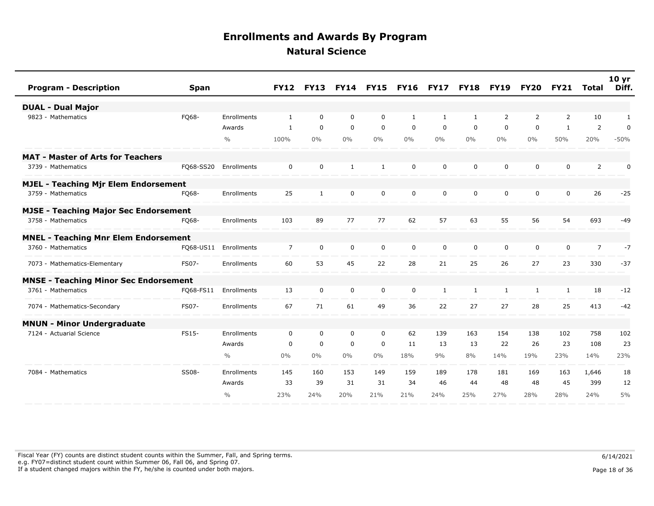| <b>Program - Description</b>                 | <b>Span</b> |               | <b>FY12</b>    | <b>FY13</b>  |              | <b>FY14 FY15</b> | <b>FY16 FY17</b> |              | <b>FY18</b>  | <b>FY19</b>    | <b>FY20</b>    | <b>FY21</b>  | Total          | 10 <sub>yr</sub><br>Diff. |
|----------------------------------------------|-------------|---------------|----------------|--------------|--------------|------------------|------------------|--------------|--------------|----------------|----------------|--------------|----------------|---------------------------|
| <b>DUAL - Dual Major</b>                     |             |               |                |              |              |                  |                  |              |              |                |                |              |                |                           |
| 9823 - Mathematics                           | FQ68-       | Enrollments   | $\mathbf{1}$   | $\mathbf 0$  | $\mathbf 0$  | $\mathbf 0$      | 1                | $\mathbf{1}$ | 1            | $\overline{2}$ | $\overline{2}$ | 2            | 10             | 1                         |
|                                              |             | Awards        | 1              | $\mathbf 0$  | $\mathbf 0$  | $\mathbf 0$      | $\mathbf 0$      | $\mathbf 0$  | $\mathbf 0$  | $\mathbf 0$    | $\mathbf 0$    | $\mathbf{1}$ | 2              | $\pmb{0}$                 |
|                                              |             | $\frac{0}{0}$ | 100%           | $0\%$        | $0\%$        | $0\%$            | $0\%$            | $0\%$        | $0\%$        | $0\%$          | $0\%$          | 50%          | 20%            | $-50%$                    |
| <b>MAT - Master of Arts for Teachers</b>     |             |               |                |              |              |                  |                  |              |              |                |                |              |                |                           |
| 3739 - Mathematics                           | FQ68-SS20   | Enrollments   | $\mathbf 0$    | $\mathbf 0$  | $\mathbf{1}$ | $\mathbf{1}$     | $\Omega$         | $\Omega$     | $\mathbf{0}$ | $\mathbf 0$    | $\Omega$       | $\mathbf 0$  | 2              | 0                         |
| <b>MJEL - Teaching Mjr Elem Endorsement</b>  |             |               |                |              |              |                  |                  |              |              |                |                |              |                |                           |
| 3759 - Mathematics                           | FQ68-       | Enrollments   | 25             | $\mathbf{1}$ | 0            | 0                | 0                | 0            | 0            | 0              | 0              | 0            | 26             | $-25$                     |
| <b>MJSE - Teaching Major Sec Endorsement</b> |             |               |                |              |              |                  |                  |              |              |                |                |              |                |                           |
| 3758 - Mathematics                           | FO68-       | Enrollments   | 103            | 89           | 77           | 77               | 62               | 57           | 63           | 55             | 56             | 54           | 693            | $-49$                     |
| <b>MNEL - Teaching Mnr Elem Endorsement</b>  |             |               |                |              |              |                  |                  |              |              |                |                |              |                |                           |
| 3760 - Mathematics                           | FQ68-US11   | Enrollments   | $\overline{7}$ | $\mathbf 0$  | $\mathbf 0$  | $\mathbf 0$      | $\mathbf 0$      | $\mathbf 0$  | $\mathbf 0$  | 0              | 0              | $\mathbf 0$  | $\overline{7}$ | $-7$                      |
| 7073 - Mathematics-Elementary                | FS07-       | Enrollments   | 60             | 53           | 45           | 22               | 28               | 21           | 25           | 26             | 27             | 23           | 330            | $-37$                     |
| <b>MNSE - Teaching Minor Sec Endorsement</b> |             |               |                |              |              |                  |                  |              |              |                |                |              |                |                           |
| 3761 - Mathematics                           | FQ68-FS11   | Enrollments   | 13             | $\mathbf{0}$ | $\mathbf 0$  | $\mathbf 0$      | $\mathbf 0$      | 1            | $\mathbf{1}$ | 1              | 1              | 1            | 18             | $-12$                     |
| 7074 - Mathematics-Secondary                 | FS07-       | Enrollments   | 67             | 71           | 61           | 49               | 36               | 22           | 27           | 27             | 28             | 25           | 413            | $-42$                     |
| <b>MNUN - Minor Undergraduate</b>            |             |               |                |              |              |                  |                  |              |              |                |                |              |                |                           |
| 7124 - Actuarial Science                     | FS15-       | Enrollments   | $\mathbf 0$    | 0            | 0            | 0                | 62               | 139          | 163          | 154            | 138            | 102          | 758            | 102                       |
|                                              |             | Awards        | 0              | $\mathbf 0$  | $\mathbf 0$  | $\mathbf 0$      | 11               | 13           | 13           | 22             | 26             | 23           | 108            | 23                        |
|                                              |             | $\frac{0}{0}$ | $0\%$          | $0\%$        | $0\%$        | $0\%$            | 18%              | 9%           | 8%           | 14%            | 19%            | 23%          | 14%            | 23%                       |
| 7084 - Mathematics                           | SS08-       | Enrollments   | 145            | 160          | 153          | 149              | 159              | 189          | 178          | 181            | 169            | 163          | 1,646          | 18                        |
|                                              |             | Awards        | 33             | 39           | 31           | 31               | 34               | 46           | 44           | 48             | 48             | 45           | 399            | 12                        |
|                                              |             | $\frac{0}{0}$ | 23%            | 24%          | 20%          | 21%              | 21%              | 24%          | 25%          | 27%            | 28%            | 28%          | 24%            | 5%                        |

Fiscal Year (FY) counts are distinct student counts within the Summer, Fall, and Spring terms.  $6/14/2021$  e.g. FY07=distinct student count within Summer 06, Fall 06, and Spring 07. If a student changed majors within the FY, he/she is counted under both majors. Page 18 of 36 and the student student changed majors within the FY, he/she is counted under both majors.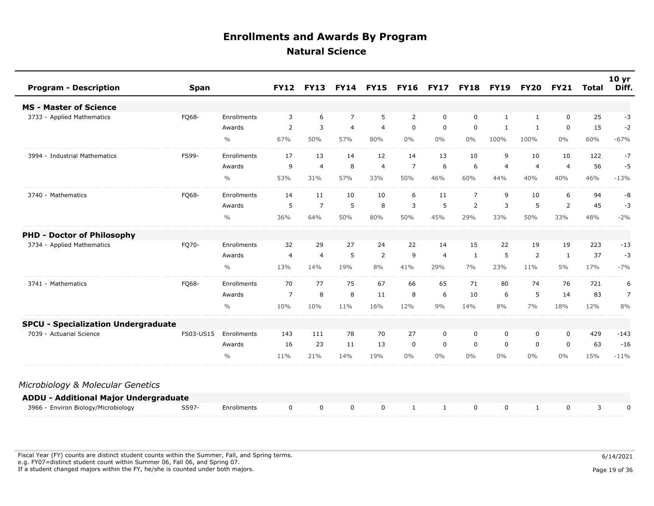| <b>Program - Description</b>               | <b>Span</b> |               | <b>FY12</b>    | <b>FY13</b>    | <b>FY14</b>    | <b>FY15</b>    | <b>FY16</b> | <b>FY17</b>    | <b>FY18</b>    | <b>FY19</b>    | <b>FY20</b>    | <b>FY21</b>  | <b>Total</b> | 10 <sub>yr</sub><br>Diff. |
|--------------------------------------------|-------------|---------------|----------------|----------------|----------------|----------------|-------------|----------------|----------------|----------------|----------------|--------------|--------------|---------------------------|
| <b>MS - Master of Science</b>              |             |               |                |                |                |                |             |                |                |                |                |              |              |                           |
| 3733 - Applied Mathematics                 | FQ68-       | Enrollments   | 3              | 6              | $\overline{7}$ | 5              | 2           | $\mathbf 0$    | $\mathbf 0$    | 1              | 1              | $\mathbf 0$  | 25           | $-3$                      |
|                                            |             | Awards        | $\overline{2}$ | 3              | 4              | $\overline{4}$ | $\mathbf 0$ | $\mathbf 0$    | 0              | 1              | 1              | 0            | 15           | $-2$                      |
|                                            |             | $\frac{0}{0}$ | 67%            | 50%            | 57%            | 80%            | $0\%$       | $0\%$          | $0\%$          | 100%           | 100%           | $0\%$        | 60%          | $-67%$                    |
| 3994 - Industrial Mathematics              | FS99-       | Enrollments   | 17             | 13             | 14             | 12             | 14          | 13             | 10             | 9              | 10             | 10           | 122          | $-7$                      |
|                                            |             | Awards        | 9              | $\overline{a}$ | 8              | $\overline{4}$ | 7           | 6              | 6              | $\overline{4}$ | $\overline{4}$ | 4            | 56           | $-5$                      |
|                                            |             | $\frac{0}{0}$ | 53%            | 31%            | 57%            | 33%            | 50%         | 46%            | 60%            | 44%            | 40%            | 40%          | 46%          | $-13%$                    |
| 3740 - Mathematics                         | FQ68-       | Enrollments   | 14             | 11             | 10             | 10             | 6           | 11             | $\overline{7}$ | 9              | 10             | 6            | 94           | -8                        |
|                                            |             | Awards        | 5              | $\overline{7}$ | 5              | 8              | 3           | 5              | 2              | 3              | 5              | 2            | 45           | $-3$                      |
|                                            |             | $\frac{0}{0}$ | 36%            | 64%            | 50%            | 80%            | 50%         | 45%            | 29%            | 33%            | 50%            | 33%          | 48%          | $-2%$                     |
| <b>PHD - Doctor of Philosophy</b>          |             |               |                |                |                |                |             |                |                |                |                |              |              |                           |
| 3734 - Applied Mathematics                 | FQ70-       | Enrollments   | 32             | 29             | 27             | 24             | 22          | 14             | 15             | 22             | 19             | 19           | 223          | $-13$                     |
|                                            |             | Awards        | $\overline{4}$ | $\overline{4}$ | 5              | $\overline{2}$ | 9           | $\overline{4}$ | $\mathbf{1}$   | 5              | 2              | $\mathbf{1}$ | 37           | $-3$                      |
|                                            |             | $\frac{0}{0}$ | 13%            | 14%            | 19%            | 8%             | 41%         | 29%            | 7%             | 23%            | 11%            | 5%           | 17%          | $-7%$                     |
| 3741 - Mathematics                         | FQ68-       | Enrollments   | 70             | 77             | 75             | 67             | 66          | 65             | 71             | 80             | 74             | 76           | 721          | 6                         |
|                                            |             | Awards        | $\overline{7}$ | 8              | 8              | 11             | 8           | 6              | 10             | 6              | 5              | 14           | 83           | 7                         |
|                                            |             | $\frac{0}{0}$ | 10%            | 10%            | 11%            | 16%            | 12%         | 9%             | 14%            | 8%             | 7%             | 18%          | 12%          | 8%                        |
| <b>SPCU - Specialization Undergraduate</b> |             |               |                |                |                |                |             |                |                |                |                |              |              |                           |
| 7039 - Actuarial Science                   | FS03-US15   | Enrollments   | 143            | 111            | 78             | 70             | 27          | $\mathbf 0$    | 0              | 0              | 0              | 0            | 429          | $-143$                    |
|                                            |             | Awards        | 16             | 23             | 11             | 13             | 0           | $\mathbf 0$    | 0              | 0              | 0              | $\mathbf 0$  | 63           | $-16$                     |
|                                            |             | $\frac{0}{0}$ | 11%            | 21%            | 14%            | 19%            | $0\%$       | $0\%$          | $0\%$          | $0\%$          | $0\%$          | $0\%$        | 15%          | $-11%$                    |
| Microbiology & Molecular Genetics          |             |               |                |                |                |                |             |                |                |                |                |              |              |                           |
| ADDU - Additional Major Undergraduate      |             |               |                |                |                |                |             |                |                |                |                |              |              |                           |
| 3966 - Environ Biology/Microbiology        | SS97-       | Enrollments   | 0              | 0              | 0              | 0              | 1           | 1              | 0              | 0              | $\mathbf{1}$   | 0            | 3            | $\pmb{0}$                 |

Fiscal Year (FY) counts are distinct student counts within the Summer, Fall, and Spring terms.  $6/14/2021$  e.g. FY07=distinct student count within Summer 06, Fall 06, and Spring 07. If a student changed majors within the FY, he/she is counted under both majors. Page 19 of 36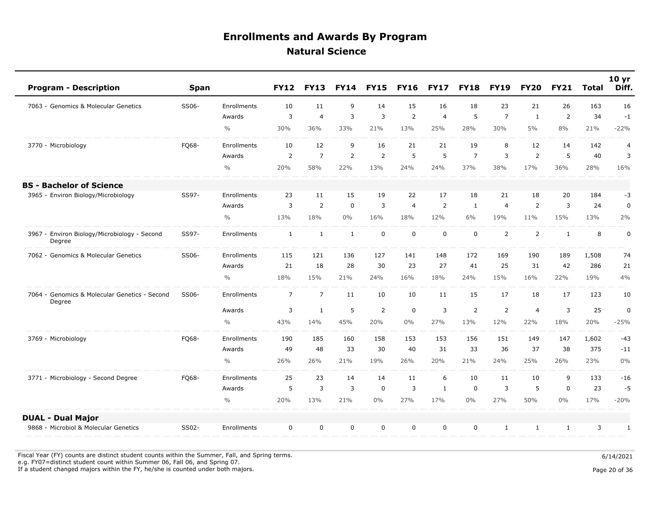| <b>Program - Description</b>                            | <b>Span</b> |               | <b>FY12</b>    | <b>FY13</b>    | <b>FY14</b>    | <b>FY15</b>    | <b>FY16</b>    | <b>FY17</b>    | <b>FY18</b>    | <b>FY19</b>    | <b>FY20</b>    | <b>FY21</b>  | <b>Total</b> | 10 <sub>yr</sub><br>Diff. |
|---------------------------------------------------------|-------------|---------------|----------------|----------------|----------------|----------------|----------------|----------------|----------------|----------------|----------------|--------------|--------------|---------------------------|
| 7063 - Genomics & Molecular Genetics                    | SS06-       | Enrollments   | 10             | 11             | 9              | 14             | 15             | 16             | 18             | 23             | 21             | 26           | 163          | 16                        |
|                                                         |             | Awards        | 3              | $\overline{4}$ | $\overline{3}$ | $\overline{3}$ | $\overline{2}$ | $\overline{4}$ | 5              | $\overline{7}$ | $\mathbf{1}$   | 2            | 34           | $-1$                      |
|                                                         |             | $\frac{0}{0}$ | 30%            | 36%            | 33%            | 21%            | 13%            | 25%            | 28%            | 30%            | 5%             | 8%           | 21%          | $-22%$                    |
| 3770 - Microbiology                                     | FQ68-       | Enrollments   | 10             | 12             | 9              | 16             | 21             | 21             | 19             | 8              | 12             | 14           | 142          | $\overline{4}$            |
|                                                         |             | Awards        | 2              | $\overline{7}$ | $\overline{2}$ | $\overline{2}$ | 5              | 5              | $\overline{7}$ | 3              | $\overline{2}$ | 5            | 40           | 3                         |
|                                                         |             | $\frac{0}{0}$ | 20%            | 58%            | 22%            | 13%            | 24%            | 24%            | 37%            | 38%            | 17%            | 36%          | 28%          | 16%                       |
| <b>BS - Bachelor of Science</b>                         |             |               |                |                |                |                |                |                |                |                |                |              |              |                           |
| 3965 - Environ Biology/Microbiology                     | SS97-       | Enrollments   | 23             | 11             | 15             | 19             | 22             | 17             | 18             | 21             | 18             | 20           | 184          | $-3$                      |
|                                                         |             | Awards        | 3              | $\overline{2}$ | $\mathbf 0$    | 3              | $\overline{4}$ | 2              | 1              | $\overline{4}$ | 2              | 3            | 24           | 0                         |
|                                                         |             | $\frac{0}{0}$ | 13%            | 18%            | $0\%$          | 16%            | 18%            | 12%            | 6%             | 19%            | 11%            | 15%          | 13%          | 2%                        |
| 3967 - Environ Biology/Microbiology - Second<br>Degree  | SS97-       | Enrollments   | $\mathbf{1}$   | $\mathbf{1}$   | $\mathbf{1}$   | $\mathbf 0$    | $\mathbf 0$    | $\mathbf 0$    | $\mathbf 0$    | 2              | $\overline{2}$ | $\mathbf{1}$ | 8            | 0                         |
| 7062 - Genomics & Molecular Genetics                    | SS06-       | Enrollments   | 115            | 121            | 136            | 127            | 141            | 148            | 172            | 169            | 190            | 189          | 1,508        | 74                        |
|                                                         |             | Awards        | 21             | 18             | 28             | 30             | 23             | 27             | 41             | 25             | 31             | 42           | 286          | 21                        |
|                                                         |             | $\frac{0}{0}$ | 18%            | 15%            | 21%            | 24%            | 16%            | 18%            | 24%            | 15%            | 16%            | 22%          | 19%          | 4%                        |
| 7064 - Genomics & Molecular Genetics - Second<br>Degree | SS06-       | Enrollments   | $\overline{7}$ | $\overline{7}$ | 11             | 10             | 10             | 11             | 15             | 17             | 18             | 17           | 123          | 10                        |
|                                                         |             | Awards        | 3              | $\mathbf{1}$   | 5              | $\overline{2}$ | $\mathbf 0$    | 3              | $\overline{2}$ | 2              | $\overline{4}$ | 3            | 25           | $\pmb{0}$                 |
|                                                         |             | $\frac{0}{0}$ | 43%            | 14%            | 45%            | 20%            | $0\%$          | 27%            | 13%            | 12%            | 22%            | 18%          | 20%          | $-25%$                    |
| 3769 - Microbiology                                     | FQ68-       | Enrollments   | 190            | 185            | 160            | 158            | 153            | 153            | 156            | 151            | 149            | 147          | 1,602        | $-43$                     |
|                                                         |             | Awards        | 49             | 48             | 33             | 30             | 40             | 31             | 33             | 36             | 37             | 38           | 375          | $-11$                     |
|                                                         |             | $\frac{0}{0}$ | 26%            | 26%            | 21%            | 19%            | 26%            | 20%            | 21%            | 24%            | 25%            | 26%          | 23%          | 0%                        |
| 3771 - Microbiology - Second Degree                     | FQ68-       | Enrollments   | 25             | 23             | 14             | 14             | 11             | 6              | 10             | 11             | 10             | 9            | 133          | $-16$                     |
|                                                         |             | Awards        | 5              | 3              | 3              | 0              | 3              | $\mathbf{1}$   | $\mathbf 0$    | 3              | 5              | $\mathbf 0$  | 23           | $-5$                      |
|                                                         |             | $\frac{0}{0}$ | 20%            | 13%            | 21%            | $0\%$          | 27%            | 17%            | $0\%$          | 27%            | 50%            | $0\%$        | 17%          | $-20%$                    |
| <b>DUAL - Dual Major</b>                                |             |               |                |                |                |                |                |                |                |                |                |              |              |                           |
| 9868 - Microbiol & Molecular Genetics                   | SS02-       | Enrollments   | $\mathbf 0$    | $\mathbf 0$    | $\mathbf 0$    | $\mathbf 0$    | $\mathbf 0$    | $\mathbf 0$    | $\mathbf 0$    | $\mathbf{1}$   | $\mathbf{1}$   | 1            | 3            | $\mathbf{1}$              |

Fiscal Year (FY) counts are distinct student counts within the Summer, Fall, and Spring terms.  $6/14/2021$ e.g. FY07=distinct student count within Summer 06, Fall 06, and Spring 07.

If a student changed majors within the FY, he/she is counted under both majors. Page 20 of 36

Page 20 of 36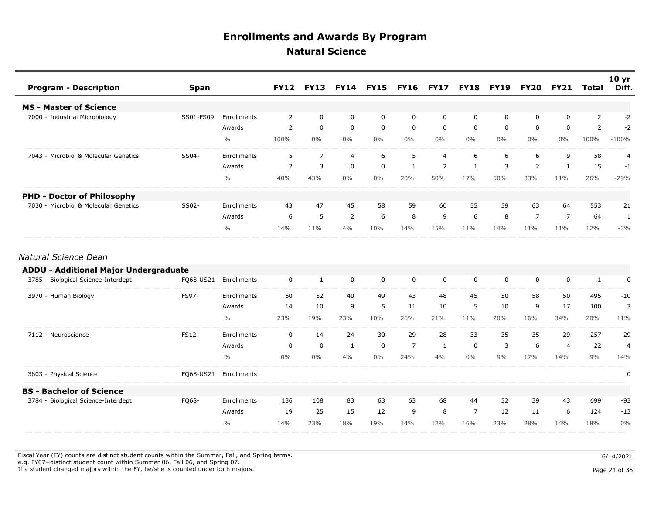| <b>Program - Description</b>          | Span      |               |                |                |                |             |       |                | FY12 FY13 FY14 FY15 FY16 FY17 FY18 FY19 FY20 |             |                | <b>FY21</b>    | Total | 10 <sub>yr</sub><br>Diff. |
|---------------------------------------|-----------|---------------|----------------|----------------|----------------|-------------|-------|----------------|----------------------------------------------|-------------|----------------|----------------|-------|---------------------------|
| <b>MS - Master of Science</b>         |           |               |                |                |                |             |       |                |                                              |             |                |                |       |                           |
| 7000 - Industrial Microbiology        | SS01-FS09 | Enrollments   | 2              | 0              | 0              | 0           | 0     | 0              | 0                                            | $\mathbf 0$ | 0              | $\Omega$       | 2     | -2                        |
|                                       |           | Awards        | 2              | $\mathbf 0$    | $\mathbf 0$    | $\mathbf 0$ | 0     | 0              | $\mathbf 0$                                  | $\Omega$    | $\mathbf{0}$   | $\Omega$       | 2     | $-2$                      |
|                                       |           | $\frac{0}{0}$ | 100%           | $0\%$          | $0\%$          | $0\%$       | $0\%$ | $0\%$          | $0\%$                                        | $0\%$       | $0\%$          | $0\%$          | 100%  | $-100%$                   |
| 7043 - Microbiol & Molecular Genetics | SS04-     | Enrollments   | 5.             | $\overline{7}$ | $\overline{4}$ | 6           | 5.    | $\overline{4}$ | 6                                            | 6           | 6              | 9              | 58    |                           |
|                                       |           | Awards        | $\overline{2}$ | 3              | $\mathbf 0$    | $\mathbf 0$ |       | 2              |                                              | 3           | $\overline{2}$ |                | 15    | $-1$                      |
|                                       |           | $\frac{0}{0}$ | 40%            | 43%            | $0\%$          | $0\%$       | 20%   | 50%            | 17%                                          | 50%         | 33%            | 11%            | 26%   | $-29%$                    |
| <b>PHD - Doctor of Philosophy</b>     |           |               |                |                |                |             |       |                |                                              |             |                |                |       |                           |
| 7030 - Microbiol & Molecular Genetics | SS02-     | Enrollments   | 43             | 47             | 45             | 58          | 59    | 60             | 55                                           | 59          | 63             | 64             | 553   | 21                        |
|                                       |           | Awards        | 6              | 5              | 2              | 6           | 8     | 9              | 6                                            | 8           | $\overline{ }$ | $\overline{7}$ | 64    |                           |
|                                       |           | $\frac{0}{0}$ | 14%            | 11%            | 4%             | 10%         | 14%   | 15%            | 11%                                          | 14%         | 11%            | 11%            | 12%   | $-3%$                     |

#### *Natural Science Dean*

| <b>ADDU - Additional Major Undergraduate</b> |              |               |       |          |     |             |                |          |                |     |          |     |     |       |
|----------------------------------------------|--------------|---------------|-------|----------|-----|-------------|----------------|----------|----------------|-----|----------|-----|-----|-------|
| 3785 - Biological Science-Interdept          | FQ68-US21    | Enrollments   | 0     |          | 0   | $\Omega$    | $\Omega$       | $\Omega$ | $\Omega$       | 0   | $\Omega$ | O   |     | U     |
| 3970 - Human Biology                         | <b>FS97-</b> | Enrollments   | 60    | 52       | 40  | 49          | 43             | 48       | 45             | 50  | 58       | 50  | 495 | $-10$ |
|                                              |              | Awards        | 14    | 10       | 9   | 5           | 11             | 10       | 5              | 10  | 9        | 17  | 100 |       |
|                                              |              | $\frac{0}{0}$ | 23%   | 19%      | 23% | 10%         | 26%            | 21%      | 11%            | 20% | 16%      | 34% | 20% | 11%   |
| 7112 - Neuroscience                          | <b>FS12-</b> | Enrollments   | 0     | 14       | 24  | 30          | 29             | 28       | 33             | 35  | 35       | 29  | 257 | 29    |
|                                              |              | Awards        | 0     | $\Omega$ |     | $\mathbf 0$ | $\overline{7}$ |          | 0              | 3   | 6        | 4   | 22  | 4     |
|                                              |              | $\frac{0}{0}$ | $0\%$ | $0\%$    | 4%  | 0%          | 24%            | 4%       | $0\%$          | 9%  | 17%      | 14% | 9%  | 14%   |
| 3803 - Physical Science                      | FQ68-US21    | Enrollments   |       |          |     |             |                |          |                |     |          |     |     | O     |
| <b>BS</b> - Bachelor of Science              |              |               |       |          |     |             |                |          |                |     |          |     |     |       |
| 3784 - Biological Science-Interdept          | FQ68-        | Enrollments   | 136   | 108      | 83  | 63          | 63             | 68       | 44             | 52  | 39       | 43  | 699 | $-93$ |
|                                              |              | Awards        | 19    | 25       | 15  | 12          | 9              | 8        | $\overline{7}$ | 12  | 11       | 6   | 124 | $-13$ |
|                                              |              | $\frac{0}{0}$ | 14%   | 23%      | 18% | 19%         | 14%            | 12%      | 16%            | 23% | 28%      | 14% | 18% | $0\%$ |

Fiscal Year (FY) counts are distinct student counts within the Summer, Fall, and Spring terms.  $6/14/2021$ e.g. FY07=distinct student count within Summer 06, Fall 06, and Spring 07.

If a student changed majors within the FY, he/she is counted under both majors. Page 21 of 36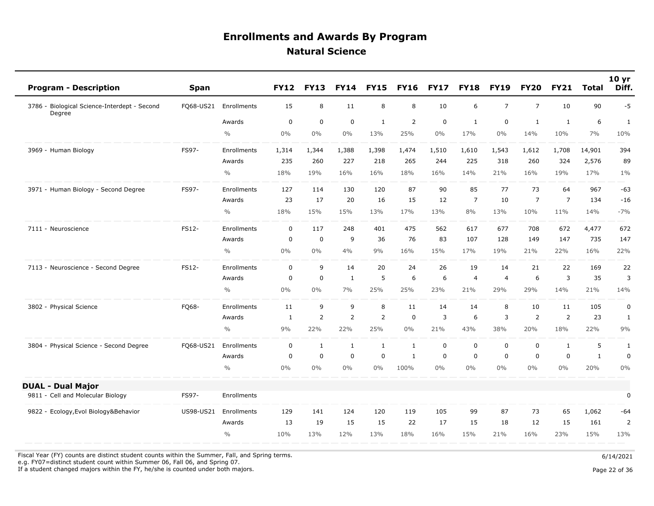| <b>Program - Description</b>                           | <b>Span</b> |               | <b>FY12</b>  | <b>FY13</b>  | <b>FY14</b>    | <b>FY15</b>    | <b>FY16</b>    | <b>FY17</b>    | <b>FY18</b>    | <b>FY19</b>    | <b>FY20</b>    | <b>FY21</b>    | <b>Total</b> | 10 <sub>yr</sub><br>Diff. |
|--------------------------------------------------------|-------------|---------------|--------------|--------------|----------------|----------------|----------------|----------------|----------------|----------------|----------------|----------------|--------------|---------------------------|
| 3786 - Biological Science-Interdept - Second<br>Degree | F068-US21   | Enrollments   | 15           | 8            | 11             | 8              | 8              | 10             | 6              | $\overline{7}$ | $\overline{7}$ | 10             | 90           | $-5$                      |
|                                                        |             | Awards        | $\mathbf 0$  | $\mathbf 0$  | $\mathbf 0$    | $\mathbf{1}$   | $\overline{2}$ | $\mathbf 0$    | $\mathbf{1}$   | $\mathbf 0$    | $\mathbf{1}$   | $\mathbf{1}$   | 6            | $\mathbf{1}$              |
|                                                        |             | $\frac{0}{0}$ | 0%           | 0%           | $0\%$          | 13%            | 25%            | $0\%$          | 17%            | $0\%$          | 14%            | 10%            | 7%           | 10%                       |
| 3969 - Human Biology                                   | FS97-       | Enrollments   | 1,314        | 1,344        | 1,388          | 1,398          | 1,474          | 1,510          | 1,610          | 1,543          | 1,612          | 1,708          | 14,901       | 394                       |
|                                                        |             | Awards        | 235          | 260          | 227            | 218            | 265            | 244            | 225            | 318            | 260            | 324            | 2,576        | 89                        |
|                                                        |             | $\frac{0}{0}$ | 18%          | 19%          | 16%            | 16%            | 18%            | 16%            | 14%            | 21%            | 16%            | 19%            | 17%          | $1\%$                     |
| 3971 - Human Biology - Second Degree                   | FS97-       | Enrollments   | 127          | 114          | 130            | 120            | 87             | 90             | 85             | 77             | 73             | 64             | 967          | $-63$                     |
|                                                        |             | Awards        | 23           | 17           | 20             | 16             | 15             | 12             | $\overline{7}$ | 10             | $\overline{7}$ | $\overline{7}$ | 134          | $-16$                     |
|                                                        |             | $\frac{0}{0}$ | 18%          | 15%          | 15%            | 13%            | 17%            | 13%            | 8%             | 13%            | 10%            | 11%            | 14%          | $-7%$                     |
| 7111 - Neuroscience                                    | FS12-       | Enrollments   | 0            | 117          | 248            | 401            | 475            | 562            | 617            | 677            | 708            | 672            | 4,477        | 672                       |
|                                                        |             | Awards        | 0            | $\mathbf 0$  | 9              | 36             | 76             | 83             | 107            | 128            | 149            | 147            | 735          | 147                       |
|                                                        |             | $\frac{0}{0}$ | $0\%$        | $0\%$        | 4%             | 9%             | 16%            | 15%            | 17%            | 19%            | 21%            | 22%            | 16%          | 22%                       |
| 7113 - Neuroscience - Second Degree                    | FS12-       | Enrollments   | $\Omega$     | 9            | 14             | 20             | 24             | 26             | 19             | 14             | 21             | 22             | 169          | 22                        |
|                                                        |             | Awards        | 0            | $\mathbf 0$  | $\mathbf{1}$   | 5              | 6              | 6              | $\overline{4}$ | $\overline{4}$ | 6              | 3              | 35           | 3                         |
|                                                        |             | $\frac{0}{0}$ | 0%           | $0\%$        | 7%             | 25%            | 25%            | 23%            | 21%            | 29%            | 29%            | 14%            | 21%          | 14%                       |
| 3802 - Physical Science                                | FO68-       | Enrollments   | 11           | 9            | 9              | 8              | 11             | 14             | 14             | 8              | 10             | 11             | 105          | $\pmb{0}$                 |
|                                                        |             | Awards        | $\mathbf{1}$ | 2            | $\overline{2}$ | $\overline{2}$ | $\mathbf 0$    | $\overline{3}$ | 6              | 3              | $\overline{2}$ | $\overline{2}$ | 23           | 1                         |
|                                                        |             | $\frac{0}{0}$ | 9%           | 22%          | 22%            | 25%            | 0%             | 21%            | 43%            | 38%            | 20%            | 18%            | 22%          | 9%                        |
| 3804 - Physical Science - Second Degree                | F068-US21   | Enrollments   | $\mathbf 0$  | $\mathbf{1}$ | $\mathbf{1}$   | $\mathbf{1}$   | $\mathbf{1}$   | $\mathbf 0$    | $\mathbf 0$    | $\mathbf 0$    | 0              | $\mathbf{1}$   | 5            | $\mathbf{1}$              |
|                                                        |             | Awards        | $\mathbf 0$  | $\mathbf 0$  | $\mathbf 0$    | $\mathbf 0$    | $\mathbf{1}$   | $\mathbf 0$    | $\mathbf 0$    | $\mathbf 0$    | 0              | $\mathbf 0$    | $\mathbf{1}$ | $\pmb{0}$                 |
|                                                        |             | $\frac{0}{0}$ | 0%           | $0\%$        | 0%             | $0\%$          | 100%           | $0\%$          | $0\%$          | $0\%$          | $0\%$          | $0\%$          | 20%          | 0%                        |
| <b>DUAL - Dual Major</b>                               |             |               |              |              |                |                |                |                |                |                |                |                |              |                           |
| 9811 - Cell and Molecular Biology                      | FS97-       | Enrollments   |              |              |                |                |                |                |                |                |                |                |              | $\pmb{0}$                 |
| 9822 - Ecology, Evol Biology & Behavior                | US98-US21   | Enrollments   | 129          | 141          | 124            | 120            | 119            | 105            | 99             | 87             | 73             | 65             | 1,062        | -64                       |
|                                                        |             | Awards        | 13           | 19           | 15             | 15             | 22             | 17             | 15             | 18             | 12             | 15             | 161          | $\overline{2}$            |
|                                                        |             | $\frac{0}{0}$ | 10%          | 13%          | 12%            | 13%            | 18%            | 16%            | 15%            | 21%            | 16%            | 23%            | 15%          | 13%                       |

Fiscal Year (FY) counts are distinct student counts within the Summer, Fall, and Spring terms.  $6/14/2021$ 

e.g. FY07=distinct student count within Summer 06, Fall 06, and Spring 07.

If a student changed majors within the FY, he/she is counted under both majors. Page 22 of 36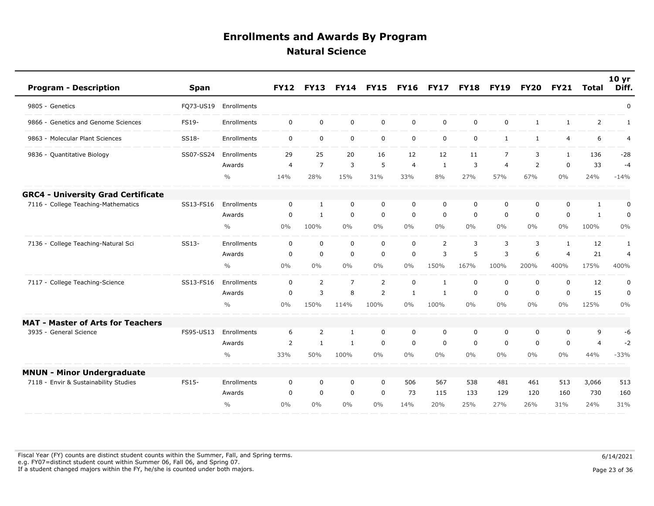| <b>Program - Description</b>              | <b>Span</b>  |                    | <b>FY12</b>    | <b>FY13</b>    | <b>FY14</b>    | <b>FY15</b>    | <b>FY16</b>  | <b>FY17</b>    | <b>FY18</b> | <b>FY19</b>    | <b>FY20</b>  | <b>FY21</b>    | <b>Total</b>   | 10 <sub>yr</sub><br>Diff. |
|-------------------------------------------|--------------|--------------------|----------------|----------------|----------------|----------------|--------------|----------------|-------------|----------------|--------------|----------------|----------------|---------------------------|
| 9805 - Genetics                           | FQ73-US19    | Enrollments        |                |                |                |                |              |                |             |                |              |                |                | $\mathbf 0$               |
| 9866 - Genetics and Genome Sciences       | <b>FS19-</b> | Enrollments        | $\mathbf 0$    | $\mathbf 0$    | $\mathbf 0$    | $\mathbf 0$    | $\mathbf 0$  | $\mathbf 0$    | $\mathbf 0$ | $\mathbf 0$    | $\mathbf{1}$ | 1              | 2              | 1                         |
| 9863 - Molecular Plant Sciences           | SS18-        | Enrollments        | $\mathbf 0$    | $\mathbf 0$    | $\mathbf 0$    | $\mathbf 0$    | $\mathsf{O}$ | $\mathbf 0$    | $\mathbf 0$ | $\mathbf{1}$   | $\mathbf{1}$ | 4              | 6              | 4                         |
| 9836 - Quantitative Biology               | SS07-SS24    | Enrollments        | 29             | 25             | 20             | 16             | 12           | 12             | 11          | $\overline{7}$ | 3            | $\mathbf{1}$   | 136            | $-28$                     |
|                                           |              | Awards             | $\overline{4}$ | $\overline{7}$ | $\overline{3}$ | 5              | 4            | $\mathbf{1}$   | 3           | $\overline{4}$ | 2            | $\mathbf 0$    | 33             | $-4$                      |
|                                           |              | $\frac{0}{0}$      | 14%            | 28%            | 15%            | 31%            | 33%          | 8%             | 27%         | 57%            | 67%          | $0\%$          | 24%            | $-14%$                    |
| <b>GRC4 - University Grad Certificate</b> |              |                    |                |                |                |                |              |                |             |                |              |                |                |                           |
| 7116 - College Teaching-Mathematics       | SS13-FS16    | Enrollments        | $\mathbf{0}$   | 1              | $\mathbf 0$    | $\mathbf 0$    | $\mathbf 0$  | 0              | $\mathbf 0$ | $\Omega$       | 0            | $\mathbf{0}$   | 1              | 0                         |
|                                           |              | Awards             | 0              | $\mathbf{1}$   | $\mathbf 0$    | $\mathbf 0$    | $\mathbf 0$  | 0              | 0           | $\mathbf 0$    | 0            | $\mathbf{0}$   | 1              | 0                         |
|                                           |              | $\frac{0}{0}$      | $0\%$          | 100%           | $0\%$          | $0\%$          | $0\%$        | $0\%$          | $0\%$       | $0\%$          | $0\%$        | $0\%$          | 100%           | 0%                        |
| 7136 - College Teaching-Natural Sci       | SS13-        | Enrollments        | $\mathbf 0$    | $\mathbf 0$    | $\mathbf 0$    | $\mathbf 0$    | $\mathbf 0$  | $\overline{2}$ | 3           | 3              | 3            | $\mathbf{1}$   | 12             | 1                         |
|                                           |              | Awards             | $\mathbf 0$    | $\mathbf 0$    | $\mathbf 0$    | $\mathsf 0$    | 0            | 3              | 5           | 3              | 6            | $\overline{4}$ | 21             | $\overline{4}$            |
|                                           |              | $\frac{0}{0}$      | $0\%$          | $0\%$          | $0\%$          | $0\%$          | $0\%$        | 150%           | 167%        | 100%           | 200%         | 400%           | 175%           | 400%                      |
| 7117 - College Teaching-Science           | SS13-FS16    | Enrollments        | $\mathbf 0$    | 2              | $\overline{7}$ | $\overline{2}$ | 0            | 1              | $\mathbf 0$ | $\mathbf 0$    | 0            | $\mathbf 0$    | 12             | 0                         |
|                                           |              | Awards             | $\mathbf 0$    | 3              | 8              | 2              | $\mathbf{1}$ | 1              | $\mathbf 0$ | $\mathbf 0$    | $\mathbf 0$  | $\mathbf 0$    | 15             | 0                         |
|                                           |              | $\frac{0}{0}$      | 0%             | 150%           | 114%           | 100%           | $0\%$        | 100%           | $0\%$       | $0\%$          | $0\%$        | 0%             | 125%           | 0%                        |
| <b>MAT - Master of Arts for Teachers</b>  |              |                    |                |                |                |                |              |                |             |                |              |                |                |                           |
| 3935 - General Science                    | FS95-US13    | <b>Enrollments</b> | 6              | 2              | $\mathbf{1}$   | $\mathbf 0$    | $\mathbf 0$  | 0              | $\mathbf 0$ | 0              | 0            | 0              | 9              | -6                        |
|                                           |              | Awards             | 2              | $\mathbf{1}$   | $\mathbf{1}$   | $\mathsf 0$    | $\mathbf 0$  | $\mathbf 0$    | $\mathbf 0$ | $\mathbf 0$    | $\mathbf 0$  | $\mathbf 0$    | $\overline{4}$ | $-2$                      |
|                                           |              | $\frac{0}{0}$      | 33%            | 50%            | 100%           | $0\%$          | 0%           | $0\%$          | $0\%$       | $0\%$          | $0\%$        | 0%             | 44%            | $-33%$                    |
| <b>MNUN - Minor Undergraduate</b>         |              |                    |                |                |                |                |              |                |             |                |              |                |                |                           |
| 7118 - Envir & Sustainability Studies     | FS15-        | Enrollments        | $\mathbf 0$    | 0              | 0              | 0              | 506          | 567            | 538         | 481            | 461          | 513            | 3,066          | 513                       |
|                                           |              | Awards             | $\Omega$       | $\mathbf 0$    | $\mathbf 0$    | $\mathbf 0$    | 73           | 115            | 133         | 129            | 120          | 160            | 730            | 160                       |
|                                           |              | $\frac{0}{0}$      | 0%             | $0\%$          | $0\%$          | $0\%$          | 14%          | 20%            | 25%         | 27%            | 26%          | 31%            | 24%            | 31%                       |

Fiscal Year (FY) counts are distinct student counts within the Summer, Fall, and Spring terms.  $6/14/2021$  e.g. FY07=distinct student count within Summer 06, Fall 06, and Spring 07. If a student changed majors within the FY, he/she is counted under both majors. Page 23 of 36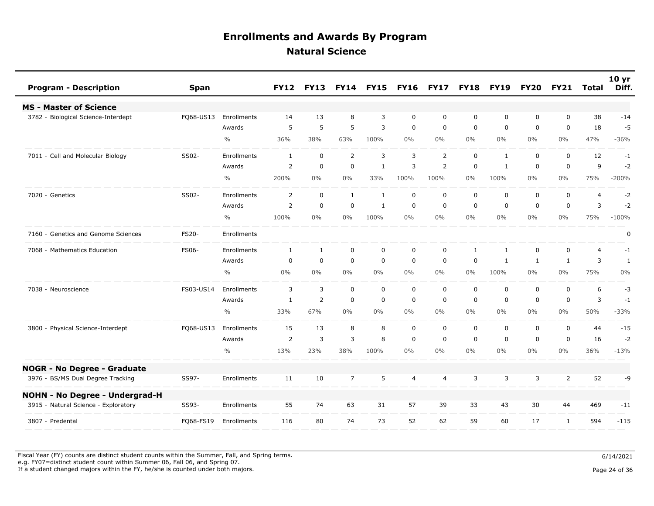| <b>Program - Description</b><br><b>Span</b>         |               | <b>FY12</b>    | <b>FY13</b>    | <b>FY14</b>    | <b>FY15</b>  | <b>FY16</b> | <b>FY17</b>    | <b>FY18</b>  | <b>FY19</b>    | <b>FY20</b>  | <b>FY21</b>    | <b>Total</b>   | 10 <sub>yr</sub><br>Diff. |
|-----------------------------------------------------|---------------|----------------|----------------|----------------|--------------|-------------|----------------|--------------|----------------|--------------|----------------|----------------|---------------------------|
| <b>MS - Master of Science</b>                       |               |                |                |                |              |             |                |              |                |              |                |                |                           |
| 3782 - Biological Science-Interdept<br>FQ68-US13    | Enrollments   | 14             | 13             | 8              | 3            | $\mathbf 0$ | $\mathbf 0$    | $\mathbf 0$  | $\mathbf 0$    | 0            | $\mathbf 0$    | 38             | $-14$                     |
|                                                     | Awards        | 5              | 5              | 5              | 3            | $\mathbf 0$ | $\mathbf 0$    | $\mathbf 0$  | $\mathbf 0$    | 0            | $\mathbf 0$    | 18             | $-5$                      |
|                                                     | $\frac{0}{0}$ | 36%            | 38%            | 63%            | 100%         | $0\%$       | $0\%$          | $0\%$        | $0\%$          | $0\%$        | $0\%$          | 47%            | $-36%$                    |
| 7011 - Cell and Molecular Biology<br>SS02-          | Enrollments   | 1              | $\mathbf 0$    | $\overline{2}$ | 3            | 3           | $\overline{2}$ | $\mathbf 0$  | $\mathbf{1}$   | 0            | $\mathbf 0$    | 12             | $-1$                      |
|                                                     | Awards        | 2              | $\mathbf 0$    | $\mathbf 0$    | $\mathbf{1}$ | 3           | $\overline{2}$ | 0            | 1              | 0            | $\mathbf 0$    | 9              | $-2$                      |
|                                                     | $\frac{0}{0}$ | 200%           | $0\%$          | 0%             | 33%          | 100%        | 100%           | $0\%$        | 100%           | $0\%$        | $0\%$          | 75%            | $-200%$                   |
| SS02-<br>7020 - Genetics                            | Enrollments   | $\overline{2}$ | $\mathbf 0$    | $\mathbf{1}$   | $\mathbf{1}$ | $\mathbf 0$ | $\mathbf 0$    | $\mathbf 0$  | $\mathbf 0$    | $\mathbf 0$  | $\mathbf 0$    | $\overline{4}$ | $-2$                      |
|                                                     | Awards        | $\overline{2}$ | $\mathbf 0$    | $\mathbf 0$    | $\mathbf{1}$ | 0           | $\mathbf 0$    | $\mathbf 0$  | $\mathbf 0$    | 0            | $\mathbf 0$    | 3              | $-2$                      |
|                                                     | $\frac{0}{0}$ | 100%           | $0\%$          | 0%             | 100%         | $0\%$       | $0\%$          | $0\%$        | $0\%$          | $0\%$        | $0\%$          | 75%            | $-100%$                   |
| 7160 - Genetics and Genome Sciences<br><b>FS20-</b> | Enrollments   |                |                |                |              |             |                |              |                |              |                |                | $\pmb{0}$                 |
| FS06-<br>7068 - Mathematics Education               | Enrollments   | $\mathbf{1}$   | $\mathbf{1}$   | $\mathbf 0$    | $\mathbf 0$  | $\mathbf 0$ | $\mathbf 0$    | $\mathbf{1}$ | $\mathbf{1}$   | 0            | $\mathbf 0$    | $\overline{4}$ | $-1$                      |
|                                                     | Awards        | $\mathbf 0$    | $\mathbf 0$    | $\mathbf 0$    | $\mathbf 0$  | $\mathbf 0$ | $\mathbf 0$    | $\mathbf 0$  | $\mathbf{1}$   | $\mathbf{1}$ | $\mathbf{1}$   | 3              | $\mathbf{1}$              |
|                                                     | $\frac{0}{0}$ | $0\%$          | $0\%$          | $0\%$          | $0\%$        | $0\%$       | $0\%$          | $0\%$        | 100%           | $0\%$        | $0\%$          | 75%            | $0\%$                     |
| 7038 - Neuroscience<br>FS03-US14                    | Enrollments   | 3              | 3              | $\mathbf 0$    | $\mathbf 0$  | $\mathbf 0$ | $\mathbf 0$    | $\mathbf 0$  | $\mathbf 0$    | 0            | $\mathsf 0$    | 6              | $-3$                      |
|                                                     | Awards        | $\mathbf{1}$   | $\overline{2}$ | $\mathbf 0$    | $\mathbf 0$  | $\mathbf 0$ | $\mathbf 0$    | $\mathbf 0$  | $\mathbf 0$    | 0            | $\mathbf 0$    | 3              | $-1$                      |
|                                                     | $\frac{0}{0}$ | 33%            | 67%            | $0\%$          | $0\%$        | $0\%$       | $0\%$          | $0\%$        | $0\%$          | $0\%$        | $0\%$          | 50%            | $-33%$                    |
| 3800 - Physical Science-Interdept<br>FQ68-US13      | Enrollments   | 15             | 13             | 8              | 8            | 0           | $\mathbf 0$    | $\mathbf 0$  | $\mathbf 0$    | 0            | $\mathbf 0$    | 44             | $-15$                     |
|                                                     | Awards        | $\overline{2}$ | 3              | 3              | 8            | $\mathbf 0$ | $\mathbf 0$    | $\mathbf 0$  | $\overline{0}$ | $\mathbf 0$  | $\mathbf 0$    | 16             | $-2$                      |
|                                                     | $\frac{0}{0}$ | 13%            | 23%            | 38%            | 100%         | 0%          | $0\%$          | $0\%$        | $0\%$          | $0\%$        | $0\%$          | 36%            | $-13%$                    |
| <b>NOGR - No Degree - Graduate</b>                  |               |                |                |                |              |             |                |              |                |              |                |                |                           |
| 3976 - BS/MS Dual Degree Tracking<br>SS97-          | Enrollments   | 11             | 10             | $\overline{7}$ | 5            | 4           | $\overline{4}$ | 3            | 3              | 3            | $\overline{2}$ | 52             | -9                        |
| <b>NOHN - No Degree - Undergrad-H</b>               |               |                |                |                |              |             |                |              |                |              |                |                |                           |
| 3915 - Natural Science - Exploratory<br>SS93-       | Enrollments   | 55             | 74             | 63             | 31           | 57          | 39             | 33           | 43             | 30           | 44             | 469            | $-11$                     |
| 3807 - Predental<br>FQ68-FS19                       | Enrollments   | 116            | 80             | 74             | 73           | 52          | 62             | 59           | 60             | 17           | 1              | 594            | $-115$                    |

Fiscal Year (FY) counts are distinct student counts within the Summer, Fall, and Spring terms.  $6/14/2021$  e.g. FY07=distinct student count within Summer 06, Fall 06, and Spring 07. If a student changed majors within the FY, he/she is counted under both majors. Page 24 of 36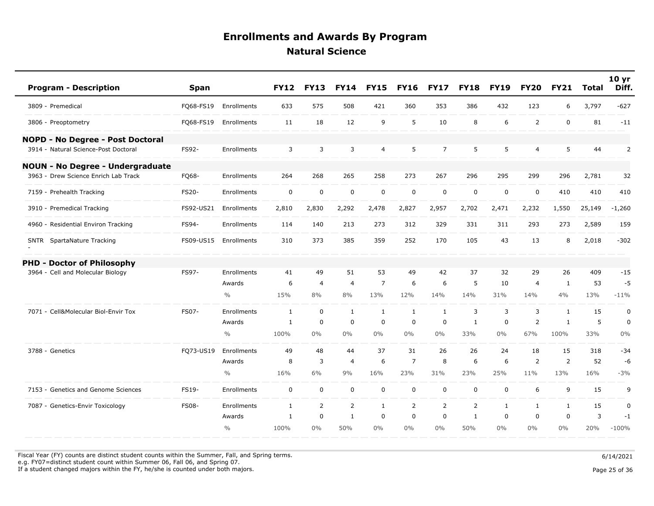| <b>Program - Description</b>            | <b>Span</b>  |                    | <b>FY12</b>  | <b>FY13</b>    | <b>FY14</b>    | <b>FY15</b>    | <b>FY16</b>    | <b>FY17</b>    | <b>FY18</b>    | <b>FY19</b>  | <b>FY20</b>    | <b>FY21</b>    | <b>Total</b> | 10 <sub>yr</sub><br>Diff. |
|-----------------------------------------|--------------|--------------------|--------------|----------------|----------------|----------------|----------------|----------------|----------------|--------------|----------------|----------------|--------------|---------------------------|
| 3809 - Premedical                       | FQ68-FS19    | Enrollments        | 633          | 575            | 508            | 421            | 360            | 353            | 386            | 432          | 123            | 6              | 3,797        | $-627$                    |
| 3806 - Preoptometry                     | FQ68-FS19    | Enrollments        | 11           | 18             | 12             | 9              | 5              | 10             | 8              | 6            | $\overline{2}$ | $\mathbf 0$    | 81           | $-11$                     |
| NOPD - No Degree - Post Doctoral        |              |                    |              |                |                |                |                |                |                |              |                |                |              |                           |
| 3914 - Natural Science-Post Doctoral    | FS92-        | <b>Enrollments</b> | 3            | 3              | 3              | $\overline{4}$ | 5              | $\overline{7}$ | 5              | 5            | 4              | 5              | 44           | 2                         |
| <b>NOUN - No Degree - Undergraduate</b> |              |                    |              |                |                |                |                |                |                |              |                |                |              |                           |
| 3963 - Drew Science Enrich Lab Track    | FQ68-        | Enrollments        | 264          | 268            | 265            | 258            | 273            | 267            | 296            | 295          | 299            | 296            | 2,781        | 32                        |
| 7159 - Prehealth Tracking               | FS20-        | Enrollments        | $\mathbf 0$  | $\mathbf 0$    | $\mathsf 0$    | $\pmb{0}$      | $\mathsf 0$    | $\mathsf 0$    | $\mathsf 0$    | $\mathbf 0$  | $\mathbf 0$    | 410            | 410          | 410                       |
| 3910 - Premedical Tracking              | FS92-US21    | Enrollments        | 2,810        | 2,830          | 2,292          | 2,478          | 2,827          | 2,957          | 2,702          | 2,471        | 2,232          | 1,550          | 25,149       | $-1,260$                  |
| 4960 - Residential Environ Tracking     | FS94-        | Enrollments        | 114          | 140            | 213            | 273            | 312            | 329            | 331            | 311          | 293            | 273            | 2,589        | 159                       |
| SNTR SpartaNature Tracking              | FS09-US15    | Enrollments        | 310          | 373            | 385            | 359            | 252            | 170            | 105            | 43           | 13             | 8              | 2,018        | $-302$                    |
| <b>PHD - Doctor of Philosophy</b>       |              |                    |              |                |                |                |                |                |                |              |                |                |              |                           |
| 3964 - Cell and Molecular Biology       | FS97-        | Enrollments        | 41           | 49             | 51             | 53             | 49             | 42             | 37             | 32           | 29             | 26             | 409          | $-15$                     |
|                                         |              | Awards             | 6            | $\overline{4}$ | $\overline{4}$ | $\overline{7}$ | 6              | 6              | 5              | 10           | $\overline{4}$ | 1              | 53           | $-5$                      |
|                                         |              | $\frac{0}{0}$      | 15%          | 8%             | 8%             | 13%            | 12%            | 14%            | 14%            | 31%          | 14%            | 4%             | 13%          | $-11%$                    |
| 7071 - Cell&Molecular Biol-Envir Tox    | FS07-        | Enrollments        | $\mathbf{1}$ | $\mathbf 0$    | $\mathbf{1}$   | $\mathbf{1}$   | $\mathbf{1}$   | $\mathbf{1}$   | $\overline{3}$ | 3            | 3              | $\mathbf{1}$   | 15           | $\pmb{0}$                 |
|                                         |              | Awards             | 1            | $\mathbf 0$    | $\mathbf 0$    | $\mathbf 0$    | $\mathbf 0$    | $\mathbf 0$    | $\mathbf{1}$   | $\mathbf 0$  | 2              | 1              | 5            | $\pmb{0}$                 |
|                                         |              | $\frac{0}{0}$      | 100%         | $0\%$          | $0\%$          | $0\%$          | $0\%$          | $0\%$          | 33%            | $0\%$        | 67%            | 100%           | 33%          | 0%                        |
| 3788 - Genetics                         | FQ73-US19    | Enrollments        | 49           | 48             | 44             | 37             | 31             | 26             | 26             | 24           | 18             | 15             | 318          | $-34$                     |
|                                         |              | Awards             | 8            | 3              | $\overline{4}$ | 6              | $\overline{7}$ | 8              | 6              | 6            | $\overline{2}$ | $\overline{2}$ | 52           | $-6$                      |
|                                         |              | $\frac{0}{0}$      | 16%          | 6%             | 9%             | 16%            | 23%            | 31%            | 23%            | 25%          | 11%            | 13%            | 16%          | $-3%$                     |
| 7153 - Genetics and Genome Sciences     | FS19-        | Enrollments        | $\mathbf 0$  | $\mathbf 0$    | $\mathbf 0$    | $\mathbf 0$    | $\mathbf 0$    | $\mathbf 0$    | $\mathbf 0$    | $\mathbf 0$  | 6              | 9              | 15           | 9                         |
| 7087 - Genetics-Envir Toxicology        | <b>FS08-</b> | Enrollments        | $\mathbf{1}$ | 2              | $\overline{2}$ | $\mathbf{1}$   | $\overline{2}$ | 2              | 2              | $\mathbf{1}$ | $\mathbf{1}$   | 1              | 15           | 0                         |
|                                         |              | Awards             | $\mathbf{1}$ | $\mathbf 0$    | $\mathbf{1}$   | $\mathbf 0$    | $\mathbf 0$    | $\Omega$       | $\mathbf{1}$   | $\mathbf 0$  | $\mathbf 0$    | $\mathbf{0}$   | 3            | $-1$                      |
|                                         |              | $\frac{0}{0}$      | 100%         | $0\%$          | 50%            | $0\%$          | 0%             | $0\%$          | 50%            | $0\%$        | $0\%$          | $0\%$          | 20%          | $-100%$                   |

Fiscal Year (FY) counts are distinct student counts within the Summer, Fall, and Spring terms.  $6/14/2021$ e.g. FY07=distinct student count within Summer 06, Fall 06, and Spring 07.

If a student changed majors within the FY, he/she is counted under both majors. Page 25 of 36 of 36 of 36 of 36  $P$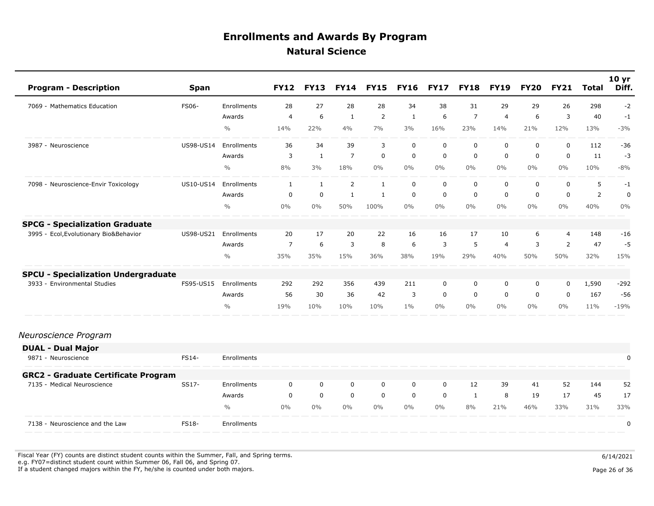| <b>Program - Description</b>                  | <b>Span</b>      |               | <b>FY12</b>    | <b>FY13</b>  | <b>FY14</b>    | <b>FY15</b>    | <b>FY16</b>  | <b>FY17</b> | <b>FY18</b> | <b>FY19</b>    | <b>FY20</b> | <b>FY21</b>    | Total          | 10 <sub>yr</sub><br>Diff. |
|-----------------------------------------------|------------------|---------------|----------------|--------------|----------------|----------------|--------------|-------------|-------------|----------------|-------------|----------------|----------------|---------------------------|
| 7069 - Mathematics Education                  | <b>FS06-</b>     | Enrollments   | 28             | 27           | 28             | 28             | 34           | 38          | 31          | 29             | 29          | 26             | 298            | $-2$                      |
|                                               |                  | Awards        | $\overline{4}$ | 6            | $\mathbf{1}$   | $\overline{2}$ | $\mathbf{1}$ | 6           | 7           | $\overline{4}$ | 6           | 3              | 40             | $-1$                      |
|                                               |                  | $\frac{0}{0}$ | 14%            | 22%          | 4%             | 7%             | 3%           | 16%         | 23%         | 14%            | 21%         | 12%            | 13%            | $-3%$                     |
| 3987<br>- Neuroscience                        | <b>US98-US14</b> | Enrollments   | 36             | 34           | 39             | $\overline{3}$ | $\mathbf 0$  | $\mathbf 0$ | $\mathbf 0$ | $\mathbf 0$    | $\mathbf 0$ | $\mathbf 0$    | 112            | $-36$                     |
|                                               |                  | Awards        | 3              | $\mathbf{1}$ | $\overline{7}$ | $\mathbf 0$    | 0            | $\mathbf 0$ | 0           | $\mathbf 0$    | 0           | $\mathbf 0$    | 11             | $-3$                      |
|                                               |                  | $\%$          | 8%             | 3%           | 18%            | $0\%$          | $0\%$        | $0\%$       | $0\%$       | $0\%$          | $0\%$       | 0%             | 10%            | $-8%$                     |
| - Neuroscience-Envir Toxicology<br>7098       | US10-US14        | Enrollments   | 1              | 1            | $\overline{2}$ | 1              | $\mathbf 0$  | $\mathbf 0$ | $\mathbf 0$ | 0              | 0           | $\mathbf 0$    | 5              | $-1$                      |
|                                               |                  | Awards        | 0              | 0            | $\mathbf{1}$   | 1              | 0            | $\mathbf 0$ | 0           | 0              | 0           | $\mathbf 0$    | $\overline{2}$ | 0                         |
|                                               |                  | $\frac{0}{0}$ | 0%             | $0\%$        | 50%            | 100%           | $0\%$        | $0\%$       | $0\%$       | $0\%$          | $0\%$       | $0\%$          | 40%            | 0%                        |
| - Specialization Graduate<br><b>SPCG</b>      |                  |               |                |              |                |                |              |             |             |                |             |                |                |                           |
| Ecol, Evolutionary Bio&Behavior<br>3995       | US98-US21        | Enrollments   | 20             | 17           | 20             | 22             | 16           | 16          | 17          | 10             | 6           | $\overline{4}$ | 148            | $-16$                     |
|                                               |                  | Awards        | $\overline{7}$ | 6            | 3              | 8              | 6            | 3           | 5           | $\overline{4}$ | 3           | 2              | 47             | $-5$                      |
|                                               |                  | $\frac{0}{0}$ | 35%            | 35%          | 15%            | 36%            | 38%          | 19%         | 29%         | 40%            | 50%         | 50%            | 32%            | 15%                       |
| - Specialization Undergraduate<br><b>SPCU</b> |                  |               |                |              |                |                |              |             |             |                |             |                |                |                           |
| - Environmental Studies<br>3933               | FS95-US15        | Enrollments   | 292            | 292          | 356            | 439            | 211          | $\mathbf 0$ | 0           | 0              | 0           | 0              | 1,590          | $-292$                    |
|                                               |                  | Awards        | 56             | 30           | 36             | 42             | 3            | $\mathbf 0$ | $\mathbf 0$ | $\mathbf 0$    | $\Omega$    | 0              | 167            | $-56$                     |
|                                               |                  | $\frac{0}{0}$ | 19%            | 10%          | 10%            | 10%            | $1\%$        | $0\%$       | $0\%$       | $0\%$          | $0\%$       | 0%             | 11%            | $-19%$                    |

#### *Neuroscience Program*

| <b>DUAL - Dual Major</b>                   |              |                    |       |       |       |       |       |       |    |     |     |     |     |     |
|--------------------------------------------|--------------|--------------------|-------|-------|-------|-------|-------|-------|----|-----|-----|-----|-----|-----|
| 9871 - Neuroscience                        | FS14-        | <b>Enrollments</b> |       |       |       |       |       |       |    |     |     |     |     |     |
| <b>GRC2 - Graduate Certificate Program</b> |              |                    |       |       |       |       |       |       |    |     |     |     |     |     |
| 7135 - Medical Neuroscience                | SS17-        | <b>Enrollments</b> |       |       |       | 0     |       |       | 12 | 39  | 41  | 52  | 144 | 52  |
|                                            |              | Awards             |       |       |       | 0     | 0     |       |    | 8   | 19  | 17  | 45  | 17  |
|                                            |              | $\frac{0}{0}$      | $0\%$ | $0\%$ | $0\%$ | $0\%$ | $0\%$ | $0\%$ | 8% | 21% | 46% | 33% | 31% | 33% |
| 7138 - Neuroscience and the Law            | <b>FS18-</b> | Enrollments        |       |       |       |       |       |       |    |     |     |     |     |     |

Fiscal Year (FY) counts are distinct student counts within the Summer, Fall, and Spring terms.<br>e.g. FY07=distinct student count within Summer 06, Fall 06, and Spring 07. If a student changed majors within the FY, he/she is counted under both majors. Page 26 of 36 page 26 of 36 page 26 of 36 page 26 of 36 page 26 of 36 page 26 of 36 page 26 of 36 page 26 of 36 page 26 of 36 page 26 of 36 pa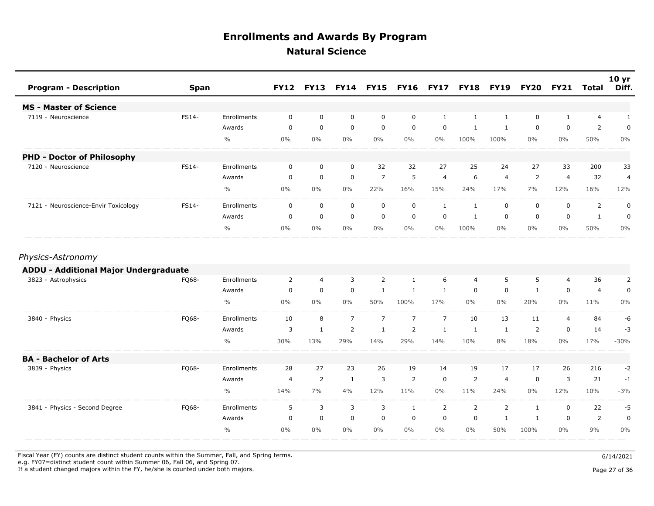| <b>Program - Description</b>                 | <b>Span</b> |               | <b>FY12</b>    | <b>FY13</b>    | <b>FY14</b>    | <b>FY15</b>    | <b>FY16</b>    | <b>FY17</b>    | <b>FY18</b>    | <b>FY19</b>    | <b>FY20</b>    | <b>FY21</b>    | <b>Total</b>   | 10 <sub>yr</sub><br>Diff. |
|----------------------------------------------|-------------|---------------|----------------|----------------|----------------|----------------|----------------|----------------|----------------|----------------|----------------|----------------|----------------|---------------------------|
| <b>MS - Master of Science</b>                |             |               |                |                |                |                |                |                |                |                |                |                |                |                           |
| 7119 - Neuroscience                          | FS14-       | Enrollments   | $\mathbf 0$    | $\mathbf 0$    | $\mathbf 0$    | $\mathbf 0$    | $\mathbf 0$    | $\mathbf{1}$   | $\mathbf{1}$   | $\mathbf{1}$   | 0              | $\mathbf{1}$   | $\overline{4}$ | $\mathbf{1}$              |
|                                              |             | Awards        | 0              | $\mathbf 0$    | $\mathbf 0$    | $\mathbf 0$    | $\mathbf 0$    | 0              | 1              | 1              | 0              | $\mathbf 0$    | $\overline{2}$ | 0                         |
|                                              |             | $\frac{0}{0}$ | $0\%$          | $0\%$          | $0\%$          | $0\%$          | $0\%$          | $0\%$          | 100%           | 100%           | $0\%$          | $0\%$          | 50%            | $0\%$                     |
| <b>PHD - Doctor of Philosophy</b>            |             |               |                |                |                |                |                |                |                |                |                |                |                |                           |
| 7120 - Neuroscience                          | FS14-       | Enrollments   | 0              | 0              | 0              | 32             | 32             | 27             | 25             | 24             | 27             | 33             | 200            | 33                        |
|                                              |             | Awards        | $\mathbf 0$    | $\mathbf 0$    | $\mathbf 0$    | $\overline{7}$ | 5              | $\overline{4}$ | 6              | $\overline{4}$ | 2              | $\overline{4}$ | 32             | 4                         |
|                                              |             | $\frac{0}{0}$ | $0\%$          | $0\%$          | $0\%$          | 22%            | 16%            | 15%            | 24%            | 17%            | 7%             | 12%            | 16%            | 12%                       |
| 7121 - Neuroscience-Envir Toxicology         | FS14-       | Enrollments   | 0              | $\mathbf 0$    | $\mathbf 0$    | $\mathbf 0$    | $\mathbf 0$    | 1              | 1              | $\mathbf 0$    | 0              | $\mathbf 0$    | $\overline{2}$ | $\mathbf 0$               |
|                                              |             | Awards        | $\mathbf 0$    | $\mathbf 0$    | $\mathbf 0$    | $\mathbf 0$    | $\mathbf 0$    | $\mathbf 0$    | $\mathbf{1}$   | $\mathbf 0$    | $\mathbf 0$    | $\mathbf 0$    | $\mathbf{1}$   | $\mathbf 0$               |
|                                              |             | $\frac{0}{0}$ | $0\%$          | $0\%$          | $0\%$          | $0\%$          | $0\%$          | $0\%$          | 100%           | $0\%$          | $0\%$          | $0\%$          | 50%            | $0\%$                     |
| Physics-Astronomy                            |             |               |                |                |                |                |                |                |                |                |                |                |                |                           |
| <b>ADDU - Additional Major Undergraduate</b> |             |               |                |                |                |                |                |                |                |                |                |                |                |                           |
| 3823 - Astrophysics                          | FQ68-       | Enrollments   | $\overline{2}$ | $\overline{4}$ | $\overline{3}$ | $\overline{2}$ | $\mathbf{1}$   | 6              | $\overline{4}$ | 5              | 5              | $\overline{4}$ | 36             | 2                         |
|                                              |             | Awards        | $\mathbf 0$    | $\mathbf 0$    | $\mathbf 0$    | $\mathbf{1}$   | $\mathbf{1}$   | $\mathbf{1}$   | $\mathbf 0$    | $\mathbf 0$    | $\mathbf{1}$   | $\mathbf 0$    | 4              | $\mathbf 0$               |
|                                              |             | $\frac{0}{0}$ | $0\%$          | $0\%$          | $0\%$          | 50%            | 100%           | 17%            | $0\%$          | $0\%$          | 20%            | $0\%$          | 11%            | $0\%$                     |
| 3840 - Physics                               | FQ68-       | Enrollments   | 10             | 8              | $\overline{7}$ | $\overline{7}$ | $\overline{7}$ | $\overline{7}$ | 10             | 13             | 11             | $\overline{4}$ | 84             | -6                        |
|                                              |             | Awards        | 3              | $\mathbf{1}$   | $\overline{2}$ | $\mathbf{1}$   | $\overline{2}$ | $\mathbf{1}$   | $\mathbf{1}$   | 1              | $\overline{2}$ | $\mathbf 0$    | 14             | $-3$                      |
|                                              |             | $\frac{0}{0}$ | 30%            | 13%            | 29%            | 14%            | 29%            | 14%            | 10%            | 8%             | 18%            | $0\%$          | 17%            | $-30%$                    |
| <b>BA - Bachelor of Arts</b>                 |             |               |                |                |                |                |                |                |                |                |                |                |                |                           |
| 3839 - Physics                               | FQ68-       | Enrollments   | 28             | 27             | 23             | 26             | 19             | 14             | 19             | 17             | 17             | 26             | 216            | $-2$                      |
|                                              |             | Awards        | $\overline{4}$ | 2              | $\mathbf{1}$   | 3              | 2              | $\mathbf 0$    | 2              | $\overline{4}$ | $\mathbf 0$    | 3              | 21             | $-1$                      |
|                                              |             | $\frac{0}{0}$ | 14%            | 7%             | 4%             | 12%            | 11%            | $0\%$          | 11%            | 24%            | $0\%$          | 12%            | 10%            | $-3%$                     |
| 3841 - Physics - Second Degree               | FQ68-       | Enrollments   | 5              | 3              | 3              | 3              | $\mathbf{1}$   | 2              | 2              | $\overline{2}$ | $\mathbf{1}$   | $\mathbf 0$    | 22             | $-5$                      |
|                                              |             | Awards        | $\mathbf 0$    | $\mathbf 0$    | $\mathbf 0$    | $\mathbf 0$    | $\mathbf 0$    | $\mathbf 0$    | $\mathbf 0$    | $\mathbf{1}$   | 1              | $\mathbf 0$    | 2              | $\mathbf 0$               |
|                                              |             | $\frac{0}{0}$ | $0\%$          | $0\%$          | $0\%$          | $0\%$          | $0\%$          | $0\%$          | $0\%$          | 50%            | 100%           | $0\%$          | 9%             | $0\%$                     |

Fiscal Year (FY) counts are distinct student counts within the Summer, Fall, and Spring terms.  $6/14/2021$ 

e.g. FY07=distinct student count within Summer 06, Fall 06, and Spring 07.

If a student changed majors within the FY, he/she is counted under both majors. Page 27 of 36

Page 27 of 36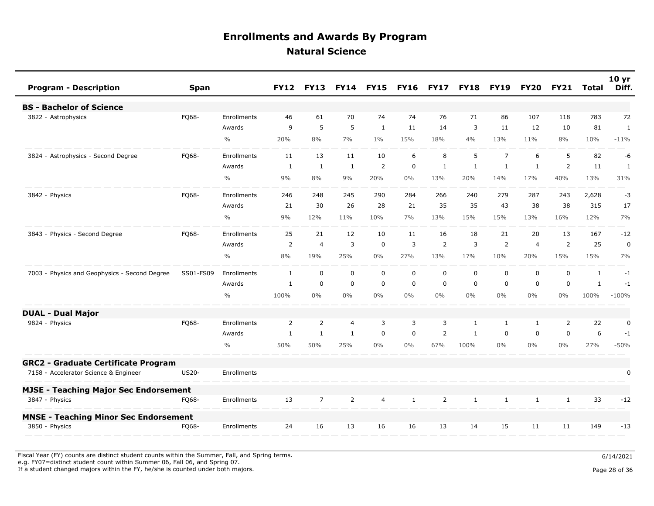| <b>Program - Description</b>                  | <b>Span</b>  |               | <b>FY12</b>    | <b>FY13</b>    | <b>FY14</b>    | <b>FY15</b>    | <b>FY16</b>  | <b>FY17</b>    | <b>FY18</b>  | <b>FY19</b>    | <b>FY20</b>    | <b>FY21</b>    | Total        | 10 <sub>yr</sub><br>Diff. |
|-----------------------------------------------|--------------|---------------|----------------|----------------|----------------|----------------|--------------|----------------|--------------|----------------|----------------|----------------|--------------|---------------------------|
| <b>BS - Bachelor of Science</b>               |              |               |                |                |                |                |              |                |              |                |                |                |              |                           |
| 3822 - Astrophysics                           | FQ68-        | Enrollments   | 46             | 61             | 70             | 74             | 74           | 76             | 71           | 86             | 107            | 118            | 783          | 72                        |
|                                               |              | Awards        | 9              | 5              | 5              | $\mathbf{1}$   | 11           | 14             | 3            | 11             | 12             | 10             | 81           | 1                         |
|                                               |              | $\frac{0}{0}$ | 20%            | 8%             | 7%             | $1\%$          | 15%          | 18%            | 4%           | 13%            | 11%            | 8%             | 10%          | $-11%$                    |
| 3824 - Astrophysics - Second Degree           | FQ68-        | Enrollments   | 11             | 13             | 11             | 10             | 6            | 8              | 5            | $\overline{7}$ | 6              | 5              | 82           | -6                        |
|                                               |              | Awards        | 1              | $\mathbf{1}$   | $\mathbf{1}$   | 2              | $\mathbf 0$  | $\mathbf{1}$   | $\mathbf{1}$ | $\mathbf{1}$   | $\mathbf{1}$   | 2              | 11           | 1                         |
|                                               |              | $\frac{0}{0}$ | 9%             | 8%             | 9%             | 20%            | $0\%$        | 13%            | 20%          | 14%            | 17%            | 40%            | 13%          | 31%                       |
| 3842 - Physics                                | FQ68-        | Enrollments   | 246            | 248            | 245            | 290            | 284          | 266            | 240          | 279            | 287            | 243            | 2,628        | $-3$                      |
|                                               |              | Awards        | 21             | 30             | 26             | 28             | 21           | 35             | 35           | 43             | 38             | 38             | 315          | 17                        |
|                                               |              | $\frac{0}{0}$ | 9%             | 12%            | 11%            | 10%            | 7%           | 13%            | 15%          | 15%            | 13%            | 16%            | 12%          | 7%                        |
| 3843 - Physics - Second Degree                | FQ68-        | Enrollments   | 25             | 21             | 12             | 10             | 11           | 16             | 18           | 21             | 20             | 13             | 167          | $-12$                     |
|                                               |              | Awards        | $\overline{2}$ | $\overline{4}$ | 3              | $\mathbf 0$    | 3            | 2              | 3            | 2              | $\overline{4}$ | $\overline{2}$ | 25           | $\mathbf 0$               |
|                                               |              | $\frac{0}{0}$ | 8%             | 19%            | 25%            | $0\%$          | 27%          | 13%            | 17%          | 10%            | 20%            | 15%            | 15%          | 7%                        |
| 7003 - Physics and Geophysics - Second Degree | SS01-FS09    | Enrollments   | 1              | $\mathbf 0$    | $\mathbf 0$    | $\mathbf 0$    | $\mathbf 0$  | $\mathbf 0$    | $\mathbf 0$  | $\mathbf 0$    | 0              | $\mathbf 0$    | $\mathbf{1}$ | $-1$                      |
|                                               |              | Awards        | 1              | $\mathbf 0$    | $\mathbf 0$    | $\mathbf 0$    | 0            | $\mathbf 0$    | $\mathbf 0$  | $\mathbf 0$    | $\mathbf 0$    | $\mathbf 0$    | $\mathbf{1}$ | $-1$                      |
|                                               |              | $\frac{0}{0}$ | 100%           | $0\%$          | $0\%$          | $0\%$          | $0\%$        | $0\%$          | $0\%$        | $0\%$          | $0\%$          | $0\%$          | 100%         | $-100%$                   |
| <b>DUAL - Dual Major</b>                      |              |               |                |                |                |                |              |                |              |                |                |                |              |                           |
| 9824 - Physics                                | FQ68-        | Enrollments   | $\overline{2}$ | 2              | 4              | 3              | 3            | 3              | $\mathbf{1}$ | $\mathbf{1}$   | 1              | $\overline{2}$ | 22           | 0                         |
|                                               |              | Awards        | $\mathbf{1}$   | $\mathbf{1}$   | $\mathbf{1}$   | $\mathbf 0$    | $\mathbf 0$  | $\overline{2}$ | $\mathbf{1}$ | $\mathbf 0$    | $\mathbf 0$    | $\mathbf 0$    | 6            | $-1$                      |
|                                               |              | $\frac{0}{0}$ | 50%            | 50%            | 25%            | $0\%$          | 0%           | 67%            | 100%         | $0\%$          | $0\%$          | $0\%$          | 27%          | $-50%$                    |
| <b>GRC2 - Graduate Certificate Program</b>    |              |               |                |                |                |                |              |                |              |                |                |                |              |                           |
| 7158 - Accelerator Science & Engineer         | <b>US20-</b> | Enrollments   |                |                |                |                |              |                |              |                |                |                |              | 0                         |
| <b>MJSE - Teaching Major Sec Endorsement</b>  |              |               |                |                |                |                |              |                |              |                |                |                |              |                           |
| 3847 - Physics                                | FQ68-        | Enrollments   | 13             | $\overline{7}$ | $\overline{2}$ | $\overline{4}$ | $\mathbf{1}$ | 2              | $\mathbf{1}$ | $\mathbf{1}$   | $\mathbf{1}$   | $\mathbf{1}$   | 33           | $-12$                     |
| <b>MNSE - Teaching Minor Sec Endorsement</b>  |              |               |                |                |                |                |              |                |              |                |                |                |              |                           |
| 3850 - Physics                                | FO68-        | Enrollments   | 24             | 16             | 13             | 16             | 16           | 13             | 14           | 15             | 11             | 11             | 149          | $-13$                     |

Fiscal Year (FY) counts are distinct student counts within the Summer, Fall, and Spring terms.  $6/14/2021$ e.g. FY07=distinct student count within Summer 06, Fall 06, and Spring 07.

If a student changed majors within the FY, he/she is counted under both majors. Page 28 of 36 and the student student changed majors within the FY, he/she is counted under both majors.

Page 28 of 36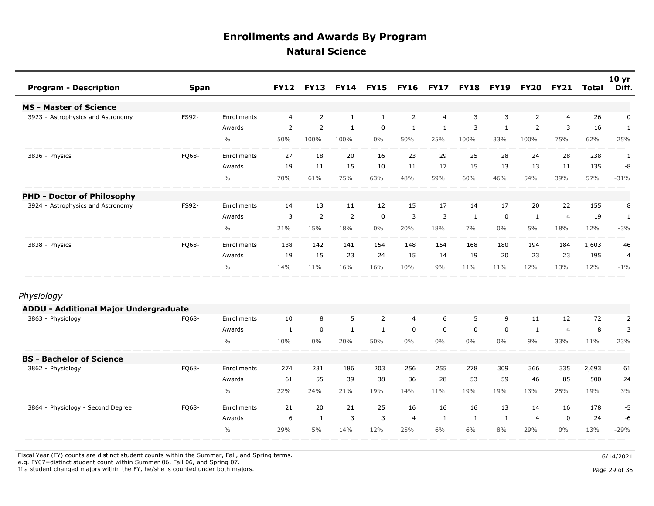| <b>Program - Description</b>                 | <b>Span</b> |               | <b>FY12</b>    | <b>FY13</b>    | <b>FY14</b>    | <b>FY15</b>  | <b>FY16</b>    | <b>FY17</b>    | <b>FY18</b>  | <b>FY19</b>  | <b>FY20</b>    | <b>FY21</b>    | <b>Total</b> | 10 <sub>yr</sub><br>Diff. |
|----------------------------------------------|-------------|---------------|----------------|----------------|----------------|--------------|----------------|----------------|--------------|--------------|----------------|----------------|--------------|---------------------------|
| <b>MS - Master of Science</b>                |             |               |                |                |                |              |                |                |              |              |                |                |              |                           |
| 3923 - Astrophysics and Astronomy            | FS92-       | Enrollments   | $\overline{4}$ | $\overline{2}$ | $\mathbf{1}$   | $\mathbf{1}$ | $\overline{2}$ | $\overline{4}$ | 3            | 3            | $\overline{2}$ | $\overline{4}$ | 26           | 0                         |
|                                              |             | Awards        | 2              | 2              | $\mathbf{1}$   | $\mathbf 0$  | $\mathbf{1}$   | $\mathbf{1}$   | 3            | $\mathbf{1}$ | 2              | 3              | 16           | $\mathbf{1}$              |
|                                              |             | $\frac{0}{0}$ | 50%            | 100%           | 100%           | $0\%$        | 50%            | 25%            | 100%         | 33%          | 100%           | 75%            | 62%          | 25%                       |
| 3836 - Physics                               | FQ68-       | Enrollments   | 27             | 18             | 20             | 16           | 23             | 29             | 25           | 28           | 24             | 28             | 238          | 1                         |
|                                              |             | Awards        | 19             | 11             | 15             | 10           | 11             | 17             | 15           | 13           | 13             | 11             | 135          | -8                        |
|                                              |             | $\frac{0}{0}$ | 70%            | 61%            | 75%            | 63%          | 48%            | 59%            | 60%          | 46%          | 54%            | 39%            | 57%          | $-31%$                    |
| <b>PHD - Doctor of Philosophy</b>            |             |               |                |                |                |              |                |                |              |              |                |                |              |                           |
| 3924 - Astrophysics and Astronomy            | FS92-       | Enrollments   | 14             | 13             | 11             | 12           | 15             | 17             | 14           | 17           | 20             | 22             | 155          | 8                         |
|                                              |             | Awards        | 3              | 2              | $\overline{2}$ | $\mathbf 0$  | 3              | 3              | 1            | $\mathbf 0$  | $\mathbf{1}$   | $\overline{4}$ | 19           | 1                         |
|                                              |             | $\frac{0}{0}$ | 21%            | 15%            | 18%            | $0\%$        | 20%            | 18%            | 7%           | $0\%$        | 5%             | 18%            | 12%          | $-3%$                     |
| 3838 - Physics                               | FQ68-       | Enrollments   | 138            | 142            | 141            | 154          | 148            | 154            | 168          | 180          | 194            | 184            | 1,603        | 46                        |
|                                              |             | Awards        | 19             | 15             | 23             | 24           | 15             | 14             | 19           | 20           | 23             | 23             | 195          | 4                         |
|                                              |             | $\frac{0}{0}$ | 14%            | 11%            | 16%            | 16%          | 10%            | 9%             | 11%          | 11%          | 12%            | 13%            | 12%          | $-1\%$                    |
| Physiology                                   |             |               |                |                |                |              |                |                |              |              |                |                |              |                           |
| <b>ADDU - Additional Major Undergraduate</b> |             |               |                |                |                |              |                |                |              |              |                |                |              |                           |
| 3863 - Physiology                            | FQ68-       | Enrollments   | 10             | 8              | 5              | 2            | $\overline{4}$ | 6              | 5            | 9            | 11             | 12             | 72           | $\overline{2}$            |
|                                              |             | Awards        | 1              | $\pmb{0}$      | $\mathbf{1}$   | $\mathbf{1}$ | 0              | $\mathbf 0$    | 0            | $\mathbf 0$  | 1              | $\overline{4}$ | 8            | 3                         |
|                                              |             | $\frac{0}{0}$ | 10%            | $0\%$          | 20%            | 50%          | $0\%$          | $0\%$          | $0\%$        | $0\%$        | 9%             | 33%            | 11%          | 23%                       |
| <b>BS - Bachelor of Science</b>              |             |               |                |                |                |              |                |                |              |              |                |                |              |                           |
| 3862 - Physiology                            | FQ68-       | Enrollments   | 274            | 231            | 186            | 203          | 256            | 255            | 278          | 309          | 366            | 335            | 2,693        | 61                        |
|                                              |             | Awards        | 61             | 55             | 39             | 38           | 36             | 28             | 53           | 59           | 46             | 85             | 500          | 24                        |
|                                              |             | $\frac{0}{0}$ | 22%            | 24%            | 21%            | 19%          | 14%            | 11%            | 19%          | 19%          | 13%            | 25%            | 19%          | 3%                        |
| 3864 - Physiology - Second Degree            | FQ68-       | Enrollments   | 21             | 20             | 21             | 25           | 16             | 16             | 16           | 13           | 14             | 16             | 178          | -5                        |
|                                              |             | Awards        | 6              | 1              | 3              | 3            | $\overline{4}$ | 1              | $\mathbf{1}$ | 1            | $\overline{4}$ | $\mathbf 0$    | 24           | -6                        |
|                                              |             | $\frac{0}{0}$ | 29%            | 5%             | 14%            | 12%          | 25%            | 6%             | 6%           | 8%           | 29%            | $0\%$          | 13%          | $-29%$                    |

Fiscal Year (FY) counts are distinct student counts within the Summer, Fall, and Spring terms.  $6/14/2021$ 

e.g. FY07=distinct student count within Summer 06, Fall 06, and Spring 07.

If a student changed majors within the FY, he/she is counted under both majors. Page 29 of 36

Page 29 of 36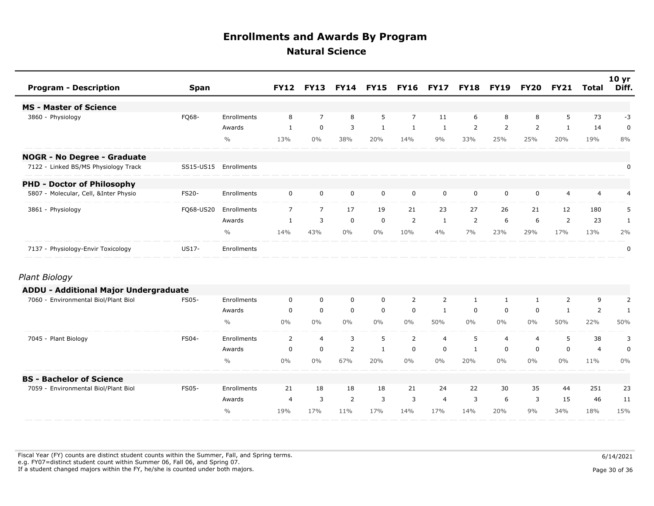| <b>Program - Description</b>                 | <b>Span</b>  |               | <b>FY12</b>    | <b>FY13</b>    |                | <b>FY14 FY15</b> | <b>FY16 FY17</b> |                | <b>FY18</b>    | <b>FY19</b>    | <b>FY20</b>    | <b>FY21</b>    | Total          | 10 <sub>yr</sub><br>Diff. |
|----------------------------------------------|--------------|---------------|----------------|----------------|----------------|------------------|------------------|----------------|----------------|----------------|----------------|----------------|----------------|---------------------------|
| <b>MS - Master of Science</b>                |              |               |                |                |                |                  |                  |                |                |                |                |                |                |                           |
| 3860 - Physiology                            | FQ68-        | Enrollments   | 8              | $\overline{7}$ | 8              | 5                | $\overline{7}$   | 11             | 6              | 8              | 8              | 5              | 73             | -3                        |
|                                              |              | Awards        | $\mathbf{1}$   | $\mathbf 0$    | 3              | $\mathbf{1}$     | $\mathbf{1}$     | 1              | $\overline{2}$ | $\overline{2}$ | $\overline{2}$ | 1              | 14             | $\mathbf 0$               |
|                                              |              | $\frac{0}{0}$ | 13%            | $0\%$          | 38%            | 20%              | 14%              | 9%             | 33%            | 25%            | 25%            | 20%            | 19%            | 8%                        |
| <b>NOGR - No Degree - Graduate</b>           |              |               |                |                |                |                  |                  |                |                |                |                |                |                |                           |
| 7122 - Linked BS/MS Physiology Track         | SS15-US15    | Enrollments   |                |                |                |                  |                  |                |                |                |                |                |                | $\pmb{0}$                 |
| <b>PHD - Doctor of Philosophy</b>            |              |               |                |                |                |                  |                  |                |                |                |                |                |                |                           |
| 5807 - Molecular, Cell, &Inter Physio        | <b>FS20-</b> | Enrollments   | $\mathbf 0$    | $\mathbf 0$    | $\mathbf 0$    | $\mathbf 0$      | $\mathbf 0$      | $\mathbf 0$    | $\mathbf 0$    | $\mathbf 0$    | 0              | 4              | $\overline{4}$ | 4                         |
| 3861 - Physiology                            | FQ68-US20    | Enrollments   | $\overline{7}$ | $\overline{7}$ | 17             | 19               | 21               | 23             | 27             | 26             | 21             | 12             | 180            | 5                         |
|                                              |              | Awards        | $\mathbf{1}$   | $\overline{3}$ | $\mathbf 0$    | $\mathbf 0$      | 2                | 1              | 2              | 6              | 6              | $\overline{2}$ | 23             | $\mathbf{1}$              |
|                                              |              | $\frac{0}{0}$ | 14%            | 43%            | $0\%$          | $0\%$            | 10%              | 4%             | 7%             | 23%            | 29%            | 17%            | 13%            | 2%                        |
| 7137 - Physiology-Envir Toxicology           | US17-        | Enrollments   |                |                |                |                  |                  |                |                |                |                |                |                | 0                         |
| Plant Biology                                |              |               |                |                |                |                  |                  |                |                |                |                |                |                |                           |
| <b>ADDU - Additional Major Undergraduate</b> |              |               |                |                |                |                  |                  |                |                |                |                |                |                |                           |
| 7060 - Environmental Biol/Plant Biol         | <b>FS05-</b> | Enrollments   | 0              | $\mathbf 0$    | 0              | $\mathbf 0$      | $\overline{2}$   | 2              | $\mathbf{1}$   | $\mathbf{1}$   | $\mathbf{1}$   | 2              | 9              | $\overline{2}$            |
|                                              |              | Awards        | $\mathbf 0$    | $\mathbf 0$    | $\mathbf 0$    | $\mathbf 0$      | $\mathbf 0$      | $\mathbf{1}$   | $\mathbf 0$    | $\mathbf 0$    | $\mathbf 0$    | $\mathbf{1}$   | $\overline{2}$ | $\mathbf{1}$              |
|                                              |              | $\frac{0}{0}$ | $0\%$          | $0\%$          | $0\%$          | $0\%$            | $0\%$            | 50%            | $0\%$          | $0\%$          | $0\%$          | 50%            | 22%            | 50%                       |
| 7045 - Plant Biology                         | FS04-        | Enrollments   | 2              | $\overline{4}$ | 3              | 5                | $\overline{2}$   | $\overline{4}$ | 5              | 4              | 4              | 5              | 38             | 3                         |
|                                              |              | Awards        | 0              | $\mathbf 0$    | $\overline{2}$ | $\mathbf{1}$     | $\mathbf 0$      | $\mathbf 0$    | $\mathbf{1}$   | $\mathbf 0$    | 0              | $\mathbf 0$    | 4              | $\pmb{0}$                 |
|                                              |              | $\frac{0}{0}$ | $0\%$          | $0\%$          | 67%            | 20%              | $0\%$            | $0\%$          | 20%            | $0\%$          | $0\%$          | $0\%$          | 11%            | 0%                        |
| <b>BS - Bachelor of Science</b>              |              |               |                |                |                |                  |                  |                |                |                |                |                |                |                           |
| 7059 - Environmental Biol/Plant Biol         | <b>FS05-</b> | Enrollments   | 21             | 18             | 18             | 18               | 21               | 24             | 22             | 30             | 35             | 44             | 251            | 23                        |
|                                              |              | Awards        | $\overline{4}$ | 3              | 2              | 3                | 3                | $\overline{4}$ | 3              | 6              | 3              | 15             | 46             | 11                        |
|                                              |              | $\frac{0}{0}$ | 19%            | 17%            | 11%            | 17%              | 14%              | 17%            | 14%            | 20%            | 9%             | 34%            | 18%            | 15%                       |

Fiscal Year (FY) counts are distinct student counts within the Summer, Fall, and Spring terms.  $6/14/2021$  e.g. FY07=distinct student count within Summer 06, Fall 06, and Spring 07. If a student changed majors within the FY, he/she is counted under both majors. Page 30 of 36 of 36 of 36 of 36 of 36 of 36 of 36 of 36 of 36 of 36 of 36 of 36 of 36 of 36 of 36 of 36 of 36 of 36 of 36 of 36 of 36 of 36 of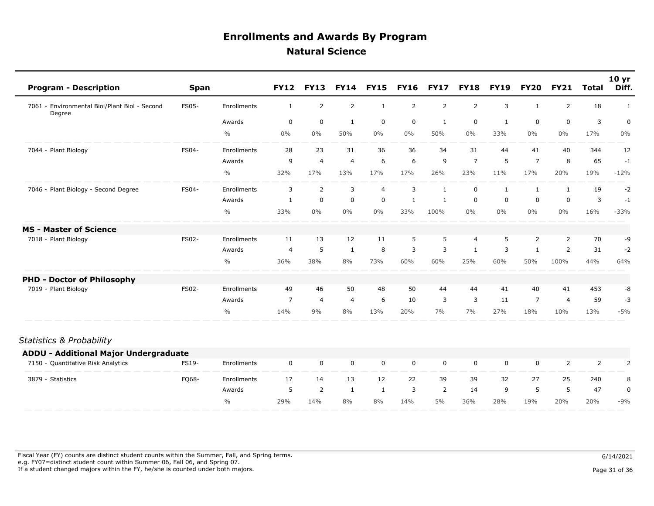| <b>Program - Description</b>                            | <b>Span</b>  |               | <b>FY12</b>    | <b>FY13</b>    | <b>FY14</b>    | <b>FY15</b> | <b>FY16</b>    | <b>FY17</b>    | <b>FY18</b>    | <b>FY19</b> | <b>FY20</b>    | <b>FY21</b>    | <b>Total</b> | 10 <sub>yr</sub><br>Diff. |
|---------------------------------------------------------|--------------|---------------|----------------|----------------|----------------|-------------|----------------|----------------|----------------|-------------|----------------|----------------|--------------|---------------------------|
| 7061 - Environmental Biol/Plant Biol - Second<br>Degree | <b>FS05-</b> | Enrollments   | $\mathbf{1}$   | $\overline{2}$ | $\overline{2}$ | 1           | $\overline{2}$ | $\overline{2}$ | $\overline{2}$ | 3           | $\mathbf{1}$   | $\overline{2}$ | 18           | 1                         |
|                                                         |              | Awards        | $\mathbf 0$    | $\mathbf 0$    | 1              | $\mathbf 0$ | $\mathbf 0$    | 1              | $\mathbf 0$    | 1           | $\mathbf 0$    | $\mathbf 0$    | 3            | 0                         |
|                                                         |              | $\frac{0}{0}$ | 0%             | $0\%$          | 50%            | $0\%$       | $0\%$          | 50%            | $0\%$          | 33%         | $0\%$          | $0\%$          | 17%          | 0%                        |
| 7044 - Plant Biology                                    | FS04-        | Enrollments   | 28             | 23             | 31             | 36          | 36             | 34             | 31             | 44          | 41             | 40             | 344          | 12                        |
|                                                         |              | Awards        | 9              | $\overline{4}$ | $\overline{4}$ | 6           | 6              | 9              | $\overline{7}$ | 5           | $\overline{7}$ | 8              | 65           | $-1$                      |
|                                                         |              | $\frac{0}{0}$ | 32%            | 17%            | 13%            | 17%         | 17%            | 26%            | 23%            | 11%         | 17%            | 20%            | 19%          | $-12%$                    |
| 7046 - Plant Biology - Second Degree                    | FS04-        | Enrollments   | 3              | 2              | 3              | 4           | 3              | $\mathbf{1}$   | 0              | 1           |                | 1              | 19           | $-2$                      |
|                                                         |              | Awards        | 1              | $\mathbf 0$    | $\mathbf 0$    | $\mathbf 0$ | 1              | 1              | 0              | 0           | 0              | $\mathbf 0$    | 3            | $-1$                      |
|                                                         |              | $\frac{0}{0}$ | 33%            | $0\%$          | $0\%$          | $0\%$       | 33%            | 100%           | $0\%$          | $0\%$       | $0\%$          | $0\%$          | 16%          | $-33%$                    |
| <b>MS</b> - Master of Science                           |              |               |                |                |                |             |                |                |                |             |                |                |              |                           |
| - Plant Biology<br>7018                                 | <b>FS02-</b> | Enrollments   | 11             | 13             | 12             | 11          | 5              | 5              | $\overline{4}$ | 5           | 2              | 2              | 70           | -9                        |
|                                                         |              | Awards        | $\overline{4}$ | 5              | 1              | 8           | 3              | 3              | 1              | 3           |                | 2              | 31           | $-2$                      |
|                                                         |              | $\frac{0}{0}$ | 36%            | 38%            | 8%             | 73%         | 60%            | 60%            | 25%            | 60%         | 50%            | 100%           | 44%          | 64%                       |
| <b>PHD - Doctor of Philosophy</b>                       |              |               |                |                |                |             |                |                |                |             |                |                |              |                           |
| - Plant Biology<br>7019                                 | <b>FS02-</b> | Enrollments   | 49             | 46             | 50             | 48          | 50             | 44             | 44             | 41          | 40             | 41             | 453          | -8                        |
|                                                         |              | Awards        | $\overline{7}$ | $\overline{4}$ | 4              | 6           | 10             | 3              | 3              | 11          | $\overline{7}$ | $\overline{4}$ | 59           | -3                        |
|                                                         |              | $\%$          | 14%            | 9%             | 8%             | 13%         | 20%            | 7%             | 7%             | 27%         | 18%            | 10%            | 13%          | $-5%$                     |

#### *Statistics & Probability*

| <b>ADDU - Additional Major Undergraduate</b> |       |               |     |     |    |    |     |          |     |          |     |     |     |          |
|----------------------------------------------|-------|---------------|-----|-----|----|----|-----|----------|-----|----------|-----|-----|-----|----------|
| 7150 - Quantitative Risk Analytics           | FS19- | Enrollments   |     |     | 0  | 0  | 0   | $\Omega$ |     | $\Omega$ |     |     |     |          |
| 3879 - Statistics                            | FQ68- | Enrollments   |     | 14  | 13 | 12 | 22  | 39       | 39  | 32       |     | 25  | 240 | 8        |
|                                              |       | Awards        |     |     |    |    |     |          | 14  | <b>Q</b> |     |     | 47  | $\Omega$ |
|                                              |       | $\frac{0}{0}$ | 29% | 14% | 8% | 8% | 14% | 5%       | 36% | 28%      | 19% | 20% | 20% | $-9%$    |

Fiscal Year (FY) counts are distinct student counts within the Summer, Fall, and Spring terms.  $6/14/2021$  e.g. FY07=distinct student count within Summer 06, Fall 06, and Spring 07. If a student changed majors within the FY, he/she is counted under both majors. Page 31 of 36 and the student student changed majors within the FY, he/she is counted under both majors.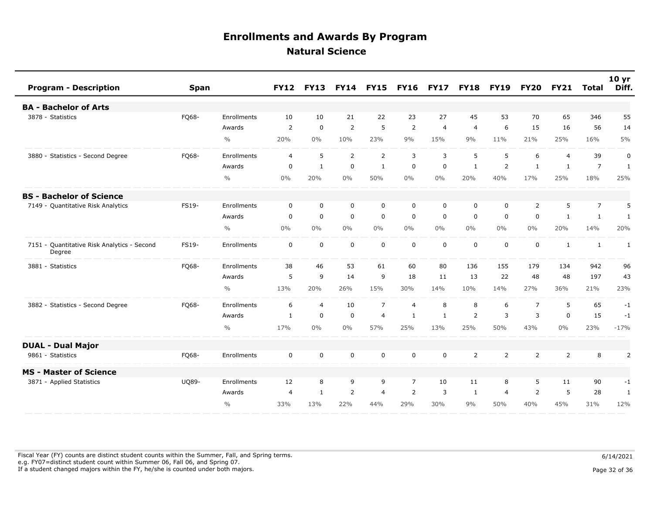| <b>Program - Description</b>                          | <b>Span</b>  |                    | <b>FY12</b>    | <b>FY13</b>    | <b>FY14</b>    | <b>FY15</b>    | <b>FY16</b>    | <b>FY17</b>    | <b>FY18</b>    | <b>FY19</b>    | <b>FY20</b>    | <b>FY21</b>    | <b>Total</b>   | 10 <sub>yr</sub><br>Diff. |
|-------------------------------------------------------|--------------|--------------------|----------------|----------------|----------------|----------------|----------------|----------------|----------------|----------------|----------------|----------------|----------------|---------------------------|
| <b>BA - Bachelor of Arts</b>                          |              |                    |                |                |                |                |                |                |                |                |                |                |                |                           |
| 3878 - Statistics                                     | FQ68-        | Enrollments        | 10             | 10             | 21             | 22             | 23             | 27             | 45             | 53             | 70             | 65             | 346            | 55                        |
|                                                       |              | Awards             | $\overline{2}$ | $\mathbf 0$    | $\overline{2}$ | 5              | $\overline{2}$ | $\overline{4}$ | $\overline{4}$ | 6              | 15             | 16             | 56             | 14                        |
|                                                       |              | $\frac{0}{0}$      | 20%            | $0\%$          | 10%            | 23%            | 9%             | 15%            | 9%             | 11%            | 21%            | 25%            | 16%            | 5%                        |
| 3880 - Statistics - Second Degree                     | FQ68-        | Enrollments        | $\overline{4}$ | 5              | $\overline{2}$ | $\overline{2}$ | 3              | 3              | 5              | 5              | 6              | $\overline{4}$ | 39             | 0                         |
|                                                       |              | Awards             | $\mathbf 0$    | $\mathbf{1}$   | $\mathbf 0$    | $\mathbf{1}$   | $\mathbf 0$    | $\mathbf 0$    | 1              | 2              | $\mathbf{1}$   | 1              | $\overline{7}$ | $\mathbf{1}$              |
|                                                       |              | $\frac{0}{0}$      | 0%             | 20%            | 0%             | 50%            | $0\%$          | $0\%$          | 20%            | 40%            | 17%            | 25%            | 18%            | 25%                       |
| <b>BS - Bachelor of Science</b>                       |              |                    |                |                |                |                |                |                |                |                |                |                |                |                           |
| 7149 - Quantitative Risk Analytics                    | FS19-        | <b>Enrollments</b> | $\Omega$       | $\Omega$       | 0              | $\mathbf 0$    | $\Omega$       | $\Omega$       | $\Omega$       | $\Omega$       | $\overline{2}$ | 5              | $\overline{7}$ | 5                         |
|                                                       |              | Awards             | $\mathbf 0$    | $\mathbf 0$    | $\mathbf 0$    | $\mathbf 0$    | $\mathbf 0$    | $\mathbf 0$    | $\mathbf 0$    | $\mathbf 0$    | $\mathbf 0$    | 1              | $\mathbf{1}$   | $\mathbf{1}$              |
|                                                       |              | $\frac{0}{0}$      | $0\%$          | $0\%$          | $0\%$          | $0\%$          | $0\%$          | $0\%$          | $0\%$          | $0\%$          | $0\%$          | 20%            | 14%            | 20%                       |
| 7151 - Quantitative Risk Analytics - Second<br>Degree | <b>FS19-</b> | Enrollments        | $\mathbf 0$    | $\mathbf 0$    | $\mathbf 0$    | $\mathbf 0$    | $\mathbf 0$    | $\mathbf 0$    | $\mathbf 0$    | $\mathbf 0$    | $\mathbf 0$    | $\mathbf{1}$   | $\mathbf{1}$   | 1                         |
| 3881 - Statistics                                     | FQ68-        | Enrollments        | 38             | 46             | 53             | 61             | 60             | 80             | 136            | 155            | 179            | 134            | 942            | 96                        |
|                                                       |              | Awards             | 5              | 9              | 14             | 9              | 18             | 11             | 13             | 22             | 48             | 48             | 197            | 43                        |
|                                                       |              | $\frac{0}{0}$      | 13%            | 20%            | 26%            | 15%            | 30%            | 14%            | 10%            | 14%            | 27%            | 36%            | 21%            | 23%                       |
| 3882 - Statistics - Second Degree                     | FQ68-        | Enrollments        | 6              | $\overline{4}$ | 10             | $\overline{7}$ | $\overline{4}$ | 8              | 8              | 6              | $\overline{7}$ | 5              | 65             | $-1$                      |
|                                                       |              | Awards             | $\mathbf{1}$   | $\mathbf 0$    | $\mathsf 0$    | $\overline{4}$ | $\mathbf{1}$   | $\mathbf{1}$   | $\overline{2}$ | 3              | 3              | $\mathbf 0$    | 15             | $-1$                      |
|                                                       |              | $\frac{0}{0}$      | 17%            | $0\%$          | 0%             | 57%            | 25%            | 13%            | 25%            | 50%            | 43%            | 0%             | 23%            | $-17%$                    |
| <b>DUAL - Dual Major</b>                              |              |                    |                |                |                |                |                |                |                |                |                |                |                |                           |
| 9861 - Statistics                                     | FQ68-        | Enrollments        | $\mathbf 0$    | $\mathbf 0$    | $\mathbf 0$    | $\mathbf 0$    | $\mathbf 0$    | 0              | $\overline{2}$ | $\overline{2}$ | $\overline{2}$ | 2              | 8              | 2                         |
| <b>MS - Master of Science</b>                         |              |                    |                |                |                |                |                |                |                |                |                |                |                |                           |
| 3871 - Applied Statistics                             | <b>UQ89-</b> | <b>Enrollments</b> | 12             | 8              | 9              | 9              | $\overline{7}$ | 10             | 11             | 8              | 5              | 11             | 90             | $-1$                      |
|                                                       |              | Awards             | $\overline{4}$ | $\mathbf{1}$   | $\overline{2}$ | $\overline{4}$ | $\overline{2}$ | 3              | 1              | $\overline{4}$ | 2              | 5              | 28             | $\mathbf{1}$              |
|                                                       |              | $\frac{0}{0}$      | 33%            | 13%            | 22%            | 44%            | 29%            | 30%            | 9%             | 50%            | 40%            | 45%            | 31%            | 12%                       |

Fiscal Year (FY) counts are distinct student counts within the Summer, Fall, and Spring terms.  $6/14/2021$  e.g. FY07=distinct student count within Summer 06, Fall 06, and Spring 07. If a student changed majors within the FY, he/she is counted under both majors. Page 32 of 36 and the student student changed majors within the FY, he/she is counted under both majors.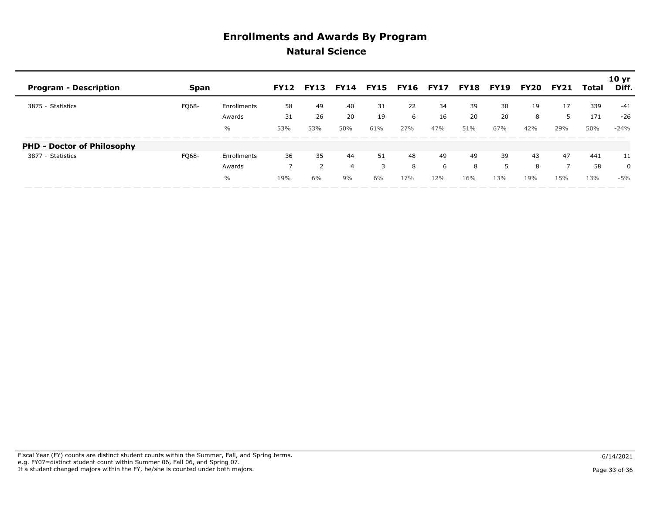| <b>Program - Description</b>      | <b>Span</b>  |               | <b>FY12</b> | FY13 | FY14 |     |     | <b>FY15 FY16 FY17</b> | <b>FY18</b> | <b>FY19</b> | FY20 | <b>FY21</b> | Total | 10 yr<br>Diff. |
|-----------------------------------|--------------|---------------|-------------|------|------|-----|-----|-----------------------|-------------|-------------|------|-------------|-------|----------------|
| 3875 - Statistics                 | <b>FO68-</b> | Enrollments   | 58          | 49   | 40   | 31  | 22  | 34                    | 39          | 30          | 19   | 17          | 339   | -41            |
|                                   |              | Awards        | 31          | 26   | 20   | 19  | 6   | 16                    | 20          | 20          | 8    |             | 171   | $-26$          |
|                                   |              | $\frac{0}{0}$ | 53%         | 53%  | 50%  | 61% | 27% | 47%                   | 51%         | 67%         | 42%  | 29%         | 50%   | $-24%$         |
| <b>PHD - Doctor of Philosophy</b> |              |               |             |      |      |     |     |                       |             |             |      |             |       |                |
| 3877 - Statistics                 | FQ68-        | Enrollments   | 36          | 35   | 44   | 51  | 48  | 49                    | 49          | 39          | 43   | 47          | 441   | 11             |
|                                   |              | Awards        |             |      | 4    |     | 8   | ь                     | 8           |             | 8    |             | 58    | 0              |
|                                   |              | $\%$          | 19%         | 6%   | 9%   | 6%  | 17% | 12%                   | 16%         | 13%         | 19%  | 15%         | 13%   | $-5%$          |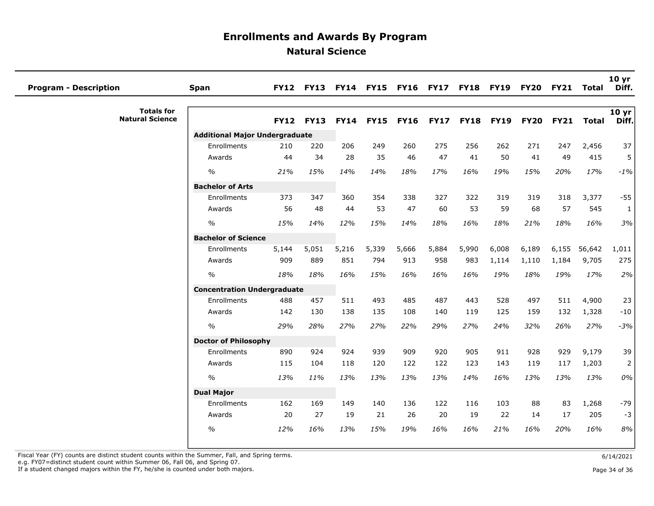| <b>Program - Description</b>                | <b>Span</b>                           | <b>FY12</b> | <b>FY13</b> |             | FY14 FY15 FY16 |             | <b>FY17</b> | <b>FY18</b> | <b>FY19</b> | <b>FY20</b> | <b>FY21</b> | Total        | 10 <sub>yr</sub><br>Diff. |
|---------------------------------------------|---------------------------------------|-------------|-------------|-------------|----------------|-------------|-------------|-------------|-------------|-------------|-------------|--------------|---------------------------|
| <b>Totals for</b><br><b>Natural Science</b> |                                       | <b>FY12</b> | <b>FY13</b> | <b>FY14</b> | <b>FY15</b>    | <b>FY16</b> | <b>FY17</b> | <b>FY18</b> | <b>FY19</b> | <b>FY20</b> | <b>FY21</b> | <b>Total</b> | 10 yr $ $<br>Diff.        |
|                                             | <b>Additional Major Undergraduate</b> |             |             |             |                |             |             |             |             |             |             |              |                           |
|                                             | Enrollments                           | 210         | 220         | 206         | 249            | 260         | 275         | 256         | 262         | 271         | 247         | 2,456        | 37                        |
|                                             | Awards                                | 44          | 34          | 28          | 35             | 46          | 47          | 41          | 50          | 41          | 49          | 415          | 5                         |
|                                             | $\frac{1}{2}$                         | 21%         | 15%         | 14%         | 14%            | 18%         | 17%         | 16%         | 19%         | 15%         | 20%         | 17%          | $-1%$                     |
|                                             | <b>Bachelor of Arts</b>               |             |             |             |                |             |             |             |             |             |             |              |                           |
|                                             | Enrollments                           | 373         | 347         | 360         | 354            | 338         | 327         | 322         | 319         | 319         | 318         | 3,377        | $-55$                     |
|                                             | Awards                                | 56          | 48          | 44          | 53             | 47          | 60          | 53          | 59          | 68          | 57          | 545          | $\mathbf{1}$              |
|                                             | $\frac{0}{0}$                         | 15%         | 14%         | 12%         | 15%            | 14%         | 18%         | 16%         | 18%         | 21%         | 18%         | 16%          | 3%                        |
|                                             | <b>Bachelor of Science</b>            |             |             |             |                |             |             |             |             |             |             |              |                           |
|                                             | Enrollments                           | 5,144       | 5,051       | 5,216       | 5,339          | 5,666       | 5,884       | 5,990       | 6,008       | 6,189       | 6,155       | 56,642       | 1,011                     |
|                                             | Awards                                | 909         | 889         | 851         | 794            | 913         | 958         | 983         | 1,114       | 1,110       | 1,184       | 9,705        | 275                       |
|                                             | $\frac{0}{0}$                         | 18%         | 18%         | 16%         | 15%            | 16%         | 16%         | 16%         | 19%         | 18%         | 19%         | 17%          | 2%                        |
|                                             | <b>Concentration Undergraduate</b>    |             |             |             |                |             |             |             |             |             |             |              |                           |
|                                             | Enrollments                           | 488         | 457         | 511         | 493            | 485         | 487         | 443         | 528         | 497         | 511         | 4,900        | 23                        |
|                                             | Awards                                | 142         | 130         | 138         | 135            | 108         | 140         | 119         | 125         | 159         | 132         | 1,328        | $-10$                     |
|                                             | $\%$                                  | 29%         | 28%         | 27%         | 27%            | 22%         | 29%         | 27%         | 24%         | 32%         | 26%         | 27%          | $-3%$                     |
|                                             | <b>Doctor of Philosophy</b>           |             |             |             |                |             |             |             |             |             |             |              |                           |
|                                             | Enrollments                           | 890         | 924         | 924         | 939            | 909         | 920         | 905         | 911         | 928         | 929         | 9,179        | 39                        |
|                                             | Awards                                | 115         | 104         | 118         | 120            | 122         | 122         | 123         | 143         | 119         | 117         | 1,203        | $\overline{2}$            |
|                                             | $\frac{0}{0}$                         | 13%         | 11%         | 13%         | 13%            | 13%         | 13%         | 14%         | 16%         | 13%         | 13%         | 13%          | 0%                        |
|                                             | <b>Dual Major</b>                     |             |             |             |                |             |             |             |             |             |             |              |                           |
|                                             | Enrollments                           | 162         | 169         | 149         | 140            | 136         | 122         | 116         | 103         | 88          | 83          | 1,268        | $-79$                     |
|                                             | Awards                                | 20          | 27          | 19          | 21             | 26          | 20          | 19          | 22          | 14          | 17          | 205          | $-3$                      |
|                                             | $\frac{0}{0}$                         | 12%         | 16%         | 13%         | 15%            | 19%         | 16%         | 16%         | 21%         | 16%         | 20%         | 16%          | 8%                        |
|                                             |                                       |             |             |             |                |             |             |             |             |             |             |              |                           |

Fiscal Year (FY) counts are distinct student counts within the Summer, Fall, and Spring terms.<br>e.g. FY07=distinct student count within Summer 06, Fall 06, and Spring 07.

If a student changed majors within the FY, he/she is counted under both majors. Page 34 of 36 and the student student changed majors within the FY, he/she is counted under both majors.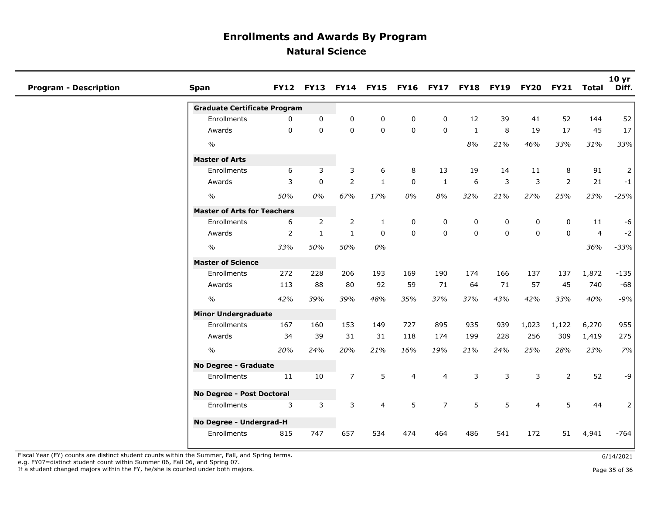| <b>Program - Description</b> | <b>Span</b>                         |                | <b>FY12 FY13</b> |                |              |                |                | FY14 FY15 FY16 FY17 FY18 FY19 |             | <b>FY20</b>    | <b>FY21</b>    | Total          | 10 <sub>yr</sub><br>Diff. |
|------------------------------|-------------------------------------|----------------|------------------|----------------|--------------|----------------|----------------|-------------------------------|-------------|----------------|----------------|----------------|---------------------------|
|                              | <b>Graduate Certificate Program</b> |                |                  |                |              |                |                |                               |             |                |                |                |                           |
|                              | Enrollments                         | 0              | $\mathbf 0$      | 0              | 0            | $\mathbf 0$    | 0              | 12                            | 39          | 41             | 52             | 144            | 52                        |
|                              | Awards                              | $\mathbf 0$    | $\mathbf{0}$     | $\mathbf 0$    | $\mathbf 0$  | $\mathbf 0$    | $\mathbf 0$    | $\mathbf{1}$                  | 8           | 19             | 17             | 45             | 17                        |
|                              | $\frac{o}{o}$                       |                |                  |                |              |                |                | 8%                            | 21%         | 46%            | 33%            | 31%            | 33%                       |
|                              | <b>Master of Arts</b>               |                |                  |                |              |                |                |                               |             |                |                |                |                           |
|                              | <b>Enrollments</b>                  | 6              | 3                | 3              | 6            | 8              | 13             | 19                            | 14          | 11             | 8              | 91             | $\overline{2}$            |
|                              | Awards                              | 3              | $\mathbf 0$      | $\overline{2}$ | $\mathbf{1}$ | $\mathbf 0$    | $\mathbf{1}$   | 6                             | 3           | 3              | $\overline{2}$ | 21             | $-1$                      |
|                              | $\%$                                | 50%            | 0%               | 67%            | 17%          | $0\%$          | 8%             | 32%                           | 21%         | 27%            | 25%            | 23%            | $-25%$                    |
|                              | <b>Master of Arts for Teachers</b>  |                |                  |                |              |                |                |                               |             |                |                |                |                           |
|                              | Enrollments                         | 6              | $\overline{2}$   | $\overline{2}$ | $\mathbf{1}$ | 0              | 0              | 0                             | 0           | 0              | $\mathbf 0$    | 11             | $-6$                      |
|                              | Awards                              | $\overline{2}$ | $\mathbf{1}$     | $\mathbf{1}$   | $\mathbf 0$  | $\mathbf 0$    | 0              | $\pmb{0}$                     | $\mathbf 0$ | $\mathbf 0$    | 0              | $\overline{4}$ | $-2$                      |
|                              | $\%$                                | 33%            | 50%              | 50%            | 0%           |                |                |                               |             |                |                | 36%            | $-33%$                    |
|                              | <b>Master of Science</b>            |                |                  |                |              |                |                |                               |             |                |                |                |                           |
|                              | <b>Enrollments</b>                  | 272            | 228              | 206            | 193          | 169            | 190            | 174                           | 166         | 137            | 137            | 1,872          | $-135$                    |
|                              | Awards                              | 113            | 88               | 80             | 92           | 59             | 71             | 64                            | 71          | 57             | 45             | 740            | $-68$                     |
|                              | $\%$                                | 42%            | 39%              | 39%            | 48%          | 35%            | 37%            | 37%                           | 43%         | 42%            | 33%            | 40%            | $-9%$                     |
|                              | <b>Minor Undergraduate</b>          |                |                  |                |              |                |                |                               |             |                |                |                |                           |
|                              | Enrollments                         | 167            | 160              | 153            | 149          | 727            | 895            | 935                           | 939         | 1,023          | 1,122          | 6,270          | 955                       |
|                              | Awards                              | 34             | 39               | 31             | 31           | 118            | 174            | 199                           | 228         | 256            | 309            | 1,419          | 275                       |
|                              | $\%$                                | 20%            | 24%              | 20%            | 21%          | 16%            | 19%            | 21%                           | 24%         | 25%            | 28%            | 23%            | 7%                        |
|                              | No Degree - Graduate                |                |                  |                |              |                |                |                               |             |                |                |                |                           |
|                              | Enrollments                         | 11             | 10               | $\overline{7}$ | 5            | $\overline{4}$ | $\overline{4}$ | 3                             | 3           | 3              | $\overline{2}$ | 52             | $-9$                      |
|                              | No Degree - Post Doctoral           |                |                  |                |              |                |                |                               |             |                |                |                |                           |
|                              | Enrollments                         | 3              | 3                | 3              | 4            | 5              | $\overline{7}$ | 5                             | 5           | $\overline{4}$ | 5              | 44             | $\overline{2}$            |
|                              | No Degree - Undergrad-H             |                |                  |                |              |                |                |                               |             |                |                |                |                           |
|                              | Enrollments                         | 815            | 747              | 657            | 534          | 474            | 464            | 486                           | 541         | 172            | 51             | 4,941          | $-764$                    |

Fiscal Year (FY) counts are distinct student counts within the Summer, Fall, and Spring terms. e.g. FY07=distinct student count within Summer 06, Fall 06, and Spring 07.

If a student changed majors within the FY, he/she is counted under both majors.